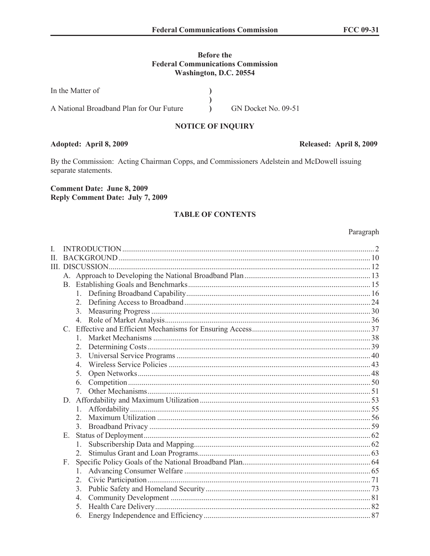## **Before the Federal Communications Commission** Washington, D.C. 20554

| In the Matter of                         |                     |
|------------------------------------------|---------------------|
|                                          |                     |
| A National Broadband Plan for Our Future | GN Docket No. 09-51 |

### **NOTICE OF INQUIRY**

# Adopted: April 8, 2009

By the Commission: Acting Chairman Copps, and Commissioners Adelstein and McDowell issuing separate statements.

#### **Comment Date: June 8, 2009 Reply Comment Date: July 7, 2009**

## **TABLE OF CONTENTS**

#### Paragraph

| L       |    |                                  |  |
|---------|----|----------------------------------|--|
| $\Pi$ . |    |                                  |  |
|         |    |                                  |  |
|         |    |                                  |  |
|         |    |                                  |  |
|         |    |                                  |  |
|         |    | 2 <sub>1</sub>                   |  |
|         |    |                                  |  |
|         |    |                                  |  |
|         |    |                                  |  |
|         |    |                                  |  |
|         |    | 2.                               |  |
|         |    | 3.                               |  |
|         |    | 4.                               |  |
|         |    | 5.                               |  |
|         |    | 6.                               |  |
|         |    | $7_{\scriptscriptstyle{\ddots}}$ |  |
|         |    |                                  |  |
|         |    | 1.                               |  |
|         |    | $\overline{2}$                   |  |
|         |    |                                  |  |
|         | Е. |                                  |  |
|         |    | $\mathbf{1}$                     |  |
|         |    |                                  |  |
|         | F. |                                  |  |
|         |    | $1_{-}$                          |  |
|         |    | 2 <sub>1</sub>                   |  |
|         |    | 3.                               |  |
|         |    | 4.                               |  |
|         |    | 5.                               |  |
|         |    | 6.                               |  |
|         |    |                                  |  |

## Released: April 8, 2009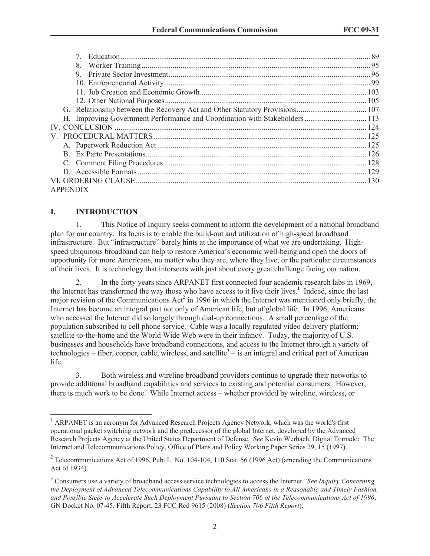| 8.                                                                         |  |
|----------------------------------------------------------------------------|--|
| 9                                                                          |  |
|                                                                            |  |
|                                                                            |  |
|                                                                            |  |
|                                                                            |  |
| H. Improving Government Performance and Coordination with Stakeholders 113 |  |
|                                                                            |  |
|                                                                            |  |
|                                                                            |  |
|                                                                            |  |
|                                                                            |  |
|                                                                            |  |
|                                                                            |  |
| <b>APPENDIX</b>                                                            |  |

## **I. INTRODUCTION**

1. This Notice of Inquiry seeks comment to inform the development of a national broadband plan for our country. Its focus is to enable the build-out and utilization of high-speed broadband infrastructure. But "infrastructure" barely hints at the importance of what we are undertaking. Highspeed ubiquitous broadband can help to restore America's economic well-being and open the doors of opportunity for more Americans, no matter who they are, where they live, or the particular circumstances of their lives. It is technology that intersects with just about every great challenge facing our nation.

2. In the forty years since ARPANET first connected four academic research labs in 1969, the Internet has transformed the way those who have access to it live their lives.<sup>1</sup> Indeed, since the last major revision of the Communications  $\text{Act}^2$  in 1996 in which the Internet was mentioned only briefly, the Internet has become an integral part not only of American life, but of global life. In 1996, Americans who accessed the Internet did so largely through dial-up connections. A small percentage of the population subscribed to cell phone service. Cable was a locally-regulated video delivery platform; satellite-to-the-home and the World Wide Web were in their infancy. Today, the majority of U.S. businesses and households have broadband connections, and access to the Internet through a variety of technologies – fiber, copper, cable, wireless, and satellite<sup>3</sup> – is an integral and critical part of American life.

3. Both wireless and wireline broadband providers continue to upgrade their networks to provide additional broadband capabilities and services to existing and potential consumers. However, there is much work to be done. While Internet access – whether provided by wireline, wireless, or

<sup>&</sup>lt;sup>1</sup> ARPANET is an acronym for Advanced Research Projects Agency Network, which was the world's first operational packet switching network and the predecessor of the global Internet, developed by the Advanced Research Projects Agency at the United States Department of Defense. *See* Kevin Werbach, Digital Tornado: The Internet and Telecommunications Policy, Office of Plans and Policy Working Paper Series 29, 15 (1997).

<sup>&</sup>lt;sup>2</sup> Telecommunications Act of 1996, Pub. L. No. 104-104, 110 Stat. 56 (1996 Act) (amending the Communications Act of 1934).

<sup>3</sup> Consumers use a variety of broadband access service technologies to access the Internet. *See Inquiry Concerning the Deployment of Advanced Telecommunications Capability to All Americans in a Reasonable and Timely Fashion, and Possible Steps to Accelerate Such Deployment Pursuant to Section 706 of the Telecommunications Act of 1996*, GN Docket No. 07-45, Fifth Report, 23 FCC Rcd 9615 (2008) (*Section 706 Fifth Report*).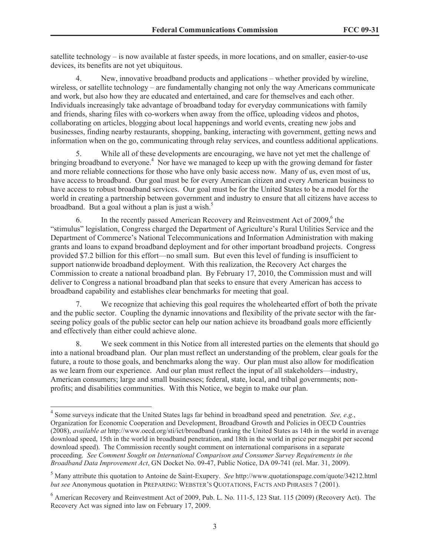satellite technology – is now available at faster speeds, in more locations, and on smaller, easier-to-use devices, its benefits are not yet ubiquitous.

4. New, innovative broadband products and applications – whether provided by wireline, wireless, or satellite technology – are fundamentally changing not only the way Americans communicate and work, but also how they are educated and entertained, and care for themselves and each other. Individuals increasingly take advantage of broadband today for everyday communications with family and friends, sharing files with co-workers when away from the office, uploading videos and photos, collaborating on articles, blogging about local happenings and world events, creating new jobs and businesses, finding nearby restaurants, shopping, banking, interacting with government, getting news and information when on the go, communicating through relay services, and countless additional applications.

5. While all of these developments are encouraging, we have not yet met the challenge of bringing broadband to everyone.<sup>4</sup> Nor have we managed to keep up with the growing demand for faster and more reliable connections for those who have only basic access now. Many of us, even most of us, have access to broadband. Our goal must be for every American citizen and every American business to have access to robust broadband services. Our goal must be for the United States to be a model for the world in creating a partnership between government and industry to ensure that all citizens have access to broadband. But a goal without a plan is just a wish. $5$ 

6. In the recently passed American Recovery and Reinvestment Act of 2009,<sup>6</sup> the "stimulus" legislation, Congress charged the Department of Agriculture's Rural Utilities Service and the Department of Commerce's National Telecommunications and Information Administration with making grants and loans to expand broadband deployment and for other important broadband projects. Congress provided \$7.2 billion for this effort—no small sum. But even this level of funding is insufficient to support nationwide broadband deployment. With this realization, the Recovery Act charges the Commission to create a national broadband plan. By February 17, 2010, the Commission must and will deliver to Congress a national broadband plan that seeks to ensure that every American has access to broadband capability and establishes clear benchmarks for meeting that goal.

7. We recognize that achieving this goal requires the wholehearted effort of both the private and the public sector. Coupling the dynamic innovations and flexibility of the private sector with the farseeing policy goals of the public sector can help our nation achieve its broadband goals more efficiently and effectively than either could achieve alone.

8. We seek comment in this Notice from all interested parties on the elements that should go into a national broadband plan. Our plan must reflect an understanding of the problem, clear goals for the future, a route to those goals, and benchmarks along the way. Our plan must also allow for modification as we learn from our experience. And our plan must reflect the input of all stakeholders—industry, American consumers; large and small businesses; federal, state, local, and tribal governments; nonprofits; and disabilities communities. With this Notice, we begin to make our plan.

<sup>4</sup> Some surveys indicate that the United States lags far behind in broadband speed and penetration. *See, e.g.*, Organization for Economic Cooperation and Development, Broadband Growth and Policies in OECD Countries (2008), *available at* http://www.oecd.org/sti/ict/broadband (ranking the United States as 14th in the world in average download speed, 15th in the world in broadband penetration, and 18th in the world in price per megabit per second download speed). The Commission recently sought comment on international comparisons in a separate proceeding. *See Comment Sought on International Comparison and Consumer Survey Requirements in the Broadband Data Improvement Act*, GN Docket No. 09-47, Public Notice, DA 09-741 (rel. Mar. 31, 2009).

<sup>5</sup> Many attribute this quotation to Antoine de Saint-Exupery. *See* http://www.quotationspage.com/quote/34212.html *but see* Anonymous quotation in PREPARING: WEBSTER'S QUOTATIONS, FACTS AND PHRASES 7 (2001).

 $6$  American Recovery and Reinvestment Act of 2009, Pub. L. No. 111-5, 123 Stat. 115 (2009) (Recovery Act). The Recovery Act was signed into law on February 17, 2009.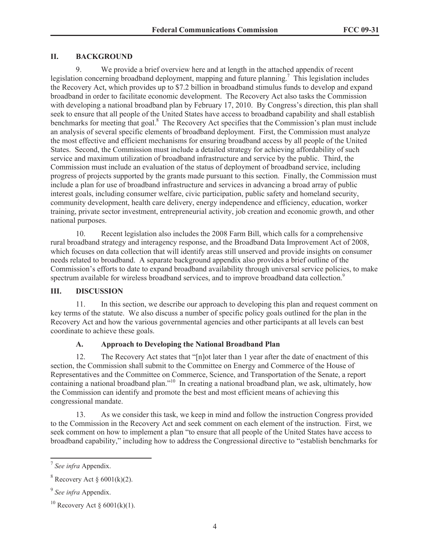### **II. BACKGROUND**

9. We provide a brief overview here and at length in the attached appendix of recent legislation concerning broadband deployment, mapping and future planning.<sup>7</sup> This legislation includes the Recovery Act, which provides up to \$7.2 billion in broadband stimulus funds to develop and expand broadband in order to facilitate economic development. The Recovery Act also tasks the Commission with developing a national broadband plan by February 17, 2010. By Congress's direction, this plan shall seek to ensure that all people of the United States have access to broadband capability and shall establish benchmarks for meeting that goal.<sup>8</sup> The Recovery Act specifies that the Commission's plan must include an analysis of several specific elements of broadband deployment. First, the Commission must analyze the most effective and efficient mechanisms for ensuring broadband access by all people of the United States. Second, the Commission must include a detailed strategy for achieving affordability of such service and maximum utilization of broadband infrastructure and service by the public. Third, the Commission must include an evaluation of the status of deployment of broadband service, including progress of projects supported by the grants made pursuant to this section. Finally, the Commission must include a plan for use of broadband infrastructure and services in advancing a broad array of public interest goals, including consumer welfare, civic participation, public safety and homeland security, community development, health care delivery, energy independence and efficiency, education, worker training, private sector investment, entrepreneurial activity, job creation and economic growth, and other national purposes.

10. Recent legislation also includes the 2008 Farm Bill, which calls for a comprehensive rural broadband strategy and interagency response, and the Broadband Data Improvement Act of 2008, which focuses on data collection that will identify areas still unserved and provide insights on consumer needs related to broadband. A separate background appendix also provides a brief outline of the Commission's efforts to date to expand broadband availability through universal service policies, to make spectrum available for wireless broadband services, and to improve broadband data collection.<sup>9</sup>

### **III. DISCUSSION**

11. In this section, we describe our approach to developing this plan and request comment on key terms of the statute. We also discuss a number of specific policy goals outlined for the plan in the Recovery Act and how the various governmental agencies and other participants at all levels can best coordinate to achieve these goals.

### **A. Approach to Developing the National Broadband Plan**

12. The Recovery Act states that "[n]ot later than 1 year after the date of enactment of this section, the Commission shall submit to the Committee on Energy and Commerce of the House of Representatives and the Committee on Commerce, Science, and Transportation of the Senate, a report containing a national broadband plan."<sup>10</sup> In creating a national broadband plan, we ask, ultimately, how the Commission can identify and promote the best and most efficient means of achieving this congressional mandate.

13. As we consider this task, we keep in mind and follow the instruction Congress provided to the Commission in the Recovery Act and seek comment on each element of the instruction. First, we seek comment on how to implement a plan "to ensure that all people of the United States have access to broadband capability," including how to address the Congressional directive to "establish benchmarks for

<sup>7</sup> *See infra* Appendix.

 $8$  Recovery Act  $§$  6001(k)(2).

<sup>9</sup> *See infra* Appendix.

<sup>&</sup>lt;sup>10</sup> Recovery Act § 6001(k)(1).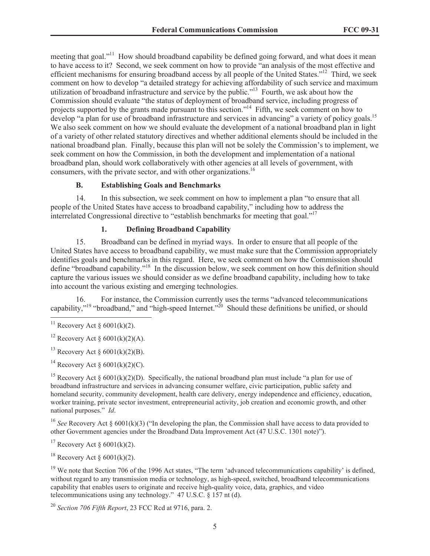meeting that goal."<sup>11</sup> How should broadband capability be defined going forward, and what does it mean to have access to it? Second, we seek comment on how to provide "an analysis of the most effective and efficient mechanisms for ensuring broadband access by all people of the United States."<sup>12</sup> Third, we seek comment on how to develop "a detailed strategy for achieving affordability of such service and maximum utilization of broadband infrastructure and service by the public."<sup>13</sup> Fourth, we ask about how the Commission should evaluate "the status of deployment of broadband service, including progress of projects supported by the grants made pursuant to this section."<sup>14</sup> Fifth, we seek comment on how to develop "a plan for use of broadband infrastructure and services in advancing" a variety of policy goals.<sup>15</sup> We also seek comment on how we should evaluate the development of a national broadband plan in light of a variety of other related statutory directives and whether additional elements should be included in the national broadband plan. Finally, because this plan will not be solely the Commission's to implement, we seek comment on how the Commission, in both the development and implementation of a national broadband plan, should work collaboratively with other agencies at all levels of government, with consumers, with the private sector, and with other organizations.<sup>16</sup>

### **B. Establishing Goals and Benchmarks**

14. In this subsection, we seek comment on how to implement a plan "to ensure that all people of the United States have access to broadband capability," including how to address the interrelated Congressional directive to "establish benchmarks for meeting that goal."<sup>17</sup>

# **1. Defining Broadband Capability**

15. Broadband can be defined in myriad ways. In order to ensure that all people of the United States have access to broadband capability, we must make sure that the Commission appropriately identifies goals and benchmarks in this regard. Here, we seek comment on how the Commission should define "broadband capability."<sup>18</sup> In the discussion below, we seek comment on how this definition should capture the various issues we should consider as we define broadband capability, including how to take into account the various existing and emerging technologies.

16. For instance, the Commission currently uses the terms "advanced telecommunications capability,"<sup>19</sup> "broadband," and "high-speed Internet."<sup>20</sup> Should these definitions be unified, or should

<sup>14</sup> Recovery Act  $\delta$  6001(k)(2)(C).

<sup>15</sup> Recovery Act § 6001(k)(2)(D). Specifically, the national broadband plan must include "a plan for use of broadband infrastructure and services in advancing consumer welfare, civic participation, public safety and homeland security, community development, health care delivery, energy independence and efficiency, education, worker training, private sector investment, entrepreneurial activity, job creation and economic growth, and other national purposes." *Id*.

<sup>16</sup> *See* Recovery Act § 6001(k)(3) ("In developing the plan, the Commission shall have access to data provided to other Government agencies under the Broadband Data Improvement Act (47 U.S.C. 1301 note)").

<sup>17</sup> Recovery Act §  $6001(k)(2)$ .

 $18$  Recovery Act  $\delta$  6001(k)(2).

<sup>19</sup> We note that Section 706 of the 1996 Act states, "The term 'advanced telecommunications capability' is defined, without regard to any transmission media or technology, as high-speed, switched, broadband telecommunications capability that enables users to originate and receive high-quality voice, data, graphics, and video telecommunications using any technology." 47 U.S.C. § 157 nt (d).

<sup>&</sup>lt;sup>11</sup> Recovery Act § 6001(k)(2).

<sup>&</sup>lt;sup>12</sup> Recovery Act §  $6001(k)(2)(A)$ .

<sup>&</sup>lt;sup>13</sup> Recovery Act §  $6001(k)(2)(B)$ .

<sup>20</sup> *Section 706 Fifth Report*, 23 FCC Rcd at 9716, para. 2.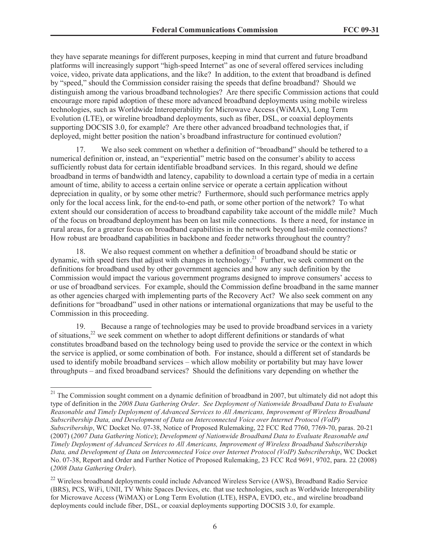they have separate meanings for different purposes, keeping in mind that current and future broadband platforms will increasingly support "high-speed Internet" as one of several offered services including voice, video, private data applications, and the like? In addition, to the extent that broadband is defined by "speed," should the Commission consider raising the speeds that define broadband? Should we distinguish among the various broadband technologies? Are there specific Commission actions that could encourage more rapid adoption of these more advanced broadband deployments using mobile wireless technologies, such as Worldwide Interoperability for Microwave Access (WiMAX), Long Term Evolution (LTE), or wireline broadband deployments, such as fiber, DSL, or coaxial deployments supporting DOCSIS 3.0, for example? Are there other advanced broadband technologies that, if deployed, might better position the nation's broadband infrastructure for continued evolution?

17. We also seek comment on whether a definition of "broadband" should be tethered to a numerical definition or, instead, an "experiential" metric based on the consumer's ability to access sufficiently robust data for certain identifiable broadband services. In this regard, should we define broadband in terms of bandwidth and latency, capability to download a certain type of media in a certain amount of time, ability to access a certain online service or operate a certain application without depreciation in quality, or by some other metric? Furthermore, should such performance metrics apply only for the local access link, for the end-to-end path, or some other portion of the network? To what extent should our consideration of access to broadband capability take account of the middle mile? Much of the focus on broadband deployment has been on last mile connections. Is there a need, for instance in rural areas, for a greater focus on broadband capabilities in the network beyond last-mile connections? How robust are broadband capabilities in backbone and feeder networks throughout the country?

18. We also request comment on whether a definition of broadband should be static or dynamic, with speed tiers that adjust with changes in technology.<sup>21</sup> Further, we seek comment on the definitions for broadband used by other government agencies and how any such definition by the Commission would impact the various government programs designed to improve consumers' access to or use of broadband services. For example, should the Commission define broadband in the same manner as other agencies charged with implementing parts of the Recovery Act? We also seek comment on any definitions for "broadband" used in other nations or international organizations that may be useful to the Commission in this proceeding.

19. Because a range of technologies may be used to provide broadband services in a variety of situations, $2^2$  we seek comment on whether to adopt different definitions or standards of what constitutes broadband based on the technology being used to provide the service or the context in which the service is applied, or some combination of both. For instance, should a different set of standards be used to identify mobile broadband services – which allow mobility or portability but may have lower throughputs – and fixed broadband services? Should the definitions vary depending on whether the

 $21$  The Commission sought comment on a dynamic definition of broadband in 2007, but ultimately did not adopt this type of definition in the *2008 Data Gathering Order*. *See Deployment of Nationwide Broadband Data to Evaluate Reasonable and Timely Deployment of Advanced Services to All Americans, Improvement of Wireless Broadband Subscribership Data, and Development of Data on Interconnected Voice over Internet Protocol (VoIP) Subscribership*, WC Docket No. 07-38, Notice of Proposed Rulemaking, 22 FCC Rcd 7760, 7769-70, paras. 20-21 (2007) (*2007 Data Gathering Notice*); *Development of Nationwide Broadband Data to Evaluate Reasonable and Timely Deployment of Advanced Services to All Americans, Improvement of Wireless Broadband Subscribership Data, and Development of Data on Interconnected Voice over Internet Protocol (VoIP) Subscribership*, WC Docket No. 07-38, Report and Order and Further Notice of Proposed Rulemaking, 23 FCC Rcd 9691, 9702, para. 22 (2008) (*2008 Data Gathering Order*).

<sup>&</sup>lt;sup>22</sup> Wireless broadband deployments could include Advanced Wireless Service (AWS), Broadband Radio Service (BRS), PCS, WiFi, UNII, TV White Spaces Devices, etc. that use technologies, such as Worldwide Interoperability for Microwave Access (WiMAX) or Long Term Evolution (LTE), HSPA, EVDO, etc., and wireline broadband deployments could include fiber, DSL, or coaxial deployments supporting DOCSIS 3.0, for example.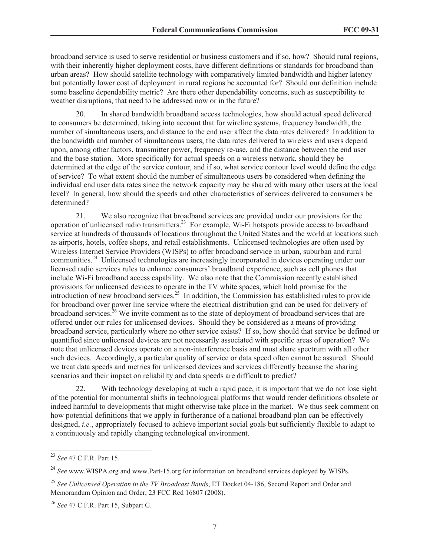broadband service is used to serve residential or business customers and if so, how? Should rural regions, with their inherently higher deployment costs, have different definitions or standards for broadband than urban areas? How should satellite technology with comparatively limited bandwidth and higher latency but potentially lower cost of deployment in rural regions be accounted for? Should our definition include some baseline dependability metric? Are there other dependability concerns, such as susceptibility to weather disruptions, that need to be addressed now or in the future?

20. In shared bandwidth broadband access technologies, how should actual speed delivered to consumers be determined, taking into account that for wireline systems, frequency bandwidth, the number of simultaneous users, and distance to the end user affect the data rates delivered? In addition to the bandwidth and number of simultaneous users, the data rates delivered to wireless end users depend upon, among other factors, transmitter power, frequency re-use, and the distance between the end user and the base station. More specifically for actual speeds on a wireless network, should they be determined at the edge of the service contour, and if so, what service contour level would define the edge of service? To what extent should the number of simultaneous users be considered when defining the individual end user data rates since the network capacity may be shared with many other users at the local level? In general, how should the speeds and other characteristics of services delivered to consumers be determined?

21. We also recognize that broadband services are provided under our provisions for the operation of unlicensed radio transmitters.<sup>23</sup> For example, Wi-Fi hotspots provide access to broadband service at hundreds of thousands of locations throughout the United States and the world at locations such as airports, hotels, coffee shops, and retail establishments. Unlicensed technologies are often used by Wireless Internet Service Providers (WISPs) to offer broadband service in urban, suburban and rural communities.<sup>24</sup> Unlicensed technologies are increasingly incorporated in devices operating under our licensed radio services rules to enhance consumers' broadband experience, such as cell phones that include Wi-Fi broadband access capability. We also note that the Commission recently established provisions for unlicensed devices to operate in the TV white spaces, which hold promise for the introduction of new broadband services.<sup>25</sup> In addition, the Commission has established rules to provide for broadband over power line service where the electrical distribution grid can be used for delivery of broadband services.<sup>26</sup> We invite comment as to the state of deployment of broadband services that are offered under our rules for unlicensed devices. Should they be considered as a means of providing broadband service, particularly where no other service exists? If so, how should that service be defined or quantified since unlicensed devices are not necessarily associated with specific areas of operation? We note that unlicensed devices operate on a non-interference basis and must share spectrum with all other such devices. Accordingly, a particular quality of service or data speed often cannot be assured. Should we treat data speeds and metrics for unlicensed devices and services differently because the sharing scenarios and their impact on reliability and data speeds are difficult to predict?

22. With technology developing at such a rapid pace, it is important that we do not lose sight of the potential for monumental shifts in technological platforms that would render definitions obsolete or indeed harmful to developments that might otherwise take place in the market. We thus seek comment on how potential definitions that we apply in furtherance of a national broadband plan can be effectively designed, *i.e.*, appropriately focused to achieve important social goals but sufficiently flexible to adapt to a continuously and rapidly changing technological environment.

<sup>23</sup> *See* 47 C.F.R. Part 15.

<sup>24</sup> *See* www.WISPA.org and www.Part-15.org for information on broadband services deployed by WISPs.

<sup>25</sup> *See Unlicensed Operation in the TV Broadcast Bands*, ET Docket 04-186, Second Report and Order and Memorandum Opinion and Order, 23 FCC Rcd 16807 (2008).

<sup>26</sup> *See* 47 C.F.R. Part 15, Subpart G.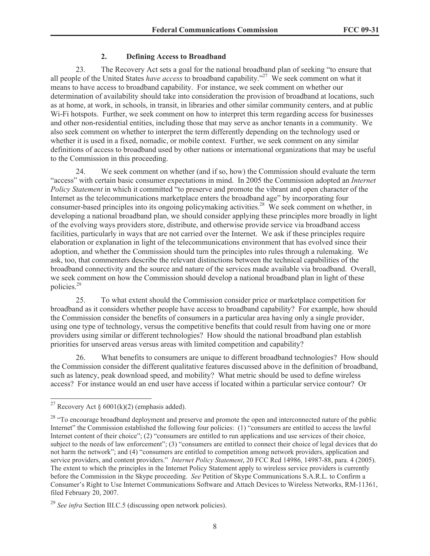#### **2. Defining Access to Broadband**

23. The Recovery Act sets a goal for the national broadband plan of seeking "to ensure that all people of the United States *have access* to broadband capability."<sup>27</sup> We seek comment on what it means to have access to broadband capability. For instance, we seek comment on whether our determination of availability should take into consideration the provision of broadband at locations, such as at home, at work, in schools, in transit, in libraries and other similar community centers, and at public Wi-Fi hotspots. Further, we seek comment on how to interpret this term regarding access for businesses and other non-residential entities, including those that may serve as anchor tenants in a community. We also seek comment on whether to interpret the term differently depending on the technology used or whether it is used in a fixed, nomadic, or mobile context. Further, we seek comment on any similar definitions of access to broadband used by other nations or international organizations that may be useful to the Commission in this proceeding.

24. We seek comment on whether (and if so, how) the Commission should evaluate the term "access" with certain basic consumer expectations in mind. In 2005 the Commission adopted an *Internet Policy Statement* in which it committed "to preserve and promote the vibrant and open character of the Internet as the telecommunications marketplace enters the broadband age" by incorporating four consumer-based principles into its ongoing policymaking activities.<sup>28</sup> We seek comment on whether, in developing a national broadband plan, we should consider applying these principles more broadly in light of the evolving ways providers store, distribute, and otherwise provide service via broadband access facilities, particularly in ways that are not carried over the Internet. We ask if these principles require elaboration or explanation in light of the telecommunications environment that has evolved since their adoption, and whether the Commission should turn the principles into rules through a rulemaking. We ask, too, that commenters describe the relevant distinctions between the technical capabilities of the broadband connectivity and the source and nature of the services made available via broadband. Overall, we seek comment on how the Commission should develop a national broadband plan in light of these policies.<sup>29</sup>

25. To what extent should the Commission consider price or marketplace competition for broadband as it considers whether people have access to broadband capability? For example, how should the Commission consider the benefits of consumers in a particular area having only a single provider, using one type of technology, versus the competitive benefits that could result from having one or more providers using similar or different technologies? How should the national broadband plan establish priorities for unserved areas versus areas with limited competition and capability?

26. What benefits to consumers are unique to different broadband technologies? How should the Commission consider the different qualitative features discussed above in the definition of broadband, such as latency, peak download speed, and mobility? What metric should be used to define wireless access? For instance would an end user have access if located within a particular service contour? Or

<sup>&</sup>lt;sup>27</sup> Recovery Act § 6001(k)(2) (emphasis added).

<sup>&</sup>lt;sup>28</sup> "To encourage broadband deployment and preserve and promote the open and interconnected nature of the public Internet" the Commission established the following four policies: (1) "consumers are entitled to access the lawful Internet content of their choice"; (2) "consumers are entitled to run applications and use services of their choice, subject to the needs of law enforcement"; (3) "consumers are entitled to connect their choice of legal devices that do not harm the network"; and (4) "consumers are entitled to competition among network providers, application and service providers, and content providers." *Internet Policy Statement*, 20 FCC Rcd 14986, 14987-88, para. 4 (2005). The extent to which the principles in the Internet Policy Statement apply to wireless service providers is currently before the Commission in the Skype proceeding. *See* Petition of Skype Communications S.A.R.L. to Confirm a Consumer's Right to Use Internet Communications Software and Attach Devices to Wireless Networks, RM-11361, filed February 20, 2007.

<sup>29</sup> *See infra* Section III.C.5 (discussing open network policies).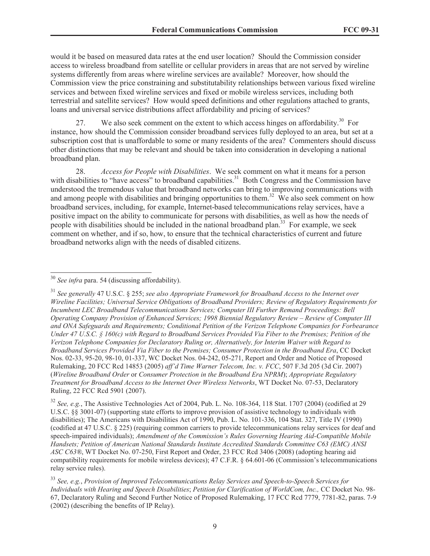would it be based on measured data rates at the end user location? Should the Commission consider access to wireless broadband from satellite or cellular providers in areas that are not served by wireline systems differently from areas where wireline services are available? Moreover, how should the Commission view the price constraining and substitutability relationships between various fixed wireline services and between fixed wireline services and fixed or mobile wireless services, including both terrestrial and satellite services? How would speed definitions and other regulations attached to grants, loans and universal service distributions affect affordability and pricing of services?

27. We also seek comment on the extent to which access hinges on affordability.<sup>30</sup> For instance, how should the Commission consider broadband services fully deployed to an area, but set at a subscription cost that is unaffordable to some or many residents of the area? Commenters should discuss other distinctions that may be relevant and should be taken into consideration in developing a national broadband plan.

28. *Access for People with Disabilities*. We seek comment on what it means for a person with disabilities to "have access" to broadband capabilities.<sup>31</sup> Both Congress and the Commission have understood the tremendous value that broadband networks can bring to improving communications with and among people with disabilities and bringing opportunities to them.<sup>32</sup> We also seek comment on how broadband services, including, for example, Internet-based telecommunications relay services, have a positive impact on the ability to communicate for persons with disabilities, as well as how the needs of people with disabilities should be included in the national broadband plan.<sup>33</sup> For example, we seek comment on whether, and if so, how, to ensure that the technical characteristics of current and future broadband networks align with the needs of disabled citizens.

<sup>32</sup> *See, e.g.*, The Assistive Technologies Act of 2004, Pub. L. No. 108-364, 118 Stat. 1707 (2004) (codified at 29 U.S.C. §§ 3001-07) (supporting state efforts to improve provision of assistive technology to individuals with disabilities); The Americans with Disabilities Act of 1990, Pub. L. No. 101-336, 104 Stat. 327, Title IV (1990) (codified at 47 U.S.C. § 225) (requiring common carriers to provide telecommunications relay services for deaf and speech-impaired individuals); *Amendment of the Commission's Rules Governing Hearing Aid-Compatible Mobile Handsets; Petition of American National Standards Institute Accredited Standards Committee C63 (EMC) ANSI ASC C63®*, WT Docket No. 07-250, First Report and Order, 23 FCC Rcd 3406 (2008) (adopting hearing aid compatibility requirements for mobile wireless devices); 47 C.F.R. § 64.601-06 (Commission's telecommunications relay service rules).

<sup>30</sup> *See infra* para. 54 (discussing affordability).

<sup>31</sup> *See generally* 47 U.S.C. § 255; *see also Appropriate Framework for Broadband Access to the Internet over Wireline Facilities; Universal Service Obligations of Broadband Providers; Review of Regulatory Requirements for Incumbent LEC Broadband Telecommunications Services; Computer III Further Remand Proceedings: Bell Operating Company Provision of Enhanced Services; 1998 Biennial Regulatory Review – Review of Computer III and ONA Safeguards and Requirements; Conditional Petition of the Verizon Telephone Companies for Forbearance Under 47 U.S.C. § 160(c) with Regard to Broadband Services Provided Via Fiber to the Premises; Petition of the Verizon Telephone Companies for Declaratory Ruling or, Alternatively, for Interim Waiver with Regard to Broadband Services Provided Via Fiber to the Premises; Consumer Protection in the Broadband Era*, CC Docket Nos. 02-33, 95-20, 98-10, 01-337, WC Docket Nos. 04-242, 05-271, Report and Order and Notice of Proposed Rulemaking, 20 FCC Rcd 14853 (2005) *aff'd Time Warner Telecom, Inc. v. FCC*, 507 F.3d 205 (3d Cir. 2007) (*Wireline Broadband Order* or *Consumer Protection in the Broadband Era NPRM*); *Appropriate Regulatory Treatment for Broadband Access to the Internet Over Wireless Networks*, WT Docket No. 07-53, Declaratory Ruling, 22 FCC Rcd 5901 (2007).

<sup>33</sup> *See, e.g.*, *Provision of Improved Telecommunications Relay Services and Speech-to-Speech Services for Individuals with Hearing and Speech Disabilities*; *Petition for Clarification of WorldCom, Inc.,* CC Docket No. 98- 67, Declaratory Ruling and Second Further Notice of Proposed Rulemaking, 17 FCC Rcd 7779, 7781-82, paras. 7-9 (2002) (describing the benefits of IP Relay).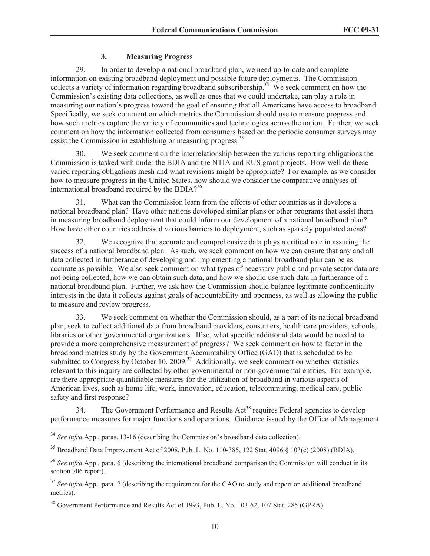# **3. Measuring Progress**

29. In order to develop a national broadband plan, we need up-to-date and complete information on existing broadband deployment and possible future deployments. The Commission collects a variety of information regarding broadband subscribership.<sup>34</sup> We seek comment on how the Commission's existing data collections, as well as ones that we could undertake, can play a role in measuring our nation's progress toward the goal of ensuring that all Americans have access to broadband. Specifically, we seek comment on which metrics the Commission should use to measure progress and how such metrics capture the variety of communities and technologies across the nation. Further, we seek comment on how the information collected from consumers based on the periodic consumer surveys may assist the Commission in establishing or measuring progress.<sup>35</sup>

30. We seek comment on the interrelationship between the various reporting obligations the Commission is tasked with under the BDIA and the NTIA and RUS grant projects. How well do these varied reporting obligations mesh and what revisions might be appropriate? For example, as we consider how to measure progress in the United States, how should we consider the comparative analyses of international broadband required by the BDIA? $36$ 

31. What can the Commission learn from the efforts of other countries as it develops a national broadband plan? Have other nations developed similar plans or other programs that assist them in measuring broadband deployment that could inform our development of a national broadband plan? How have other countries addressed various barriers to deployment, such as sparsely populated areas?

32. We recognize that accurate and comprehensive data plays a critical role in assuring the success of a national broadband plan. As such, we seek comment on how we can ensure that any and all data collected in furtherance of developing and implementing a national broadband plan can be as accurate as possible. We also seek comment on what types of necessary public and private sector data are not being collected, how we can obtain such data, and how we should use such data in furtherance of a national broadband plan. Further, we ask how the Commission should balance legitimate confidentiality interests in the data it collects against goals of accountability and openness, as well as allowing the public to measure and review progress.

33. We seek comment on whether the Commission should, as a part of its national broadband plan, seek to collect additional data from broadband providers, consumers, health care providers, schools, libraries or other governmental organizations. If so, what specific additional data would be needed to provide a more comprehensive measurement of progress? We seek comment on how to factor in the broadband metrics study by the Government Accountability Office (GAO) that is scheduled to be submitted to Congress by October 10, 2009. $37$  Additionally, we seek comment on whether statistics relevant to this inquiry are collected by other governmental or non-governmental entities. For example, are there appropriate quantifiable measures for the utilization of broadband in various aspects of American lives, such as home life, work, innovation, education, telecommuting, medical care, public safety and first response?

34. The Government Performance and Results Act<sup>38</sup> requires Federal agencies to develop performance measures for major functions and operations. Guidance issued by the Office of Management

<sup>34</sup> *See infra* App., paras. 13-16 (describing the Commission's broadband data collection).

<sup>35</sup> Broadband Data Improvement Act of 2008, Pub. L. No. 110-385, 122 Stat. 4096 § 103(c) (2008) (BDIA).

<sup>36</sup> *See infra* App., para. 6 (describing the international broadband comparison the Commission will conduct in its section 706 report).

<sup>&</sup>lt;sup>37</sup> See infra App., para. 7 (describing the requirement for the GAO to study and report on additional broadband metrics).

<sup>38</sup> Government Performance and Results Act of 1993, Pub. L. No. 103-62, 107 Stat. 285 (GPRA).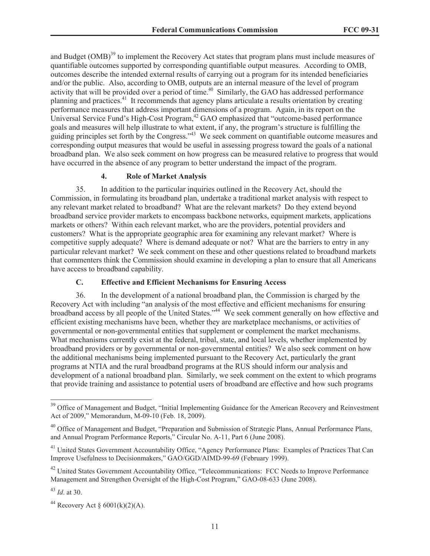and Budget (OMB)<sup>39</sup> to implement the Recovery Act states that program plans must include measures of quantifiable outcomes supported by corresponding quantifiable output measures. According to OMB, outcomes describe the intended external results of carrying out a program for its intended beneficiaries and/or the public. Also, according to OMB, outputs are an internal measure of the level of program activity that will be provided over a period of time.<sup>40</sup> Similarly, the GAO has addressed performance planning and practices.<sup>41</sup> It recommends that agency plans articulate a results orientation by creating performance measures that address important dimensions of a program. Again, in its report on the Universal Service Fund's High-Cost Program,<sup>42</sup> GAO emphasized that "outcome-based performance" goals and measures will help illustrate to what extent, if any, the program's structure is fulfilling the guiding principles set forth by the Congress."<sup>43</sup> We seek comment on quantifiable outcome measures and corresponding output measures that would be useful in assessing progress toward the goals of a national broadband plan. We also seek comment on how progress can be measured relative to progress that would have occurred in the absence of any program to better understand the impact of the program.

#### **4. Role of Market Analysis**

35. In addition to the particular inquiries outlined in the Recovery Act, should the Commission, in formulating its broadband plan, undertake a traditional market analysis with respect to any relevant market related to broadband? What are the relevant markets? Do they extend beyond broadband service provider markets to encompass backbone networks, equipment markets, applications markets or others? Within each relevant market, who are the providers, potential providers and customers? What is the appropriate geographic area for examining any relevant market? Where is competitive supply adequate? Where is demand adequate or not? What are the barriers to entry in any particular relevant market? We seek comment on these and other questions related to broadband markets that commenters think the Commission should examine in developing a plan to ensure that all Americans have access to broadband capability.

### **C. Effective and Efficient Mechanisms for Ensuring Access**

36. In the development of a national broadband plan, the Commission is charged by the Recovery Act with including "an analysis of the most effective and efficient mechanisms for ensuring broadband access by all people of the United States."<sup>44</sup> We seek comment generally on how effective and efficient existing mechanisms have been, whether they are marketplace mechanisms, or activities of governmental or non-governmental entities that supplement or complement the market mechanisms. What mechanisms currently exist at the federal, tribal, state, and local levels, whether implemented by broadband providers or by governmental or non-governmental entities? We also seek comment on how the additional mechanisms being implemented pursuant to the Recovery Act, particularly the grant programs at NTIA and the rural broadband programs at the RUS should inform our analysis and development of a national broadband plan. Similarly, we seek comment on the extent to which programs that provide training and assistance to potential users of broadband are effective and how such programs

<sup>&</sup>lt;sup>39</sup> Office of Management and Budget, "Initial Implementing Guidance for the American Recovery and Reinvestment Act of 2009," Memorandum, M-09-10 (Feb. 18, 2009).

<sup>&</sup>lt;sup>40</sup> Office of Management and Budget, "Preparation and Submission of Strategic Plans, Annual Performance Plans, and Annual Program Performance Reports," Circular No. A-11, Part 6 (June 2008).

<sup>&</sup>lt;sup>41</sup> United States Government Accountability Office, "Agency Performance Plans: Examples of Practices That Can Improve Usefulness to Decisionmakers," GAO/GGD/AIMD-99-69 (February 1999).

 $42$  United States Government Accountability Office, "Telecommunications: FCC Needs to Improve Performance Management and Strengthen Oversight of the High-Cost Program," GAO-08-633 (June 2008).

<sup>43</sup> *Id*. at 30.

<sup>&</sup>lt;sup>44</sup> Recovery Act §  $6001(k)(2)(A)$ .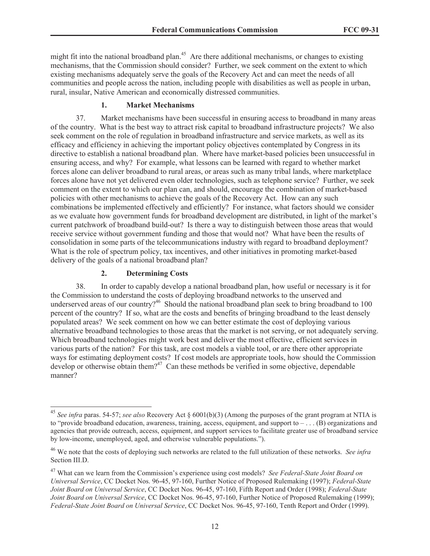might fit into the national broadband plan.<sup>45</sup> Are there additional mechanisms, or changes to existing mechanisms, that the Commission should consider? Further, we seek comment on the extent to which existing mechanisms adequately serve the goals of the Recovery Act and can meet the needs of all communities and people across the nation, including people with disabilities as well as people in urban, rural, insular, Native American and economically distressed communities.

#### **1. Market Mechanisms**

37. Market mechanisms have been successful in ensuring access to broadband in many areas of the country. What is the best way to attract risk capital to broadband infrastructure projects? We also seek comment on the role of regulation in broadband infrastructure and service markets, as well as its efficacy and efficiency in achieving the important policy objectives contemplated by Congress in its directive to establish a national broadband plan. Where have market-based policies been unsuccessful in ensuring access, and why? For example, what lessons can be learned with regard to whether market forces alone can deliver broadband to rural areas, or areas such as many tribal lands, where marketplace forces alone have not yet delivered even older technologies, such as telephone service? Further, we seek comment on the extent to which our plan can, and should, encourage the combination of market-based policies with other mechanisms to achieve the goals of the Recovery Act. How can any such combinations be implemented effectively and efficiently? For instance, what factors should we consider as we evaluate how government funds for broadband development are distributed, in light of the market's current patchwork of broadband build-out? Is there a way to distinguish between those areas that would receive service without government funding and those that would not? What have been the results of consolidation in some parts of the telecommunications industry with regard to broadband deployment? What is the role of spectrum policy, tax incentives, and other initiatives in promoting market-based delivery of the goals of a national broadband plan?

#### **2. Determining Costs**

38. In order to capably develop a national broadband plan, how useful or necessary is it for the Commission to understand the costs of deploying broadband networks to the unserved and underserved areas of our country?<sup>46</sup> Should the national broadband plan seek to bring broadband to 100 percent of the country? If so, what are the costs and benefits of bringing broadband to the least densely populated areas? We seek comment on how we can better estimate the cost of deploying various alternative broadband technologies to those areas that the market is not serving, or not adequately serving. Which broadband technologies might work best and deliver the most effective, efficient services in various parts of the nation? For this task, are cost models a viable tool, or are there other appropriate ways for estimating deployment costs? If cost models are appropriate tools, how should the Commission develop or otherwise obtain them?<sup>47</sup> Can these methods be verified in some objective, dependable manner?

<sup>45</sup> *See infra* paras. 54-57; *see also* Recovery Act § 6001(b)(3) (Among the purposes of the grant program at NTIA is to "provide broadband education, awareness, training, access, equipment, and support to – . . . (B) organizations and agencies that provide outreach, access, equipment, and support services to facilitate greater use of broadband service by low-income, unemployed, aged, and otherwise vulnerable populations.").

<sup>46</sup> We note that the costs of deploying such networks are related to the full utilization of these networks. *See infra* Section III.D.

<sup>47</sup> What can we learn from the Commission's experience using cost models? *See Federal-State Joint Board on Universal Service*, CC Docket Nos. 96-45, 97-160, Further Notice of Proposed Rulemaking (1997); *Federal-State Joint Board on Universal Service*, CC Docket Nos. 96-45, 97-160, Fifth Report and Order (1998); *Federal-State Joint Board on Universal Service*, CC Docket Nos. 96-45, 97-160, Further Notice of Proposed Rulemaking (1999); *Federal-State Joint Board on Universal Service*, CC Docket Nos. 96-45, 97-160, Tenth Report and Order (1999).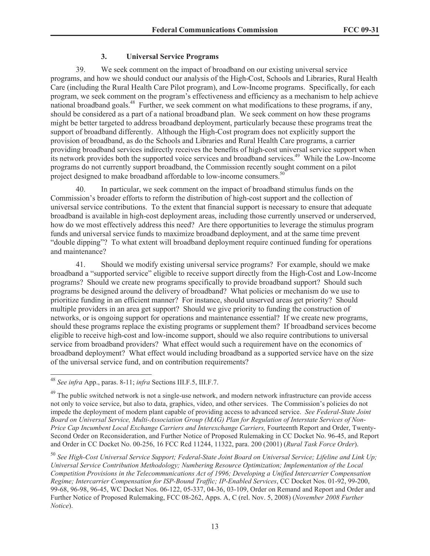# **3. Universal Service Programs**

39. We seek comment on the impact of broadband on our existing universal service programs, and how we should conduct our analysis of the High-Cost, Schools and Libraries, Rural Health Care (including the Rural Health Care Pilot program), and Low-Income programs. Specifically, for each program, we seek comment on the program's effectiveness and efficiency as a mechanism to help achieve national broadband goals.<sup>48</sup> Further, we seek comment on what modifications to these programs, if any, should be considered as a part of a national broadband plan. We seek comment on how these programs might be better targeted to address broadband deployment, particularly because these programs treat the support of broadband differently. Although the High-Cost program does not explicitly support the provision of broadband, as do the Schools and Libraries and Rural Health Care programs, a carrier providing broadband services indirectly receives the benefits of high-cost universal service support when its network provides both the supported voice services and broadband services.<sup>49</sup> While the Low-Income programs do not currently support broadband, the Commission recently sought comment on a pilot project designed to make broadband affordable to low-income consumers.<sup>50</sup>

40. In particular, we seek comment on the impact of broadband stimulus funds on the Commission's broader efforts to reform the distribution of high-cost support and the collection of universal service contributions. To the extent that financial support is necessary to ensure that adequate broadband is available in high-cost deployment areas, including those currently unserved or underserved, how do we most effectively address this need? Are there opportunities to leverage the stimulus program funds and universal service funds to maximize broadband deployment, and at the same time prevent "double dipping"? To what extent will broadband deployment require continued funding for operations and maintenance?

41. Should we modify existing universal service programs? For example, should we make broadband a "supported service" eligible to receive support directly from the High-Cost and Low-Income programs? Should we create new programs specifically to provide broadband support? Should such programs be designed around the delivery of broadband? What policies or mechanism do we use to prioritize funding in an efficient manner? For instance, should unserved areas get priority? Should multiple providers in an area get support? Should we give priority to funding the construction of networks, or is ongoing support for operations and maintenance essential? If we create new programs, should these programs replace the existing programs or supplement them? If broadband services become eligible to receive high-cost and low-income support, should we also require contributions to universal service from broadband providers? What effect would such a requirement have on the economics of broadband deployment? What effect would including broadband as a supported service have on the size of the universal service fund, and on contribution requirements?

<sup>48</sup> *See infra* App., paras. 8-11; *infra* Sections III.F.5, III.F.7.

<sup>&</sup>lt;sup>49</sup> The public switched network is not a single-use network, and modern network infrastructure can provide access not only to voice service, but also to data, graphics, video, and other services. The Commission's policies do not impede the deployment of modern plant capable of providing access to advanced service. *See Federal-State Joint Board on Universal Service, Multi-Association Group (MAG) Plan for Regulation of Interstate Services of Non-Price Cap Incumbent Local Exchange Carriers and Interexchange Carriers, Fourteenth Report and Order, Twenty-*Second Order on Reconsideration, and Further Notice of Proposed Rulemaking in CC Docket No. 96-45, and Report and Order in CC Docket No. 00-256, 16 FCC Rcd 11244, 11322, para. 200 (2001) (*Rural Task Force Order*).

<sup>50</sup> *See High-Cost Universal Service Support; Federal-State Joint Board on Universal Service; Lifeline and Link Up; Universal Service Contribution Methodology; Numbering Resource Optimization; Implementation of the Local Competition Provisions in the Telecommunications Act of 1996; Developing a Unified Intercarrier Compensation Regime; Intercarrier Compensation for ISP-Bound Traffic; IP-Enabled Services*, CC Docket Nos. 01-92, 99-200, 99-68, 96-98, 96-45, WC Docket Nos. 06-122, 05-337, 04-36, 03-109, Order on Remand and Report and Order and Further Notice of Proposed Rulemaking, FCC 08-262, Apps. A, C (rel. Nov. 5, 2008) (*November 2008 Further Notice*).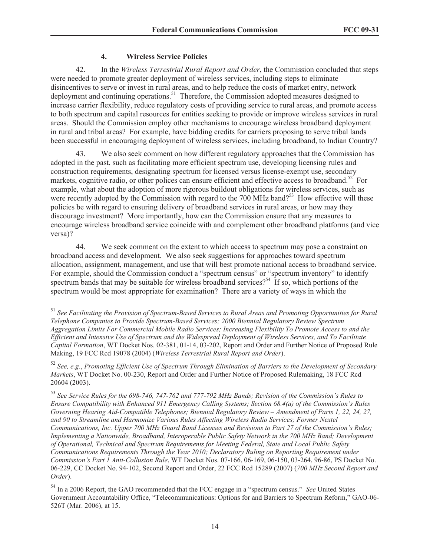## **4. Wireless Service Policies**

42. In the *Wireless Terrestrial Rural Report and Order*, the Commission concluded that steps were needed to promote greater deployment of wireless services, including steps to eliminate disincentives to serve or invest in rural areas, and to help reduce the costs of market entry, network deployment and continuing operations.<sup>51</sup> Therefore, the Commission adopted measures designed to increase carrier flexibility, reduce regulatory costs of providing service to rural areas, and promote access to both spectrum and capital resources for entities seeking to provide or improve wireless services in rural areas. Should the Commission employ other mechanisms to encourage wireless broadband deployment in rural and tribal areas? For example, have bidding credits for carriers proposing to serve tribal lands been successful in encouraging deployment of wireless services, including broadband, to Indian Country?

43. We also seek comment on how different regulatory approaches that the Commission has adopted in the past, such as facilitating more efficient spectrum use, developing licensing rules and construction requirements, designating spectrum for licensed versus license-exempt use, secondary markets, cognitive radio, or other polices can ensure efficient and effective access to broadband.<sup>52</sup> For example, what about the adoption of more rigorous buildout obligations for wireless services, such as were recently adopted by the Commission with regard to the  $700$  MHz band?<sup>53</sup> How effective will these policies be with regard to ensuring delivery of broadband services in rural areas, or how may they discourage investment? More importantly, how can the Commission ensure that any measures to encourage wireless broadband service coincide with and complement other broadband platforms (and vice versa)?

44. We seek comment on the extent to which access to spectrum may pose a constraint on broadband access and development. We also seek suggestions for approaches toward spectrum allocation, assignment, management, and use that will best promote national access to broadband service. For example, should the Commission conduct a "spectrum census" or "spectrum inventory" to identify spectrum bands that may be suitable for wireless broadband services?<sup>54</sup> If so, which portions of the spectrum would be most appropriate for examination? There are a variety of ways in which the

<sup>51</sup> *See Facilitating the Provision of Spectrum-Based Services to Rural Areas and Promoting Opportunities for Rural Telephone Companies to Provide Spectrum-Based Services; 2000 Biennial Regulatory Review Spectrum Aggregation Limits For Commercial Mobile Radio Services; Increasing Flexibility To Promote Access to and the Efficient and Intensive Use of Spectrum and the Widespread Deployment of Wireless Services, and To Facilitate Capital Formation*, WT Docket Nos. 02-381, 01-14, 03-202, Report and Order and Further Notice of Proposed Rule Making, 19 FCC Rcd 19078 (2004) (*Wireless Terrestrial Rural Report and Order*).

<sup>52</sup> *See, e.g.*, *Promoting Efficient Use of Spectrum Through Elimination of Barriers to the Development of Secondary Markets*, WT Docket No. 00-230, Report and Order and Further Notice of Proposed Rulemaking, 18 FCC Rcd 20604 (2003).

<sup>53</sup> *See Service Rules for the 698-746, 747-762 and 777-792 MHz Bands; Revision of the Commission's Rules to Ensure Compatibility with Enhanced 911 Emergency Calling Systems; Section 68.4(a) of the Commission's Rules Governing Hearing Aid-Compatible Telephones; Biennial Regulatory Review – Amendment of Parts 1, 22, 24, 27, and 90 to Streamline and Harmonize Various Rules Affecting Wireless Radio Services; Former Nextel Communications, Inc. Upper 700 MHz Guard Band Licenses and Revisions to Part 27 of the Commission's Rules; Implementing a Nationwide, Broadband, Interoperable Public Safety Network in the 700 MHz Band; Development of Operational, Technical and Spectrum Requirements for Meeting Federal, State and Local Public Safety Communications Requirements Through the Year 2010; Declaratory Ruling on Reporting Requirement under Commission's Part 1 Anti-Collusion Rule*, WT Docket Nos. 07-166, 06-169, 06-150, 03-264, 96-86, PS Docket No. 06-229, CC Docket No. 94-102, Second Report and Order, 22 FCC Rcd 15289 (2007) (*700 MHz Second Report and Order*).

<sup>54</sup> In a 2006 Report, the GAO recommended that the FCC engage in a "spectrum census." *See* United States Government Accountability Office, "Telecommunications: Options for and Barriers to Spectrum Reform," GAO-06- 526T (Mar. 2006), at 15.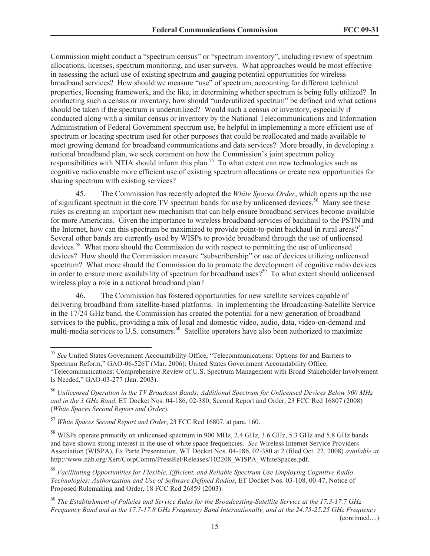Commission might conduct a "spectrum census" or "spectrum inventory", including review of spectrum allocations, licenses, spectrum monitoring, and user surveys. What approaches would be most effective in assessing the actual use of existing spectrum and gauging potential opportunities for wireless broadband services? How should we measure "use" of spectrum, accounting for different technical properties, licensing framework, and the like, in determining whether spectrum is being fully utilized? In conducting such a census or inventory, how should "underutilized spectrum" be defined and what actions should be taken if the spectrum is underutilized? Would such a census or inventory, especially if conducted along with a similar census or inventory by the National Telecommunications and Information Administration of Federal Government spectrum use, be helpful in implementing a more efficient use of spectrum or locating spectrum used for other purposes that could be reallocated and made available to meet growing demand for broadband communications and data services? More broadly, in developing a national broadband plan, we seek comment on how the Commission's joint spectrum policy responsibilities with NTIA should inform this plan.<sup>55</sup> To what extent can new technologies such as cognitive radio enable more efficient use of existing spectrum allocations or create new opportunities for sharing spectrum with existing services?

45. The Commission has recently adopted the *White Spaces Order*, which opens up the use of significant spectrum in the core TV spectrum bands for use by unlicensed devices.<sup>56</sup> Many see these rules as creating an important new mechanism that can help ensure broadband services become available for more Americans. Given the importance to wireless broadband services of backhaul to the PSTN and the Internet, how can this spectrum be maximized to provide point-to-point backhaul in rural areas?<sup>57</sup> Several other bands are currently used by WISPs to provide broadband through the use of unlicensed devices.<sup>58</sup> What more should the Commission do with respect to permitting the use of unlicensed devices? How should the Commission measure "subscribership" or use of devices utilizing unlicensed spectrum? What more should the Commission do to promote the development of cognitive radio devices in order to ensure more availability of spectrum for broadband uses?<sup>59</sup> To what extent should unlicensed wireless play a role in a national broadband plan?

46. The Commission has fostered opportunities for new satellite services capable of delivering broadband from satellite-based platforms. In implementing the Broadcasting-Satellite Service in the 17/24 GHz band, the Commission has created the potential for a new generation of broadband services to the public, providing a mix of local and domestic video, audio, data, video-on-demand and multi-media services to U.S. consumers.<sup>60</sup> Satellite operators have also been authorized to maximize

<sup>55</sup> *See* United States Government Accountability Office, "Telecommunications: Options for and Barriers to Spectrum Reform," GAO-06-526T (Mar. 2006); United States Government Accountability Office, "Telecommunications: Comprehensive Review of U.S. Spectrum Management with Broad Stakeholder Involvement

Is Needed," GAO-03-277 (Jan. 2003).

<sup>56</sup> *Unlicensed Operation in the TV Broadcast Bands; Additional Spectrum for Unlicensed Devices Below 900 MHz and in the 3 GHz Band*, ET Docket Nos. 04-186, 02-380, Second Report and Order, 23 FCC Rcd 16807 (2008) (*White Spaces Second Report and Order*).

<sup>57</sup> *White Spaces Second Report and Order*, 23 FCC Rcd 16807, at para. 160.

<sup>&</sup>lt;sup>58</sup> WISPs operate primarily on unlicensed spectrum in 900 MHz, 2.4 GHz, 3.6 GHz, 5.3 GHz and 5.8 GHz bands and have shown strong interest in the use of white space frequencies. *See* Wireless Internet Service Providers Association (WISPA), Ex Parte Presentation, WT Docket Nos. 04-186, 02-380 at 2 (filed Oct. 22, 2008) *available at* http://www.nab.org/Xert/CorpComm/PressRel/Releases/102208\_WISPA\_WhiteSpaces.pdf.

<sup>59</sup> *Facilitating Opportunities for Flexible, Efficient, and Reliable Spectrum Use Employing Cognitive Radio Technologies; Authorization and Use of Software Defined Radios*, ET Docket Nos. 03-108, 00-47, Notice of Proposed Rulemaking and Order, 18 FCC Rcd 26859 (2003).

<sup>60</sup> *The Establishment of Policies and Service Rules for the Broadcasting-Satellite Service at the 17.3-17.7 GHz Frequency Band and at the 17.7-17.8 GHz Frequency Band Internationally, and at the 24.75-25.25 GHz Frequency*  (continued....)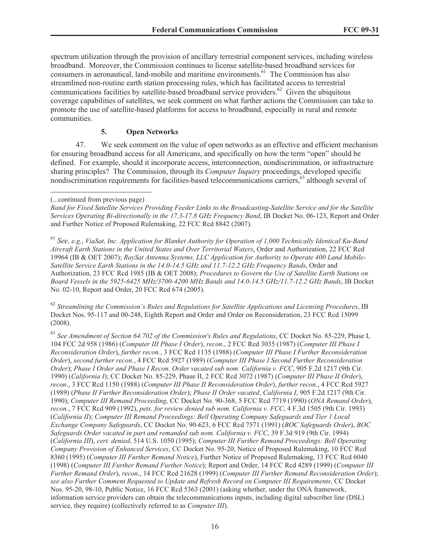spectrum utilization through the provision of ancillary terrestrial component services, including wireless broadband. Moreover, the Commission continues to license satellite-based broadband services for consumers in aeronautical, land-mobile and maritime environments.<sup>61</sup> The Commission has also streamlined non-routine earth station processing rules, which has facilitated access to terrestrial communications facilities by satellite-based broadband service providers.<sup>62</sup> Given the ubiquitous coverage capabilities of satellites, we seek comment on what further actions the Commission can take to promote the use of satellite-based platforms for access to broadband, especially in rural and remote communities.

## **5. Open Networks**

47. We seek comment on the value of open networks as an effective and efficient mechanism for ensuring broadband access for all Americans, and specifically on how the term "open" should be defined. For example, should it incorporate access, interconnection, nondiscrimination, or infrastructure sharing principles? The Commission, through its *Computer Inquiry* proceedings, developed specific nondiscrimination requirements for facilities-based telecommunications carriers,<sup>63</sup> although several of

<sup>61</sup> *See, e.g.*, *ViaSat, Inc. Application for Blanket Authority for Operation of 1,000 Technically Identical Ku-Band Aircraft Earth Stations in the United States and Over Territorial Waters*, Order and Authorization, 22 FCC Rcd 19964 (IB & OET 2007); *RaySat Antenna Systems, LLC Application for Authority to Operate 400 Land Mobile-Satellite Service Earth Stations in the 14.0-14.5 GHz and 11.7-12.2 GHz Frequency Bands*, Order and Authorization, 23 FCC Rcd 1985 (IB & OET 2008); *Procedures to Govern the Use of Satellite Earth Stations on Board Vessels in the 5925-6425 MHz/3700-4200 MHz Bands and 14.0-14.5 GHz/11.7-12.2 GHz Bands*, IB Docket No. 02-10, Report and Order, 20 FCC Rcd 674 (2005).

<sup>62</sup> *Streamlining the Commission's Rules and Regulations for Satellite Applications and Licensing Procedures*, IB Docket Nos. 95-117 and 00-248, Eighth Report and Order and Order on Reconsideration, 23 FCC Rcd 15099 (2008).

<sup>63</sup> *See Amendment of Section 64.702 of the Commission's Rules and Regulations*, CC Docket No. 85-229, Phase I, 104 FCC 2d 958 (1986) (*Computer III Phase I Order*), *recon*., 2 FCC Rcd 3035 (1987) (*Computer III Phase I Reconsideration Order*), *further recon.*, 3 FCC Rcd 1135 (1988) (*Computer III Phase I Further Reconsideration Order*), *second further recon.*, 4 FCC Rcd 5927 (1989) (*Computer III Phase I Second Further Reconsideration Order*); *Phase I Order and Phase I Recon. Order vacated sub nom. California v. FCC*, 905 F.2d 1217 (9th Cir. 1990) (*California I*); CC Docket No. 85-229, Phase II, 2 FCC Rcd 3072 (1987) (*Computer III Phase II Order*), *recon*., 3 FCC Rcd 1150 (1988) (*Computer III Phase II Reconsideration Order*), *further recon.*, 4 FCC Rcd 5927 (1989) (*Phase II Further Reconsideration Order*); *Phase II Order vacated*, *California I*, 905 F.2d 1217 (9th Cir. 1990); *Computer III Remand Proceeding*, CC Docket No. 90-368, 5 FCC Rcd 7719 (1990) (*ONA Remand Order*), *recon.*, 7 FCC Rcd 909 (1992), *pets. for review denied sub nom. California v. FCC*, 4 F.3d 1505 (9th Cir. 1993) (*California II*); *Computer III Remand Proceedings: Bell Operating Company Safeguards and Tier 1 Local Exchange Company Safeguards*, CC Docket No. 90-623, 6 FCC Rcd 7571 (1991) (*BOC Safeguards Order*), *BOC Safeguards Order vacated in part and remanded sub nom. California v. FCC*, 39 F.3d 919 (9th Cir. 1994) (*California III*), *cert. denied*, 514 U.S. 1050 (1995); *Computer III Further Remand Proceedings: Bell Operating Company Provision of Enhanced Services*, CC Docket No. 95-20, Notice of Proposed Rulemaking, 10 FCC Rcd 8360 (1995) (*Computer III Further Remand Notice*), Further Notice of Proposed Rulemaking, 13 FCC Rcd 6040 (1998) (*Computer III Further Remand Further Notice*); Report and Order, 14 FCC Rcd 4289 (1999) (*Computer III Further Remand Order*), *recon*., 14 FCC Rcd 21628 (1999) (*Computer III Further Remand Reconsideration Order*); *see also Further Comment Requested to Update and Refresh Record on Computer III Requirements*, CC Docket Nos. 95-20, 98-10, Public Notice, 16 FCC Rcd 5363 (2001) (asking whether, under the ONA framework, information service providers can obtain the telecommunications inputs, including digital subscriber line (DSL) service, they require) (collectively referred to as *Computer III*).

<sup>(...</sup>continued from previous page)

*Band for Fixed Satellite Services Providing Feeder Links to the Broadcasting-Satellite Service and for the Satellite Services Operating Bi-directionally in the 17.3-17.8 GHz Frequency Band*, IB Docket No. 06-123, Report and Order and Further Notice of Proposed Rulemaking, 22 FCC Rcd 8842 (2007).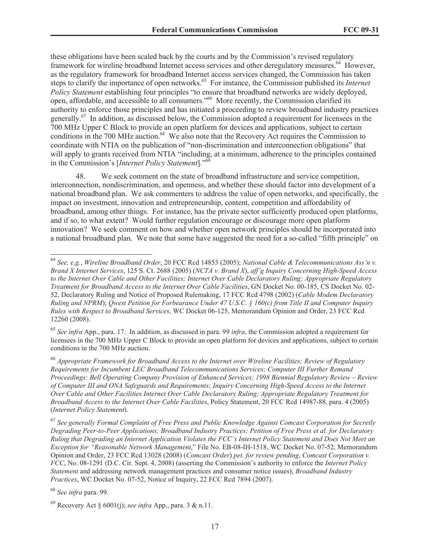these obligations have been scaled back by the courts and by the Commission's revised regulatory framework for wireline broadband Internet access services and other deregulatory measures.<sup>64</sup> However, as the regulatory framework for broadband Internet access services changed, the Commission has taken steps to clarify the importance of open networks.<sup>65</sup> For instance, the Commission published its *Internet Policy Statement* establishing four principles "to ensure that broadband networks are widely deployed, open, affordable, and accessible to all consumers."<sup>66</sup> More recently, the Commission clarified its authority to enforce those principles and has initiated a proceeding to review broadband industry practices generally.<sup>67</sup> In addition, as discussed below, the Commission adopted a requirement for licensees in the 700 MHz Upper C Block to provide an open platform for devices and applications, subject to certain conditions in the 700 MHz auction.<sup>68</sup> We also note that the Recovery Act requires the Commission to coordinate with NTIA on the publication of "non-discrimination and interconnection obligations" that will apply to grants received from NTIA "including, at a minimum, adherence to the principles contained in the Commission's [*Internet Policy Statement*]."<sup>69</sup>

48. We seek comment on the state of broadband infrastructure and service competition, interconnection, nondiscrimination, and openness, and whether these should factor into development of a national broadband plan. We ask commenters to address the value of open networks, and specifically, the impact on investment, innovation and entrepreneurship, content, competition and affordability of broadband, among other things. For instance, has the private sector sufficiently produced open platforms, and if so, to what extent? Would further regulation encourage or discourage more open platform innovation? We seek comment on how and whether open network principles should be incorporated into a national broadband plan. We note that some have suggested the need for a so-called "fifth principle" on

<sup>65</sup> *See infra* App., para. 17. In addition, as discussed in para. 99 *infra*, the Commission adopted a requirement for licensees in the 700 MHz Upper C Block to provide an open platform for devices and applications, subject to certain conditions in the 700 MHz auction.

<sup>66</sup> *Appropriate Framework for Broadband Access to the Internet over Wireline Facilities; Review of Regulatory Requirements for Incumbent LEC Broadband Telecommunications Services; Computer III Further Remand Proceedings: Bell Operating Company Provision of Enhanced Services; 1998 Biennial Regulatory Review – Review of Computer III and ONA Safeguards and Requirements; Inquiry Concerning High-Speed Access to the Internet Over Cable and Other Facilities Internet Over Cable Declaratory Ruling; Appropriate Regulatory Treatment for Broadband Access to the Internet Over Cable Facilities*, Policy Statement, 20 FCC Rcd 14987-88, para. 4 (2005) (*Internet Policy Statement*).

<sup>67</sup> *See generally Formal Complaint of Free Press and Public Knowledge Against Comcast Corporation for Secretly Degrading Peer-to-Peer Applications; Broadband Industry Practices; Petition of Free Press et al. for Declaratory Ruling that Degrading an Internet Application Violates the FCC's Internet Policy Statement and Does Not Meet an Exception for "Reasonable Network Management*," File No. EB-08-IH-1518, WC Docket No. 07-52, Memorandum Opinion and Order, 23 FCC Rcd 13028 (2008) (*Comcast Order*) *pet. for review pending*, *Comcast Corporation v. FCC*, No. 08-1291 (D.C. Cir. Sept. 4, 2008) (asserting the Commission's authority to enforce the *Internet Policy Statement* and addressing network management practices and consumer notice issues); *Broadband Industry Practices*, WC Docket No. 07-52, Notice of Inquiry, 22 FCC Rcd 7894 (2007).

<sup>64</sup> *See, e.g.*, *Wireline Broadband Order*, 20 FCC Rcd 14853 (2005); *National Cable & Telecommunications Ass'n v. Brand X Internet Services*, 125 S. Ct. 2688 (2005) (*NCTA v. Brand X*), *aff'g Inquiry Concerning High-Speed Access to the Internet Over Cable and Other Facilities; Internet Over Cable Declaratory Ruling; Appropriate Regulatory Treatment for Broadband Access to the Internet Over Cable Facilities*, GN Docket No. 00-185, CS Docket No. 02- 52, Declaratory Ruling and Notice of Proposed Rulemaking, 17 FCC Rcd 4798 (2002) (*Cable Modem Declaratory Ruling and NPRM*); *Qwest Petition for Forbearance Under 47 U.S.C. § 160(c) from Title II and Computer Inquiry Rules with Respect to Broadband Services*, WC Docket 06-125, Memorandum Opinion and Order, 23 FCC Rcd 12260 (2008).

<sup>68</sup> *See infra* para. 99.

<sup>69</sup> Recovery Act § 6001(j); *see infra* App., para. 3 & n.11.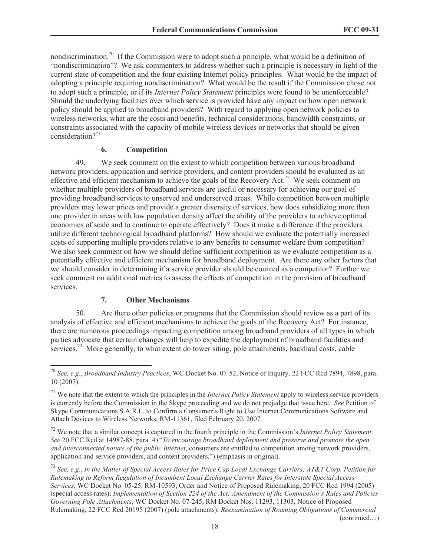nondiscrimination.<sup>70</sup> If the Commission were to adopt such a principle, what would be a definition of "nondiscrimination"? We ask commenters to address whether such a principle is necessary in light of the current state of competition and the four existing Internet policy principles. What would be the impact of adopting a principle requiring nondiscrimination? What would be the result if the Commission chose not to adopt such a principle, or if its *Internet Policy Statement* principles were found to be unenforceable? Should the underlying facilities over which service is provided have any impact on how open network policy should be applied to broadband providers? With regard to applying open network policies to wireless networks, what are the costs and benefits, technical considerations, bandwidth constraints, or constraints associated with the capacity of mobile wireless devices or networks that should be given consideration $2^{71}$ 

### **6. Competition**

49. We seek comment on the extent to which competition between various broadband network providers, application and service providers, and content providers should be evaluated as an effective and efficient mechanism to achieve the goals of the Recovery Act.<sup>72</sup> We seek comment on whether multiple providers of broadband services are useful or necessary for achieving our goal of providing broadband services to unserved and underserved areas. While competition between multiple providers may lower prices and provide a greater diversity of services, how does subsidizing more than one provider in areas with low population density affect the ability of the providers to achieve optimal economies of scale and to continue to operate effectively? Does it make a difference if the providers utilize different technological broadband platforms? How should we evaluate the potentially increased costs of supporting multiple providers relative to any benefits to consumer welfare from competition? We also seek comment on how we should define sufficient competition as we evaluate competition as a potentially effective and efficient mechanism for broadband deployment. Are there any other factors that we should consider in determining if a service provider should be counted as a competitor? Further we seek comment on additional metrics to assess the effects of competition in the provision of broadband services.

### **7. Other Mechanisms**

50. Are there other policies or programs that the Commission should review as a part of its analysis of effective and efficient mechanisms to achieve the goals of the Recovery Act? For instance, there are numerous proceedings impacting competition among broadband providers of all types in which parties advocate that certain changes will help to expedite the deployment of broadband facilities and services.<sup>73</sup> More generally, to what extent do tower siting, pole attachments, backhaul costs, cable

<sup>72</sup> We note that a similar concept is captured in the fourth principle in the Commission's *Internet Policy Statement*. *See* 20 FCC Rcd at 14987-88, para. 4 ("*To encourage broadband deployment and preserve and promote the open and interconnected nature of the public Internet*, consumers are entitled to competition among network providers, application and service providers, and content providers.") (emphasis in original).

<sup>73</sup> *See, e.g.*, *In the Matter of Special Access Rates for Price Cap Local Exchange Carriers; AT&T Corp. Petition for Rulemaking to Reform Regulation of Incumbent Local Exchange Carrier Rates for Interstate Special Access Services*, WC Docket No. 05-25, RM-10593, Order and Notice of Proposed Rulemaking, 20 FCC Rcd 1994 (2005) (special access rates); *Implementation of Section 224 of the Act; Amendment of the Commission's Rules and Policies Governing Pole Attachments*, WC Docket No. 07-245, RM Docket Nos. 11293, 11303, Notice of Proposed Rulemaking, 22 FCC Rcd 20195 (2007) (pole attachments); *Reexamination of Roaming Obligations of Commercial*  (continued....)

<sup>70</sup> *See, e.g.*, *Broadband Industry Practices*, WC Docket No. 07-52, Notice of Inquiry, 22 FCC Rcd 7894, 7898, para. 10 (2007).

<sup>71</sup> We note that the extent to which the principles in the *Internet Policy Statement* apply to wireless service providers is currently before the Commission in the Skype proceeding and we do not prejudge that issue here. *See* Petition of Skype Communications S.A.R.L. to Confirm a Consumer's Right to Use Internet Communications Software and Attach Devices to Wireless Networks, RM-11361, filed February 20, 2007.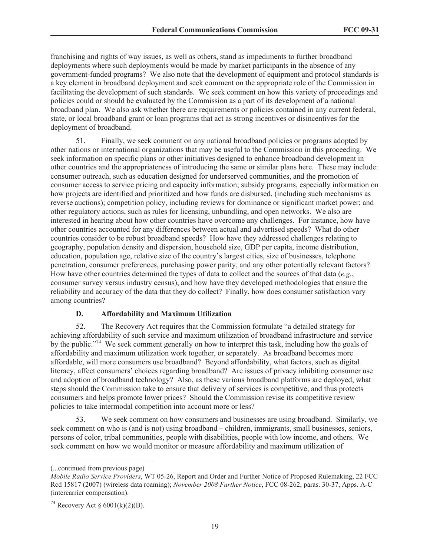franchising and rights of way issues, as well as others, stand as impediments to further broadband deployments where such deployments would be made by market participants in the absence of any government-funded programs? We also note that the development of equipment and protocol standards is a key element in broadband deployment and seek comment on the appropriate role of the Commission in facilitating the development of such standards. We seek comment on how this variety of proceedings and policies could or should be evaluated by the Commission as a part of its development of a national broadband plan. We also ask whether there are requirements or policies contained in any current federal, state, or local broadband grant or loan programs that act as strong incentives or disincentives for the deployment of broadband.

51. Finally, we seek comment on any national broadband policies or programs adopted by other nations or international organizations that may be useful to the Commission in this proceeding. We seek information on specific plans or other initiatives designed to enhance broadband development in other countries and the appropriateness of introducing the same or similar plans here. These may include: consumer outreach, such as education designed for underserved communities, and the promotion of consumer access to service pricing and capacity information; subsidy programs, especially information on how projects are identified and prioritized and how funds are disbursed, (including such mechanisms as reverse auctions); competition policy, including reviews for dominance or significant market power; and other regulatory actions, such as rules for licensing, unbundling, and open networks. We also are interested in hearing about how other countries have overcome any challenges. For instance, how have other countries accounted for any differences between actual and advertised speeds? What do other countries consider to be robust broadband speeds? How have they addressed challenges relating to geography, population density and dispersion, household size, GDP per capita, income distribution, education, population age, relative size of the country's largest cities, size of businesses, telephone penetration, consumer preferences, purchasing power parity, and any other potentially relevant factors? How have other countries determined the types of data to collect and the sources of that data (*e.g.*, consumer survey versus industry census), and how have they developed methodologies that ensure the reliability and accuracy of the data that they do collect? Finally, how does consumer satisfaction vary among countries?

# **D. Affordability and Maximum Utilization**

52. The Recovery Act requires that the Commission formulate "a detailed strategy for achieving affordability of such service and maximum utilization of broadband infrastructure and service by the public."<sup>74</sup> We seek comment generally on how to interpret this task, including how the goals of affordability and maximum utilization work together, or separately. As broadband becomes more affordable, will more consumers use broadband? Beyond affordability, what factors, such as digital literacy, affect consumers' choices regarding broadband? Are issues of privacy inhibiting consumer use and adoption of broadband technology? Also, as these various broadband platforms are deployed, what steps should the Commission take to ensure that delivery of services is competitive, and thus protects consumers and helps promote lower prices? Should the Commission revise its competitive review policies to take intermodal competition into account more or less?

53. We seek comment on how consumers and businesses are using broadband. Similarly, we seek comment on who is (and is not) using broadband – children, immigrants, small businesses, seniors, persons of color, tribal communities, people with disabilities, people with low income, and others. We seek comment on how we would monitor or measure affordability and maximum utilization of

<sup>(...</sup>continued from previous page)

*Mobile Radio Service Providers*, WT 05-26, Report and Order and Further Notice of Proposed Rulemaking, 22 FCC Rcd 15817 (2007) (wireless data roaming); *November 2008 Further Notice*, FCC 08-262, paras. 30-37, Apps. A-C (intercarrier compensation).

<sup>&</sup>lt;sup>74</sup> Recovery Act §  $6001(k)(2)(B)$ .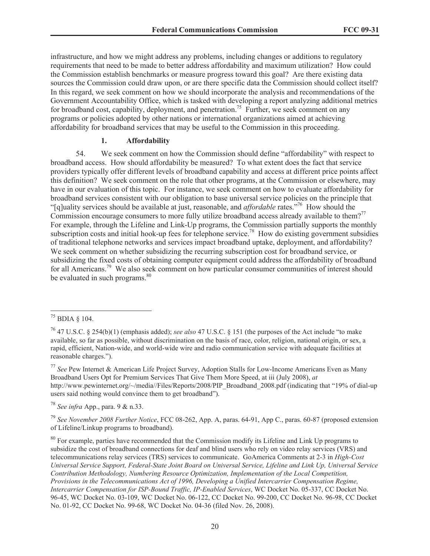infrastructure, and how we might address any problems, including changes or additions to regulatory requirements that need to be made to better address affordability and maximum utilization? How could the Commission establish benchmarks or measure progress toward this goal? Are there existing data sources the Commission could draw upon, or are there specific data the Commission should collect itself? In this regard, we seek comment on how we should incorporate the analysis and recommendations of the Government Accountability Office, which is tasked with developing a report analyzing additional metrics for broadband cost, capability, deployment, and penetration.<sup>75</sup> Further, we seek comment on any programs or policies adopted by other nations or international organizations aimed at achieving affordability for broadband services that may be useful to the Commission in this proceeding.

#### **1. Affordability**

54. We seek comment on how the Commission should define "affordability" with respect to broadband access. How should affordability be measured? To what extent does the fact that service providers typically offer different levels of broadband capability and access at different price points affect this definition? We seek comment on the role that other programs, at the Commission or elsewhere, may have in our evaluation of this topic. For instance, we seek comment on how to evaluate affordability for broadband services consistent with our obligation to base universal service policies on the principle that "[q]uality services should be available at just, reasonable, and *affordable* rates."<sup>76</sup> How should the Commission encourage consumers to more fully utilize broadband access already available to them?<sup>77</sup> For example, through the Lifeline and Link-Up programs, the Commission partially supports the monthly subscription costs and initial hook-up fees for telephone service.<sup>78</sup> How do existing government subsidies of traditional telephone networks and services impact broadband uptake, deployment, and affordability? We seek comment on whether subsidizing the recurring subscription cost for broadband service, or subsidizing the fixed costs of obtaining computer equipment could address the affordability of broadband for all Americans.<sup>79</sup> We also seek comment on how particular consumer communities of interest should be evaluated in such programs.<sup>80</sup>

<sup>77</sup> *See* Pew Internet & American Life Project Survey, Adoption Stalls for Low-Income Americans Even as Many Broadband Users Opt for Premium Services That Give Them More Speed, at iii (July 2008), *at* http://www.pewinternet.org/~/media//Files/Reports/2008/PIP\_Broadband\_2008.pdf (indicating that "19% of dial-up users said nothing would convince them to get broadband").

<sup>78</sup> *See infra* App., para. 9 & n.33.

<sup>79</sup> *See November 2008 Further Notice*, FCC 08-262, App. A, paras. 64-91, App C., paras. 60-87 (proposed extension of Lifeline/Linkup programs to broadband).

<sup>80</sup> For example, parties have recommended that the Commission modify its Lifeline and Link Up programs to subsidize the cost of broadband connections for deaf and blind users who rely on video relay services (VRS) and telecommunications relay services (TRS) services to communicate. GoAmerica Comments at 2-3 in *High-Cost Universal Service Support, Federal-State Joint Board on Universal Service, Lifeline and Link Up, Universal Service Contribution Methodology, Numbering Resource Optimization, Implementation of the Local Competition, Provisions in the Telecommunications Act of 1996, Developing a Unified Intercarrier Compensation Regime, Intercarrier Compensation for ISP-Bound Traffic, IP-Enabled Services*, WC Docket No. 05-337, CC Docket No. 96-45, WC Docket No. 03-109, WC Docket No. 06-122, CC Docket No. 99-200, CC Docket No. 96-98, CC Docket No. 01-92, CC Docket No. 99-68, WC Docket No. 04-36 (filed Nov. 26, 2008).

<sup>75</sup> BDIA § 104.

<sup>76</sup> 47 U.S.C. § 254(b)(1) (emphasis added); *see also* 47 U.S.C. § 151 (the purposes of the Act include "to make available, so far as possible, without discrimination on the basis of race, color, religion, national origin, or sex, a rapid, efficient, Nation-wide, and world-wide wire and radio communication service with adequate facilities at reasonable charges.").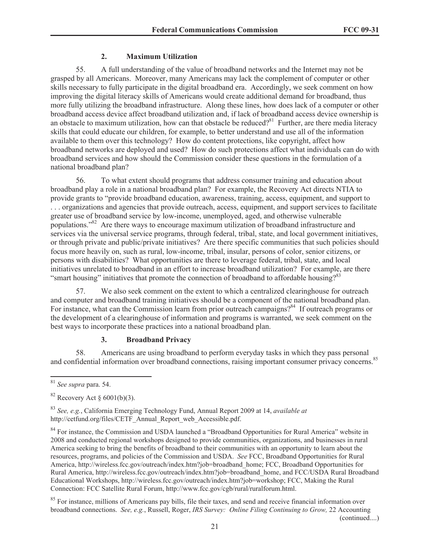# **2. Maximum Utilization**

55. A full understanding of the value of broadband networks and the Internet may not be grasped by all Americans. Moreover, many Americans may lack the complement of computer or other skills necessary to fully participate in the digital broadband era. Accordingly, we seek comment on how improving the digital literacy skills of Americans would create additional demand for broadband, thus more fully utilizing the broadband infrastructure. Along these lines, how does lack of a computer or other broadband access device affect broadband utilization and, if lack of broadband access device ownership is an obstacle to maximum utilization, how can that obstacle be reduced?<sup>81</sup> Further, are there media literacy skills that could educate our children, for example, to better understand and use all of the information available to them over this technology? How do content protections, like copyright, affect how broadband networks are deployed and used? How do such protections affect what individuals can do with broadband services and how should the Commission consider these questions in the formulation of a national broadband plan?

56. To what extent should programs that address consumer training and education about broadband play a role in a national broadband plan? For example, the Recovery Act directs NTIA to provide grants to "provide broadband education, awareness, training, access, equipment, and support to . . . organizations and agencies that provide outreach, access, equipment, and support services to facilitate greater use of broadband service by low-income, unemployed, aged, and otherwise vulnerable populations."<sup>82</sup> Are there ways to encourage maximum utilization of broadband infrastructure and services via the universal service programs, through federal, tribal, state, and local government initiatives, or through private and public/private initiatives? Are there specific communities that such policies should focus more heavily on, such as rural, low-income, tribal, insular, persons of color, senior citizens, or persons with disabilities? What opportunities are there to leverage federal, tribal, state, and local initiatives unrelated to broadband in an effort to increase broadband utilization? For example, are there "smart housing" initiatives that promote the connection of broadband to affordable housing?<sup>83</sup>

57. We also seek comment on the extent to which a centralized clearinghouse for outreach and computer and broadband training initiatives should be a component of the national broadband plan. For instance, what can the Commission learn from prior outreach campaigns?<sup>84</sup> If outreach programs or the development of a clearinghouse of information and programs is warranted, we seek comment on the best ways to incorporate these practices into a national broadband plan.

# **3. Broadband Privacy**

58. Americans are using broadband to perform everyday tasks in which they pass personal and confidential information over broadband connections, raising important consumer privacy concerns.<sup>85</sup>

(continued....)

<sup>81</sup> *See supra* para. 54.

 $82$  Recovery Act § 6001(b)(3).

<sup>83</sup> *See, e.g.*, California Emerging Technology Fund, Annual Report 2009 at 14, *available at* http://cetfund.org/files/CETF\_Annual\_Report\_web\_Accessible.pdf.

<sup>&</sup>lt;sup>84</sup> For instance, the Commission and USDA launched a "Broadband Opportunities for Rural America" website in 2008 and conducted regional workshops designed to provide communities, organizations, and businesses in rural America seeking to bring the benefits of broadband to their communities with an opportunity to learn about the resources, programs, and policies of the Commission and USDA. *See* FCC, Broadband Opportunities for Rural America, http://wireless.fcc.gov/outreach/index.htm?job=broadband\_home; FCC, Broadband Opportunities for Rural America, http://wireless.fcc.gov/outreach/index.htm?job=broadband\_home, and FCC/USDA Rural Broadband Educational Workshops, http://wireless.fcc.gov/outreach/index.htm?job=workshop; FCC, Making the Rural Connection: FCC Satellite Rural Forum, http://www.fcc.gov/cgb/rural/ruralforum.html.

<sup>&</sup>lt;sup>85</sup> For instance, millions of Americans pay bills, file their taxes, and send and receive financial information over broadband connections. *See, e.g.*, Russell, Roger, *IRS Survey: Online Filing Continuing to Grow,* 22 Accounting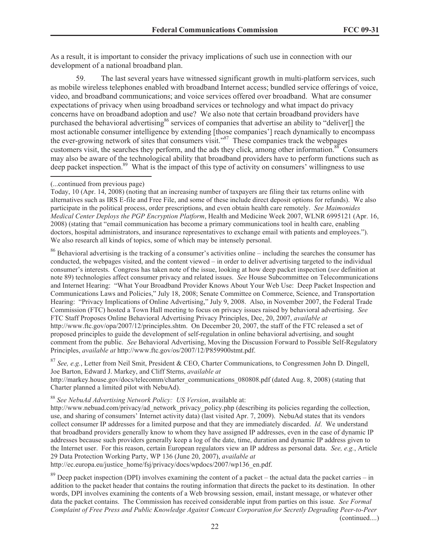As a result, it is important to consider the privacy implications of such use in connection with our development of a national broadband plan.

59. The last several years have witnessed significant growth in multi-platform services, such as mobile wireless telephones enabled with broadband Internet access; bundled service offerings of voice, video, and broadband communications; and voice services offered over broadband. What are consumer expectations of privacy when using broadband services or technology and what impact do privacy concerns have on broadband adoption and use? We also note that certain broadband providers have purchased the behavioral advertising<sup>86</sup> services of companies that advertise an ability to "deliver<sup>[]</sup> the most actionable consumer intelligence by extending [those companies'] reach dynamically to encompass the ever-growing network of sites that consumers visit."<sup>87</sup> These companies track the webpages customers visit, the searches they perform, and the ads they click, among other information.<sup>88</sup> Consumers may also be aware of the technological ability that broadband providers have to perform functions such as deep packet inspection.<sup>89</sup> What is the impact of this type of activity on consumers' willingness to use

<sup>86</sup> Behavioral advertising is the tracking of a consumer's activities online – including the searches the consumer has conducted, the webpages visited, and the content viewed – in order to deliver advertising targeted to the individual consumer's interests. Congress has taken note of the issue, looking at how deep packet inspection (*see* definition at note 89) technologies affect consumer privacy and related issues. *See* House Subcommittee on Telecommunications and Internet Hearing: "What Your Broadband Provider Knows About Your Web Use: Deep Packet Inspection and Communications Laws and Policies," July 18, 2008; Senate Committee on Commerce, Science, and Transportation Hearing: "Privacy Implications of Online Advertising," July 9, 2008. Also, in November 2007, the Federal Trade Commission (FTC) hosted a Town Hall meeting to focus on privacy issues raised by behavioral advertising. *See* FTC Staff Proposes Online Behavioral Advertising Privacy Principles, Dec, 20, 2007, *available at* http://www.ftc.gov/opa/2007/12/principles.shtm. On December 20, 2007, the staff of the FTC released a set of proposed principles to guide the development of self-regulation in online behavioral advertising, and sought comment from the public. *See* Behavioral Advertising, Moving the Discussion Forward to Possible Self-Regulatory Principles, *available at* http://www.ftc.gov/os/2007/12/P859900stmt.pdf.

<sup>87</sup> *See, e.g.*, Letter from Neil Smit, President & CEO, Charter Communications, to Congressmen John D. Dingell, Joe Barton, Edward J. Markey, and Cliff Sterns, *available at*

http://markey.house.gov/docs/telecomm/charter\_communications\_080808.pdf (dated Aug. 8, 2008) (stating that Charter planned a limited pilot with NebuAd).

<sup>88</sup> *See NebuAd Advertising Network Policy: US Version*, available at:

http://www.nebuad.com/privacy/ad\_network\_privacy\_policy.php (describing its policies regarding the collection, use, and sharing of consumers' Internet activity data) (last visited Apr. 7, 2009). NebuAd states that its vendors collect consumer IP addresses for a limited purpose and that they are immediately discarded. *Id*. We understand that broadband providers generally know to whom they have assigned IP addresses, even in the case of dynamic IP addresses because such providers generally keep a log of the date, time, duration and dynamic IP address given to the Internet user. For this reason, certain European regulators view an IP address as personal data. *See, e.g.*, Article 29 Data Protection Working Party, WP 136 (June 20, 2007), *available at*

http://ec.europa.eu/justice\_home/fsj/privacy/docs/wpdocs/2007/wp136\_en.pdf.

 $89$  Deep packet inspection (DPI) involves examining the content of a packet – the actual data the packet carries – in addition to the packet header that contains the routing information that directs the packet to its destination. In other words, DPI involves examining the contents of a Web browsing session, email, instant message, or whatever other data the packet contains. The Commission has received considerable input from parties on this issue. *See Formal Complaint of Free Press and Public Knowledge Against Comcast Corporation for Secretly Degrading Peer-to-Peer*  (continued....)

<sup>(...</sup>continued from previous page)

Today, 10 (Apr. 14, 2008) (noting that an increasing number of taxpayers are filing their tax returns online with alternatives such as IRS E-file and Free File, and some of these include direct deposit options for refunds). We also participate in the political process, order prescriptions, and even obtain health care remotely. *See Maimonides Medical Center Deploys the PGP Encryption Platform*, Health and Medicine Week 2007, WLNR 6995121 (Apr. 16, 2008) (stating that "email communication has become a primary communications tool in health care, enabling doctors, hospital administrators, and insurance representatives to exchange email with patients and employees."). We also research all kinds of topics, some of which may be intensely personal.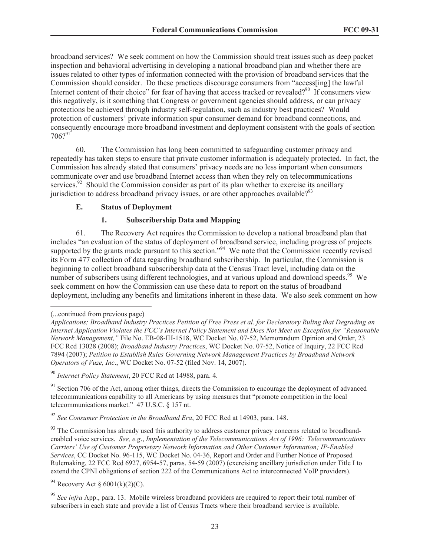broadband services? We seek comment on how the Commission should treat issues such as deep packet inspection and behavioral advertising in developing a national broadband plan and whether there are issues related to other types of information connected with the provision of broadband services that the Commission should consider. Do these practices discourage consumers from "access[ing] the lawful Internet content of their choice" for fear of having that access tracked or revealed?<sup>90</sup> If consumers view this negatively, is it something that Congress or government agencies should address, or can privacy protections be achieved through industry self-regulation, such as industry best practices? Would protection of customers' private information spur consumer demand for broadband connections, and consequently encourage more broadband investment and deployment consistent with the goals of section  $706?^{91}$ 

60. The Commission has long been committed to safeguarding customer privacy and repeatedly has taken steps to ensure that private customer information is adequately protected. In fact, the Commission has already stated that consumers' privacy needs are no less important when consumers communicate over and use broadband Internet access than when they rely on telecommunications services.<sup>92</sup> Should the Commission consider as part of its plan whether to exercise its ancillary jurisdiction to address broadband privacy issues, or are other approaches available? $93$ 

### **E. Status of Deployment**

# **1. Subscribership Data and Mapping**

61. The Recovery Act requires the Commission to develop a national broadband plan that includes "an evaluation of the status of deployment of broadband service, including progress of projects supported by the grants made pursuant to this section."<sup>94</sup> We note that the Commission recently revised its Form 477 collection of data regarding broadband subscribership. In particular, the Commission is beginning to collect broadband subscribership data at the Census Tract level, including data on the number of subscribers using different technologies, and at various upload and download speeds.<sup>95</sup> We seek comment on how the Commission can use these data to report on the status of broadband deployment, including any benefits and limitations inherent in these data. We also seek comment on how

<sup>91</sup> Section 706 of the Act, among other things, directs the Commission to encourage the deployment of advanced telecommunications capability to all Americans by using measures that "promote competition in the local telecommunications market." 47 U.S.C. § 157 nt.

<sup>92</sup> *See Consumer Protection in the Broadband Era*, 20 FCC Rcd at 14903, para. 148.

<sup>93</sup> The Commission has already used this authority to address customer privacy concerns related to broadbandenabled voice services. *See, e.g*., *Implementation of the Telecommunications Act of 1996: Telecommunications Carriers' Use of Customer Proprietary Network Information and Other Customer Information; IP-Enabled Services*, CC Docket No. 96-115, WC Docket No. 04-36, Report and Order and Further Notice of Proposed Rulemaking, 22 FCC Rcd 6927, 6954-57, paras. 54-59 (2007) (exercising ancillary jurisdiction under Title I to extend the CPNI obligations of section 222 of the Communications Act to interconnected VoIP providers).

<sup>94</sup> Recovery Act §  $6001(k)(2)(C)$ .

<sup>(...</sup>continued from previous page)

*Applications; Broadband Industry Practices Petition of Free Press et al. for Declaratory Ruling that Degrading an Internet Application Violates the FCC's Internet Policy Statement and Does Not Meet an Exception for "Reasonable Network Management,"* File No. EB-08-IH-1518, WC Docket No. 07-52, Memorandum Opinion and Order, 23 FCC Rcd 13028 (2008); *Broadband Industry Practices*, WC Docket No. 07-52, Notice of Inquiry, 22 FCC Rcd 7894 (2007); *Petition to Establish Rules Governing Network Management Practices by Broadband Network Operators of Vuze, Inc*., WC Docket No. 07-52 (filed Nov. 14, 2007).

<sup>90</sup> *Internet Policy Statement*, 20 FCC Rcd at 14988, para. 4.

<sup>95</sup> *See infra* App., para. 13. Mobile wireless broadband providers are required to report their total number of subscribers in each state and provide a list of Census Tracts where their broadband service is available.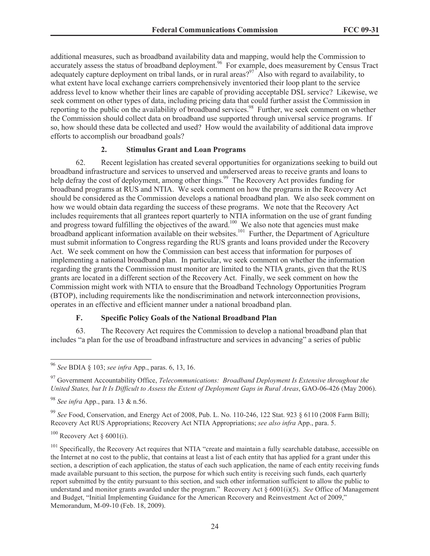additional measures, such as broadband availability data and mapping, would help the Commission to accurately assess the status of broadband deployment.<sup>96</sup> For example, does measurement by Census Tract adequately capture deployment on tribal lands, or in rural areas?<sup>97</sup> Also with regard to availability, to what extent have local exchange carriers comprehensively inventoried their loop plant to the service address level to know whether their lines are capable of providing acceptable DSL service? Likewise, we seek comment on other types of data, including pricing data that could further assist the Commission in reporting to the public on the availability of broadband services.<sup>98</sup> Further, we seek comment on whether the Commission should collect data on broadband use supported through universal service programs. If so, how should these data be collected and used? How would the availability of additional data improve efforts to accomplish our broadband goals?

### **2. Stimulus Grant and Loan Programs**

62. Recent legislation has created several opportunities for organizations seeking to build out broadband infrastructure and services to unserved and underserved areas to receive grants and loans to help defray the cost of deployment, among other things.<sup>99</sup> The Recovery Act provides funding for broadband programs at RUS and NTIA. We seek comment on how the programs in the Recovery Act should be considered as the Commission develops a national broadband plan. We also seek comment on how we would obtain data regarding the success of these programs. We note that the Recovery Act includes requirements that all grantees report quarterly to NTIA information on the use of grant funding and progress toward fulfilling the objectives of the award.<sup>100</sup> We also note that agencies must make broadband applicant information available on their websites.<sup>101</sup> Further, the Department of Agriculture must submit information to Congress regarding the RUS grants and loans provided under the Recovery Act. We seek comment on how the Commission can best access that information for purposes of implementing a national broadband plan. In particular, we seek comment on whether the information regarding the grants the Commission must monitor are limited to the NTIA grants, given that the RUS grants are located in a different section of the Recovery Act. Finally, we seek comment on how the Commission might work with NTIA to ensure that the Broadband Technology Opportunities Program (BTOP), including requirements like the nondiscrimination and network interconnection provisions, operates in an effective and efficient manner under a national broadband plan.

### **F. Specific Policy Goals of the National Broadband Plan**

63. The Recovery Act requires the Commission to develop a national broadband plan that includes "a plan for the use of broadband infrastructure and services in advancing" a series of public

<sup>99</sup> *See* Food, Conservation, and Energy Act of 2008, Pub. L. No. 110-246, 122 Stat. 923 § 6110 (2008 Farm Bill); Recovery Act RUS Appropriations; Recovery Act NTIA Appropriations; *see also infra* App., para. 5.

 $100$  Recovery Act § 6001(i).

<sup>96</sup> *See* BDIA § 103; *see infra* App., paras. 6, 13, 16.

<sup>97</sup> Government Accountability Office, *Telecommunications: Broadband Deployment Is Extensive throughout the United States, but It Is Difficult to Assess the Extent of Deployment Gaps in Rural Areas*, GAO-06-426 (May 2006).

<sup>98</sup> *See infra* App., para. 13 & n.56.

<sup>&</sup>lt;sup>101</sup> Specifically, the Recovery Act requires that NTIA "create and maintain a fully searchable database, accessible on the Internet at no cost to the public, that contains at least a list of each entity that has applied for a grant under this section, a description of each application, the status of each such application, the name of each entity receiving funds made available pursuant to this section, the purpose for which such entity is receiving such funds, each quarterly report submitted by the entity pursuant to this section, and such other information sufficient to allow the public to understand and monitor grants awarded under the program." Recovery Act § 6001(i)(5). *See* Office of Management and Budget, "Initial Implementing Guidance for the American Recovery and Reinvestment Act of 2009," Memorandum, M-09-10 (Feb. 18, 2009).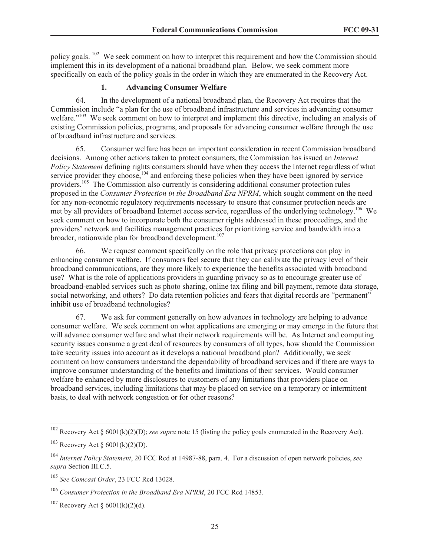policy goals. <sup>102</sup> We seek comment on how to interpret this requirement and how the Commission should implement this in its development of a national broadband plan. Below, we seek comment more specifically on each of the policy goals in the order in which they are enumerated in the Recovery Act.

# **1. Advancing Consumer Welfare**

64. In the development of a national broadband plan, the Recovery Act requires that the Commission include "a plan for the use of broadband infrastructure and services in advancing consumer welfare."<sup>103</sup> We seek comment on how to interpret and implement this directive, including an analysis of existing Commission policies, programs, and proposals for advancing consumer welfare through the use of broadband infrastructure and services.

65. Consumer welfare has been an important consideration in recent Commission broadband decisions. Among other actions taken to protect consumers, the Commission has issued an *Internet Policy Statement* defining rights consumers should have when they access the Internet regardless of what service provider they choose,  $104$  and enforcing these policies when they have been ignored by service providers.<sup>105</sup> The Commission also currently is considering additional consumer protection rules proposed in the *Consumer Protection in the Broadband Era NPRM*, which sought comment on the need for any non-economic regulatory requirements necessary to ensure that consumer protection needs are met by all providers of broadband Internet access service, regardless of the underlying technology.<sup>106</sup> We seek comment on how to incorporate both the consumer rights addressed in these proceedings, and the providers' network and facilities management practices for prioritizing service and bandwidth into a broader, nationwide plan for broadband development.<sup>107</sup>

66. We request comment specifically on the role that privacy protections can play in enhancing consumer welfare. If consumers feel secure that they can calibrate the privacy level of their broadband communications, are they more likely to experience the benefits associated with broadband use? What is the role of applications providers in guarding privacy so as to encourage greater use of broadband-enabled services such as photo sharing, online tax filing and bill payment, remote data storage, social networking, and others? Do data retention policies and fears that digital records are "permanent" inhibit use of broadband technologies?

67. We ask for comment generally on how advances in technology are helping to advance consumer welfare. We seek comment on what applications are emerging or may emerge in the future that will advance consumer welfare and what their network requirements will be. As Internet and computing security issues consume a great deal of resources by consumers of all types, how should the Commission take security issues into account as it develops a national broadband plan? Additionally, we seek comment on how consumers understand the dependability of broadband services and if there are ways to improve consumer understanding of the benefits and limitations of their services. Would consumer welfare be enhanced by more disclosures to customers of any limitations that providers place on broadband services, including limitations that may be placed on service on a temporary or intermittent basis, to deal with network congestion or for other reasons?

<sup>&</sup>lt;sup>102</sup> Recovery Act § 6001(k)(2)(D); *see supra* note 15 (listing the policy goals enumerated in the Recovery Act).

<sup>&</sup>lt;sup>103</sup> Recovery Act §  $6001(k)(2)(D)$ .

<sup>104</sup> *Internet Policy Statement*, 20 FCC Rcd at 14987-88, para. 4. For a discussion of open network policies, *see supra* Section III.C.5.

<sup>105</sup> *See Comcast Order*, 23 FCC Rcd 13028.

<sup>106</sup> *Consumer Protection in the Broadband Era NPRM*, 20 FCC Rcd 14853.

 $107$  Recovery Act § 6001(k)(2)(d).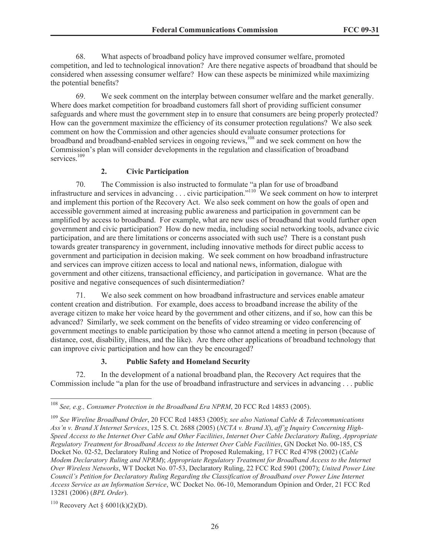68. What aspects of broadband policy have improved consumer welfare, promoted competition, and led to technological innovation? Are there negative aspects of broadband that should be considered when assessing consumer welfare? How can these aspects be minimized while maximizing the potential benefits?

69. We seek comment on the interplay between consumer welfare and the market generally. Where does market competition for broadband customers fall short of providing sufficient consumer safeguards and where must the government step in to ensure that consumers are being properly protected? How can the government maximize the efficiency of its consumer protection regulations? We also seek comment on how the Commission and other agencies should evaluate consumer protections for broadband and broadband-enabled services in ongoing reviews,<sup>108</sup> and we seek comment on how the Commission's plan will consider developments in the regulation and classification of broadband services.<sup>109</sup>

# **2. Civic Participation**

70. The Commission is also instructed to formulate "a plan for use of broadband infrastructure and services in advancing . . . civic participation."<sup>110</sup> We seek comment on how to interpret and implement this portion of the Recovery Act. We also seek comment on how the goals of open and accessible government aimed at increasing public awareness and participation in government can be amplified by access to broadband. For example, what are new uses of broadband that would further open government and civic participation? How do new media, including social networking tools, advance civic participation, and are there limitations or concerns associated with such use? There is a constant push towards greater transparency in government, including innovative methods for direct public access to government and participation in decision making. We seek comment on how broadband infrastructure and services can improve citizen access to local and national news, information, dialogue with government and other citizens, transactional efficiency, and participation in governance. What are the positive and negative consequences of such disintermediation?

71. We also seek comment on how broadband infrastructure and services enable amateur content creation and distribution. For example, does access to broadband increase the ability of the average citizen to make her voice heard by the government and other citizens, and if so, how can this be advanced? Similarly, we seek comment on the benefits of video streaming or video conferencing of government meetings to enable participation by those who cannot attend a meeting in person (because of distance, cost, disability, illness, and the like). Are there other applications of broadband technology that can improve civic participation and how can they be encouraged?

# **3. Public Safety and Homeland Security**

72. In the development of a national broadband plan, the Recovery Act requires that the Commission include "a plan for the use of broadband infrastructure and services in advancing . . . public

<sup>108</sup> *See, e.g., Consumer Protection in the Broadband Era NPRM*, 20 FCC Rcd 14853 (2005).

<sup>109</sup> *See Wireline Broadband Order*, 20 FCC Rcd 14853 (2005); *see also National Cable & Telecommunications Ass'n v. Brand X Internet Services*, 125 S. Ct. 2688 (2005) (*NCTA v. Brand X*), *aff'g Inquiry Concerning High-Speed Access to the Internet Over Cable and Other Facilities*, *Internet Over Cable Declaratory Ruling*, *Appropriate Regulatory Treatment for Broadband Access to the Internet Over Cable Facilities*, GN Docket No. 00-185, CS Docket No. 02-52, Declaratory Ruling and Notice of Proposed Rulemaking, 17 FCC Rcd 4798 (2002) (*Cable Modem Declaratory Ruling and NPRM*); *Appropriate Regulatory Treatment for Broadband Access to the Internet Over Wireless Networks*, WT Docket No. 07-53, Declaratory Ruling, 22 FCC Rcd 5901 (2007); *United Power Line Council's Petition for Declaratory Ruling Regarding the Classification of Broadband over Power Line Internet Access Service as an Information Service*, WC Docket No. 06-10, Memorandum Opinion and Order, 21 FCC Rcd 13281 (2006) (*BPL Order*).

 $^{110}$  Recovery Act § 6001(k)(2)(D).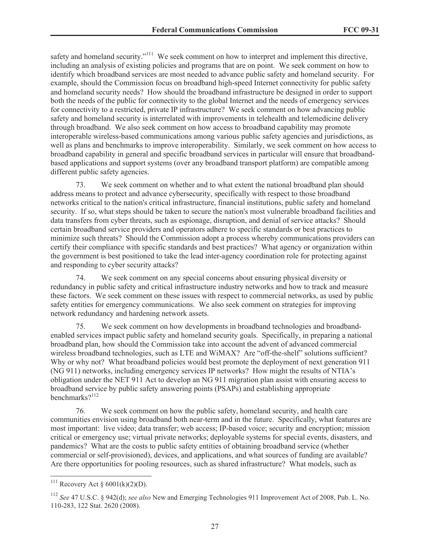safety and homeland security."<sup>111</sup> We seek comment on how to interpret and implement this directive, including an analysis of existing policies and programs that are on point. We seek comment on how to identify which broadband services are most needed to advance public safety and homeland security. For example, should the Commission focus on broadband high-speed Internet connectivity for public safety and homeland security needs? How should the broadband infrastructure be designed in order to support both the needs of the public for connectivity to the global Internet and the needs of emergency services for connectivity to a restricted, private IP infrastructure? We seek comment on how advancing public safety and homeland security is interrelated with improvements in telehealth and telemedicine delivery through broadband. We also seek comment on how access to broadband capability may promote interoperable wireless-based communications among various public safety agencies and jurisdictions, as well as plans and benchmarks to improve interoperability. Similarly, we seek comment on how access to broadband capability in general and specific broadband services in particular will ensure that broadbandbased applications and support systems (over any broadband transport platform) are compatible among different public safety agencies.

73. We seek comment on whether and to what extent the national broadband plan should address means to protect and advance cybersecurity, specifically with respect to those broadband networks critical to the nation's critical infrastructure, financial institutions, public safety and homeland security. If so, what steps should be taken to secure the nation's most vulnerable broadband facilities and data transfers from cyber threats, such as espionage, disruption, and denial of service attacks? Should certain broadband service providers and operators adhere to specific standards or best practices to minimize such threats? Should the Commission adopt a process whereby communications providers can certify their compliance with specific standards and best practices? What agency or organization within the government is best positioned to take the lead inter-agency coordination role for protecting against and responding to cyber security attacks?

74. We seek comment on any special concerns about ensuring physical diversity or redundancy in public safety and critical infrastructure industry networks and how to track and measure these factors. We seek comment on these issues with respect to commercial networks, as used by public safety entities for emergency communications. We also seek comment on strategies for improving network redundancy and hardening network assets.

75. We seek comment on how developments in broadband technologies and broadbandenabled services impact public safety and homeland security goals. Specifically, in preparing a national broadband plan, how should the Commission take into account the advent of advanced commercial wireless broadband technologies, such as LTE and WiMAX? Are "off-the-shelf" solutions sufficient? Why or why not? What broadband policies would best promote the deployment of next generation 911 (NG 911) networks, including emergency services IP networks? How might the results of NTIA's obligation under the NET 911 Act to develop an NG 911 migration plan assist with ensuring access to broadband service by public safety answering points (PSAPs) and establishing appropriate benchmarks?<sup>112</sup>

76. We seek comment on how the public safety, homeland security, and health care communities envision using broadband both near-term and in the future. Specifically, what features are most important: live video; data transfer; web access; IP-based voice; security and encryption; mission critical or emergency use; virtual private networks; deployable systems for special events, disasters, and pandemics? What are the costs to public safety entities of obtaining broadband service (whether commercial or self-provisioned), devices, and applications, and what sources of funding are available? Are there opportunities for pooling resources, such as shared infrastructure? What models, such as

<sup>&</sup>lt;sup>111</sup> Recovery Act § 6001(k)(2)(D).

<sup>112</sup> *See* 47 U.S.C. § 942(d); *see also* New and Emerging Technologies 911 Improvement Act of 2008, Pub. L. No. 110-283, 122 Stat. 2620 (2008).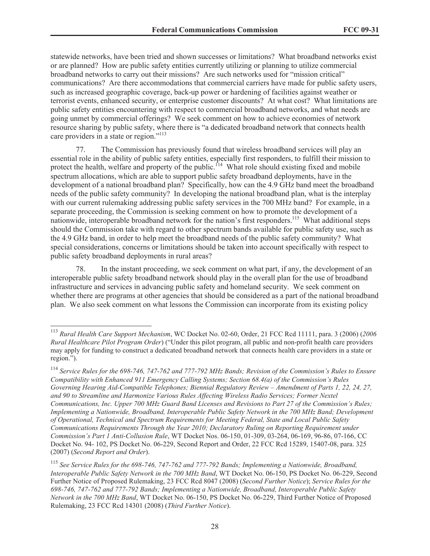statewide networks, have been tried and shown successes or limitations? What broadband networks exist or are planned? How are public safety entities currently utilizing or planning to utilize commercial broadband networks to carry out their missions? Are such networks used for "mission critical" communications? Are there accommodations that commercial carriers have made for public safety users, such as increased geographic coverage, back-up power or hardening of facilities against weather or terrorist events, enhanced security, or enterprise customer discounts? At what cost? What limitations are public safety entities encountering with respect to commercial broadband networks, and what needs are going unmet by commercial offerings? We seek comment on how to achieve economies of network resource sharing by public safety, where there is "a dedicated broadband network that connects health care providers in a state or region."<sup>113</sup>

77. The Commission has previously found that wireless broadband services will play an essential role in the ability of public safety entities, especially first responders, to fulfill their mission to protect the health, welfare and property of the public.<sup>114</sup> What role should existing fixed and mobile spectrum allocations, which are able to support public safety broadband deployments, have in the development of a national broadband plan? Specifically, how can the 4.9 GHz band meet the broadband needs of the public safety community? In developing the national broadband plan, what is the interplay with our current rulemaking addressing public safety services in the 700 MHz band? For example, in a separate proceeding, the Commission is seeking comment on how to promote the development of a nationwide, interoperable broadband network for the nation's first responders.<sup>115</sup> What additional steps should the Commission take with regard to other spectrum bands available for public safety use, such as the 4.9 GHz band, in order to help meet the broadband needs of the public safety community? What special considerations, concerns or limitations should be taken into account specifically with respect to public safety broadband deployments in rural areas?

78. In the instant proceeding, we seek comment on what part, if any, the development of an interoperable public safety broadband network should play in the overall plan for the use of broadband infrastructure and services in advancing public safety and homeland security. We seek comment on whether there are programs at other agencies that should be considered as a part of the national broadband plan. We also seek comment on what lessons the Commission can incorporate from its existing policy

<sup>113</sup> *Rural Health Care Support Mechanism*, WC Docket No. 02-60, Order, 21 FCC Rcd 11111, para. 3 (2006) (*2006 Rural Healthcare Pilot Program Order*) ("Under this pilot program, all public and non-profit health care providers may apply for funding to construct a dedicated broadband network that connects health care providers in a state or region.").

<sup>114</sup> *Service Rules for the 698-746, 747-762 and 777-792 MHz Bands; Revision of the Commission's Rules to Ensure Compatibility with Enhanced 911 Emergency Calling Systems; Section 68.4(a) of the Commission's Rules Governing Hearing Aid-Compatible Telephones; Biennial Regulatory Review – Amendment of Parts 1, 22, 24, 27, and 90 to Streamline and Harmonize Various Rules Affecting Wireless Radio Services; Former Nextel Communications, Inc. Upper 700 MHz Guard Band Licenses and Revisions to Part 27 of the Commission's Rules; Implementing a Nationwide, Broadband, Interoperable Public Safety Network in the 700 MHz Band; Development of Operational, Technical and Spectrum Requirements for Meeting Federal, State and Local Public Safety Communications Requirements Through the Year 2010; Declaratory Ruling on Reporting Requirement under Commission's Part 1 Anti-Collusion Rule*, WT Docket Nos. 06-150, 01-309, 03-264, 06-169, 96-86, 07-166, CC Docket No. 94- 102, PS Docket No. 06-229, Second Report and Order, 22 FCC Rcd 15289, 15407-08, para. 325 (2007) (*Second Report and Order*).

<sup>115</sup> *See Service Rules for the 698-746, 747-762 and 777-792 Bands; Implementing a Nationwide, Broadband, Interoperable Public Safety Network in the 700 MHz Band*, WT Docket No. 06-150, PS Docket No. 06-229, Second Further Notice of Proposed Rulemaking, 23 FCC Rcd 8047 (2008) (*Second Further Notice*); *Service Rules for the 698-746, 747-762 and 777-792 Bands; Implementing a Nationwide, Broadband, Interoperable Public Safety Network in the 700 MHz Band*, WT Docket No. 06-150, PS Docket No. 06-229, Third Further Notice of Proposed Rulemaking, 23 FCC Rcd 14301 (2008) (*Third Further Notice*).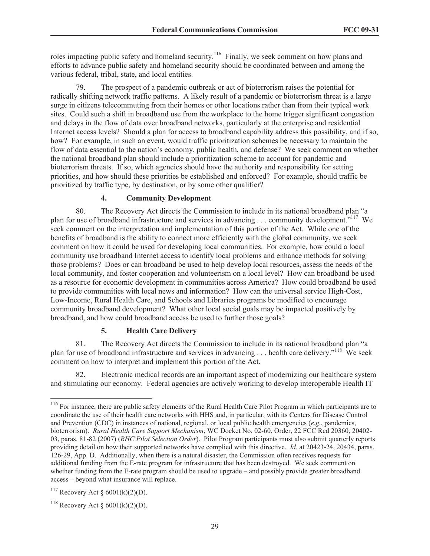roles impacting public safety and homeland security.<sup>116</sup> Finally, we seek comment on how plans and efforts to advance public safety and homeland security should be coordinated between and among the various federal, tribal, state, and local entities.

The prospect of a pandemic outbreak or act of bioterrorism raises the potential for radically shifting network traffic patterns. A likely result of a pandemic or bioterrorism threat is a large surge in citizens telecommuting from their homes or other locations rather than from their typical work sites. Could such a shift in broadband use from the workplace to the home trigger significant congestion and delays in the flow of data over broadband networks, particularly at the enterprise and residential Internet access levels? Should a plan for access to broadband capability address this possibility, and if so, how? For example, in such an event, would traffic prioritization schemes be necessary to maintain the flow of data essential to the nation's economy, public health, and defense? We seek comment on whether the national broadband plan should include a prioritization scheme to account for pandemic and bioterrorism threats. If so, which agencies should have the authority and responsibility for setting priorities, and how should these priorities be established and enforced? For example, should traffic be prioritized by traffic type, by destination, or by some other qualifier?

# **4. Community Development**

80. The Recovery Act directs the Commission to include in its national broadband plan "a plan for use of broadband infrastructure and services in advancing . . . community development."<sup>117</sup> We seek comment on the interpretation and implementation of this portion of the Act. While one of the benefits of broadband is the ability to connect more efficiently with the global community, we seek comment on how it could be used for developing local communities. For example, how could a local community use broadband Internet access to identify local problems and enhance methods for solving those problems? Does or can broadband be used to help develop local resources, assess the needs of the local community, and foster cooperation and volunteerism on a local level? How can broadband be used as a resource for economic development in communities across America? How could broadband be used to provide communities with local news and information? How can the universal service High-Cost, Low-Income, Rural Health Care, and Schools and Libraries programs be modified to encourage community broadband development? What other local social goals may be impacted positively by broadband, and how could broadband access be used to further those goals?

#### **5. Health Care Delivery**

81. The Recovery Act directs the Commission to include in its national broadband plan "a plan for use of broadband infrastructure and services in advancing . . . health care delivery."<sup>118</sup> We seek comment on how to interpret and implement this portion of the Act.

82. Electronic medical records are an important aspect of modernizing our healthcare system and stimulating our economy. Federal agencies are actively working to develop interoperable Health IT

<sup>&</sup>lt;sup>116</sup> For instance, there are public safety elements of the Rural Health Care Pilot Program in which participants are to coordinate the use of their health care networks with HHS and, in particular, with its Centers for Disease Control and Prevention (CDC) in instances of national, regional, or local public health emergencies (*e.g.*, pandemics, bioterrorism). *Rural Health Care Support Mechanism*, WC Docket No. 02-60, Order, 22 FCC Rcd 20360, 20402- 03, paras. 81-82 (2007) (*RHC Pilot Selection Order*). Pilot Program participants must also submit quarterly reports providing detail on how their supported networks have complied with this directive. *Id.* at 20423-24, 20434, paras. 126-29, App. D. Additionally, when there is a natural disaster, the Commission often receives requests for additional funding from the E-rate program for infrastructure that has been destroyed. We seek comment on whether funding from the E-rate program should be used to upgrade – and possibly provide greater broadband access – beyond what insurance will replace.

<sup>&</sup>lt;sup>117</sup> Recovery Act §  $6001(k)(2)(D)$ .

<sup>&</sup>lt;sup>118</sup> Recovery Act §  $6001(k)(2)(D)$ .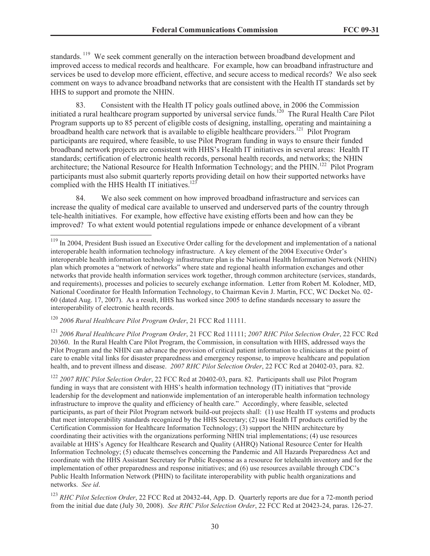standards.<sup>119</sup> We seek comment generally on the interaction between broadband development and improved access to medical records and healthcare. For example, how can broadband infrastructure and services be used to develop more efficient, effective, and secure access to medical records? We also seek comment on ways to advance broadband networks that are consistent with the Health IT standards set by HHS to support and promote the NHIN.

83. Consistent with the Health IT policy goals outlined above, in 2006 the Commission initiated a rural healthcare program supported by universal service funds.<sup>120</sup> The Rural Health Care Pilot Program supports up to 85 percent of eligible costs of designing, installing, operating and maintaining a broadband health care network that is available to eligible healthcare providers.<sup>121</sup> Pilot Program participants are required, where feasible, to use Pilot Program funding in ways to ensure their funded broadband network projects are consistent with HHS's Health IT initiatives in several areas: Health IT standards; certification of electronic health records, personal health records, and networks; the NHIN architecture; the National Resource for Health Information Technology; and the PHIN.<sup>122</sup> Pilot Program participants must also submit quarterly reports providing detail on how their supported networks have complied with the HHS Health IT initiatives.<sup>123</sup>

84. We also seek comment on how improved broadband infrastructure and services can increase the quality of medical care available to unserved and underserved parts of the country through tele-health initiatives. For example, how effective have existing efforts been and how can they be improved? To what extent would potential regulations impede or enhance development of a vibrant

<sup>120</sup> *2006 Rural Healthcare Pilot Program Order*, 21 FCC Rcd 11111.

<sup>121</sup> *2006 Rural Healthcare Pilot Program Order*, 21 FCC Rcd 11111; *2007 RHC Pilot Selection Order*, 22 FCC Rcd 20360. In the Rural Health Care Pilot Program, the Commission, in consultation with HHS, addressed ways the Pilot Program and the NHIN can advance the provision of critical patient information to clinicians at the point of care to enable vital links for disaster preparedness and emergency response, to improve healthcare and population health, and to prevent illness and disease. *2007 RHC Pilot Selection Order*, 22 FCC Rcd at 20402-03, para. 82.

<sup>122</sup> *2007 RHC Pilot Selection Order*, 22 FCC Rcd at 20402-03, para. 82. Participants shall use Pilot Program funding in ways that are consistent with HHS's health information technology (IT) initiatives that "provide leadership for the development and nationwide implementation of an interoperable health information technology infrastructure to improve the quality and efficiency of health care." Accordingly, where feasible, selected participants, as part of their Pilot Program network build-out projects shall: (1) use Health IT systems and products that meet interoperability standards recognized by the HHS Secretary; (2) use Health IT products certified by the Certification Commission for Healthcare Information Technology; (3) support the NHIN architecture by coordinating their activities with the organizations performing NHIN trial implementations; (4) use resources available at HHS's Agency for Healthcare Research and Quality (AHRQ) National Resource Center for Health Information Technology; (5) educate themselves concerning the Pandemic and All Hazards Preparedness Act and coordinate with the HHS Assistant Secretary for Public Response as a resource for telehealth inventory and for the implementation of other preparedness and response initiatives; and (6) use resources available through CDC's Public Health Information Network (PHIN) to facilitate interoperability with public health organizations and networks. *See id*.

<sup>123</sup> *RHC Pilot Selection Order*, 22 FCC Rcd at 20432-44, App. D. Quarterly reports are due for a 72-month period from the initial due date (July 30, 2008). *See RHC Pilot Selection Order*, 22 FCC Rcd at 20423-24, paras. 126-27.

<sup>&</sup>lt;sup>119</sup> In 2004, President Bush issued an Executive Order calling for the development and implementation of a national interoperable health information technology infrastructure. A key element of the 2004 Executive Order's interoperable health information technology infrastructure plan is the National Health Information Network (NHIN) plan which promotes a "network of networks" where state and regional health information exchanges and other networks that provide health information services work together, through common architecture (services, standards, and requirements), processes and policies to securely exchange information. Letter from Robert M. Kolodner, MD, National Coordinator for Health Information Technology, to Chairman Kevin J. Martin, FCC, WC Docket No. 02- 60 (dated Aug. 17, 2007). As a result, HHS has worked since 2005 to define standards necessary to assure the interoperability of electronic health records.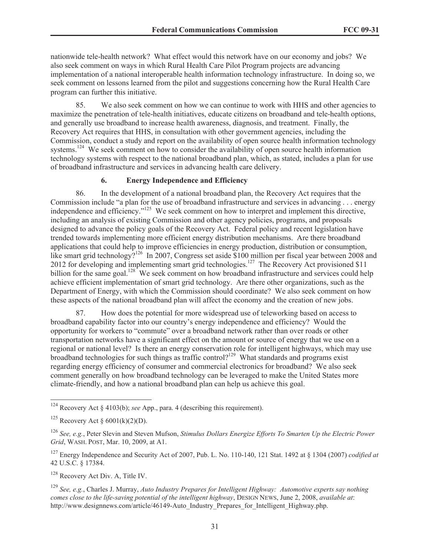nationwide tele-health network? What effect would this network have on our economy and jobs? We also seek comment on ways in which Rural Health Care Pilot Program projects are advancing implementation of a national interoperable health information technology infrastructure. In doing so, we seek comment on lessons learned from the pilot and suggestions concerning how the Rural Health Care program can further this initiative.

85. We also seek comment on how we can continue to work with HHS and other agencies to maximize the penetration of tele-health initiatives, educate citizens on broadband and tele-health options, and generally use broadband to increase health awareness, diagnosis, and treatment. Finally, the Recovery Act requires that HHS, in consultation with other government agencies, including the Commission, conduct a study and report on the availability of open source health information technology systems.<sup>124</sup> We seek comment on how to consider the availability of open source health information technology systems with respect to the national broadband plan, which, as stated, includes a plan for use of broadband infrastructure and services in advancing health care delivery.

#### **6. Energy Independence and Efficiency**

86. In the development of a national broadband plan, the Recovery Act requires that the Commission include "a plan for the use of broadband infrastructure and services in advancing . . . energy independence and efficiency."<sup>125</sup> We seek comment on how to interpret and implement this directive, including an analysis of existing Commission and other agency policies, programs, and proposals designed to advance the policy goals of the Recovery Act. Federal policy and recent legislation have trended towards implementing more efficient energy distribution mechanisms. Are there broadband applications that could help to improve efficiencies in energy production, distribution or consumption, like smart grid technology?<sup>126</sup> In 2007, Congress set aside \$100 million per fiscal year between 2008 and 2012 for developing and implementing smart grid technologies.<sup>127</sup> The Recovery Act provisioned \$11 billion for the same goal.<sup>128</sup> We seek comment on how broadband infrastructure and services could help achieve efficient implementation of smart grid technology. Are there other organizations, such as the Department of Energy, with which the Commission should coordinate? We also seek comment on how these aspects of the national broadband plan will affect the economy and the creation of new jobs.

87. How does the potential for more widespread use of teleworking based on access to broadband capability factor into our country's energy independence and efficiency? Would the opportunity for workers to "commute" over a broadband network rather than over roads or other transportation networks have a significant effect on the amount or source of energy that we use on a regional or national level? Is there an energy conservation role for intelligent highways, which may use broadband technologies for such things as traffic control?<sup>129</sup> What standards and programs exist regarding energy efficiency of consumer and commercial electronics for broadband? We also seek comment generally on how broadband technology can be leveraged to make the United States more climate-friendly, and how a national broadband plan can help us achieve this goal.

<sup>124</sup> Recovery Act § 4103(b); *see* App., para. 4 (describing this requirement).

<sup>&</sup>lt;sup>125</sup> Recovery Act §  $6001(k)(2)(D)$ .

<sup>126</sup> *See, e.g.*, Peter Slevin and Steven Mufson, *Stimulus Dollars Energize Efforts To Smarten Up the Electric Power Grid*, WASH. POST, Mar. 10, 2009, at A1.

<sup>127</sup> Energy Independence and Security Act of 2007, Pub. L. No. 110-140, 121 Stat. 1492 at § 1304 (2007) *codified at* 42 U.S.C. § 17384.

<sup>128</sup> Recovery Act Div. A, Title IV.

<sup>129</sup> *See, e.g.*, Charles J. Murray, *Auto Industry Prepares for Intelligent Highway: Automotive experts say nothing comes close to the life-saving potential of the intelligent highway*, DESIGN NEWS, June 2, 2008, *available at*: http://www.designnews.com/article/46149-Auto\_Industry\_Prepares\_for\_Intelligent\_Highway.php.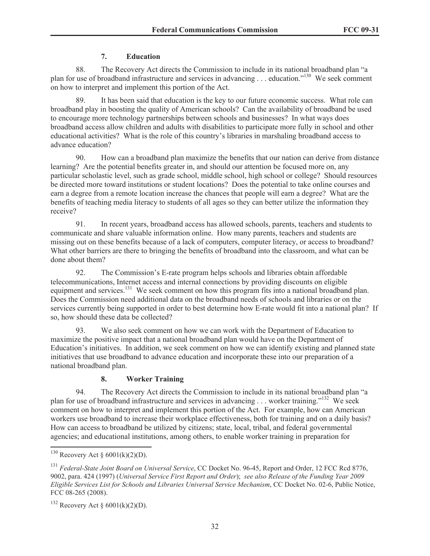# **7. Education**

88. The Recovery Act directs the Commission to include in its national broadband plan "a plan for use of broadband infrastructure and services in advancing . . . education."<sup>130</sup> We seek comment on how to interpret and implement this portion of the Act.

89. It has been said that education is the key to our future economic success. What role can broadband play in boosting the quality of American schools? Can the availability of broadband be used to encourage more technology partnerships between schools and businesses? In what ways does broadband access allow children and adults with disabilities to participate more fully in school and other educational activities? What is the role of this country's libraries in marshaling broadband access to advance education?

90. How can a broadband plan maximize the benefits that our nation can derive from distance learning? Are the potential benefits greater in, and should our attention be focused more on, any particular scholastic level, such as grade school, middle school, high school or college? Should resources be directed more toward institutions or student locations? Does the potential to take online courses and earn a degree from a remote location increase the chances that people will earn a degree? What are the benefits of teaching media literacy to students of all ages so they can better utilize the information they receive?

91. In recent years, broadband access has allowed schools, parents, teachers and students to communicate and share valuable information online. How many parents, teachers and students are missing out on these benefits because of a lack of computers, computer literacy, or access to broadband? What other barriers are there to bringing the benefits of broadband into the classroom, and what can be done about them?

92. The Commission's E-rate program helps schools and libraries obtain affordable telecommunications, Internet access and internal connections by providing discounts on eligible equipment and services.<sup>131</sup> We seek comment on how this program fits into a national broadband plan. Does the Commission need additional data on the broadband needs of schools and libraries or on the services currently being supported in order to best determine how E-rate would fit into a national plan? If so, how should these data be collected?

93. We also seek comment on how we can work with the Department of Education to maximize the positive impact that a national broadband plan would have on the Department of Education's initiatives. In addition, we seek comment on how we can identify existing and planned state initiatives that use broadband to advance education and incorporate these into our preparation of a national broadband plan.

# **8. Worker Training**

94. The Recovery Act directs the Commission to include in its national broadband plan "a plan for use of broadband infrastructure and services in advancing . . . worker training."<sup>132</sup> We seek comment on how to interpret and implement this portion of the Act. For example, how can American workers use broadband to increase their workplace effectiveness, both for training and on a daily basis? How can access to broadband be utilized by citizens; state, local, tribal, and federal governmental agencies; and educational institutions, among others, to enable worker training in preparation for

<sup>&</sup>lt;sup>130</sup> Recovery Act §  $6001(k)(2)(D)$ .

<sup>131</sup> *Federal-State Joint Board on Universal Service*, CC Docket No. 96-45, Report and Order, 12 FCC Rcd 8776, 9002, para. 424 (1997) (*Universal Service First Report and Order*); *see also Release of the Funding Year 2009 Eligible Services List for Schools and Libraries Universal Service Mechanism*, CC Docket No. 02-6, Public Notice, FCC 08-265 (2008).

 $132$  Recovery Act § 6001(k)(2)(D).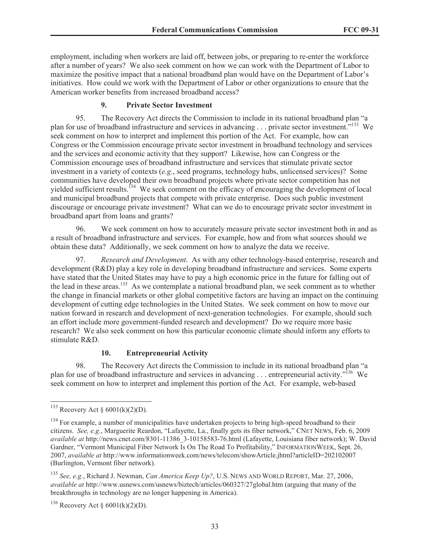employment, including when workers are laid off, between jobs, or preparing to re-enter the workforce after a number of years? We also seek comment on how we can work with the Department of Labor to maximize the positive impact that a national broadband plan would have on the Department of Labor's initiatives. How could we work with the Department of Labor or other organizations to ensure that the American worker benefits from increased broadband access?

# **9. Private Sector Investment**

95. The Recovery Act directs the Commission to include in its national broadband plan "a plan for use of broadband infrastructure and services in advancing . . . private sector investment.<sup>"133</sup> We seek comment on how to interpret and implement this portion of the Act. For example, how can Congress or the Commission encourage private sector investment in broadband technology and services and the services and economic activity that they support? Likewise, how can Congress or the Commission encourage uses of broadband infrastructure and services that stimulate private sector investment in a variety of contexts (*e.g.*, seed programs, technology hubs, unlicensed services)? Some communities have developed their own broadband projects where private sector competition has not yielded sufficient results.<sup>134</sup> We seek comment on the efficacy of encouraging the development of local and municipal broadband projects that compete with private enterprise. Does such public investment discourage or encourage private investment? What can we do to encourage private sector investment in broadband apart from loans and grants?

96. We seek comment on how to accurately measure private sector investment both in and as a result of broadband infrastructure and services. For example, how and from what sources should we obtain these data? Additionally, we seek comment on how to analyze the data we receive.

97. *Research and Development*. As with any other technology-based enterprise, research and development (R&D) play a key role in developing broadband infrastructure and services. Some experts have stated that the United States may have to pay a high economic price in the future for falling out of the lead in these areas.<sup>135</sup> As we contemplate a national broadband plan, we seek comment as to whether the change in financial markets or other global competitive factors are having an impact on the continuing development of cutting edge technologies in the United States. We seek comment on how to move our nation forward in research and development of next-generation technologies. For example, should such an effort include more government-funded research and development? Do we require more basic research? We also seek comment on how this particular economic climate should inform any efforts to stimulate R&D.

# **10. Entrepreneurial Activity**

98. The Recovery Act directs the Commission to include in its national broadband plan "a plan for use of broadband infrastructure and services in advancing . . . entrepreneurial activity."<sup>136</sup> We seek comment on how to interpret and implement this portion of the Act. For example, web-based

<sup>136</sup> Recovery Act §  $6001(k)(2)(D)$ .

 $133$  Recovery Act  $\delta$  6001(k)(2)(D).

<sup>&</sup>lt;sup>134</sup> For example, a number of municipalities have undertaken projects to bring high-speed broadband to their citizens. *See, e.g.*, Marguerite Reardon, "Lafayette, La., finally gets its fiber network," CNET NEWS, Feb. 6, 2009 *available at* http://news.cnet.com/8301-11386\_3-10158583-76.html (Lafayette, Louisiana fiber network); W. David Gardner, "Vermont Municipal Fiber Network Is On The Road To Profitability," INFORMATIONWEEK, Sept. 26, 2007, *available at* http://www.informationweek.com/news/telecom/showArticle.jhtml?articleID=202102007 (Burlington, Vermont fiber network).

<sup>135</sup> *See, e.g.*, Richard J. Newman, *Can America Keep Up?*, U.S. NEWS AND WORLD REPORT, Mar. 27, 2006, *available at* http://www.usnews.com/usnews/biztech/articles/060327/27global.htm (arguing that many of the breakthroughs in technology are no longer happening in America).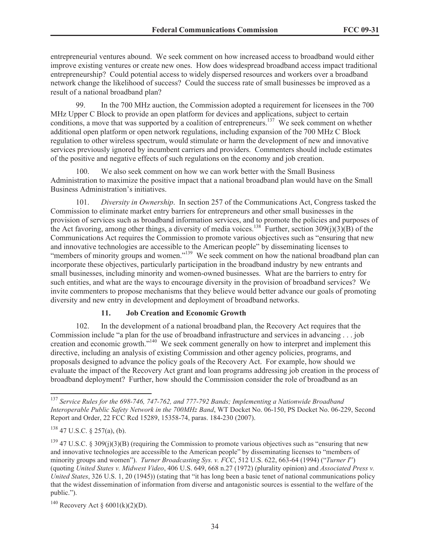entrepreneurial ventures abound. We seek comment on how increased access to broadband would either improve existing ventures or create new ones. How does widespread broadband access impact traditional entrepreneurship? Could potential access to widely dispersed resources and workers over a broadband network change the likelihood of success? Could the success rate of small businesses be improved as a result of a national broadband plan?

99. In the 700 MHz auction, the Commission adopted a requirement for licensees in the 700 MHz Upper C Block to provide an open platform for devices and applications, subject to certain conditions, a move that was supported by a coalition of entrepreneurs.<sup>137</sup> We seek comment on whether additional open platform or open network regulations, including expansion of the 700 MHz C Block regulation to other wireless spectrum, would stimulate or harm the development of new and innovative services previously ignored by incumbent carriers and providers. Commenters should include estimates of the positive and negative effects of such regulations on the economy and job creation.

100. We also seek comment on how we can work better with the Small Business Administration to maximize the positive impact that a national broadband plan would have on the Small Business Administration's initiatives.

101. *Diversity in Ownership*. In section 257 of the Communications Act, Congress tasked the Commission to eliminate market entry barriers for entrepreneurs and other small businesses in the provision of services such as broadband information services, and to promote the policies and purposes of the Act favoring, among other things, a diversity of media voices.<sup>138</sup> Further, section 309(j)(3)(B) of the Communications Act requires the Commission to promote various objectives such as "ensuring that new and innovative technologies are accessible to the American people" by disseminating licenses to "members of minority groups and women."<sup>139</sup> We seek comment on how the national broadband plan can incorporate these objectives, particularly participation in the broadband industry by new entrants and small businesses, including minority and women-owned businesses. What are the barriers to entry for such entities, and what are the ways to encourage diversity in the provision of broadband services? We invite commenters to propose mechanisms that they believe would better advance our goals of promoting diversity and new entry in development and deployment of broadband networks.

### **11. Job Creation and Economic Growth**

102. In the development of a national broadband plan, the Recovery Act requires that the Commission include "a plan for the use of broadband infrastructure and services in advancing . . . job creation and economic growth."<sup>140</sup> We seek comment generally on how to interpret and implement this directive, including an analysis of existing Commission and other agency policies, programs, and proposals designed to advance the policy goals of the Recovery Act. For example, how should we evaluate the impact of the Recovery Act grant and loan programs addressing job creation in the process of broadband deployment? Further, how should the Commission consider the role of broadband as an

<sup>137</sup> *Service Rules for the 698-746, 747-762, and 777-792 Bands; Implementing a Nationwide Broadband Interoperable Public Safety Network in the 700MHz Band*, WT Docket No. 06-150, PS Docket No. 06-229, Second Report and Order, 22 FCC Rcd 15289, 15358-74, paras. 184-230 (2007).

<sup>138</sup> 47 U.S.C. § 257(a), (b).

 $139$  47 U.S.C. § 309(j)(3)(B) (requiring the Commission to promote various objectives such as "ensuring that new and innovative technologies are accessible to the American people" by disseminating licenses to "members of minority groups and women"). *Turner Broadcasting Sys. v. FCC*, 512 U.S. 622, 663-64 (1994) ("*Turner I*") (quoting *United States v. Midwest Video*, 406 U.S. 649, 668 n.27 (1972) (plurality opinion) and *Associated Press v. United States*, 326 U.S. 1, 20 (1945)) (stating that "it has long been a basic tenet of national communications policy that the widest dissemination of information from diverse and antagonistic sources is essential to the welfare of the public.").

<sup>&</sup>lt;sup>140</sup> Recovery Act §  $6001(k)(2)(D)$ .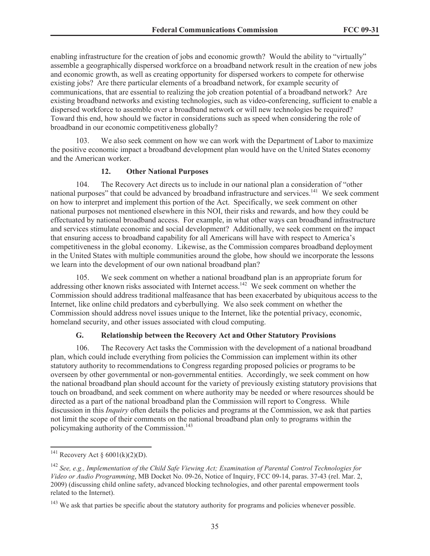enabling infrastructure for the creation of jobs and economic growth? Would the ability to "virtually" assemble a geographically dispersed workforce on a broadband network result in the creation of new jobs and economic growth, as well as creating opportunity for dispersed workers to compete for otherwise existing jobs? Are there particular elements of a broadband network, for example security of communications, that are essential to realizing the job creation potential of a broadband network? Are existing broadband networks and existing technologies, such as video-conferencing, sufficient to enable a dispersed workforce to assemble over a broadband network or will new technologies be required? Toward this end, how should we factor in considerations such as speed when considering the role of broadband in our economic competitiveness globally?

103. We also seek comment on how we can work with the Department of Labor to maximize the positive economic impact a broadband development plan would have on the United States economy and the American worker.

#### **12. Other National Purposes**

104. The Recovery Act directs us to include in our national plan a consideration of "other national purposes" that could be advanced by broadband infrastructure and services.<sup>141</sup> We seek comment on how to interpret and implement this portion of the Act. Specifically, we seek comment on other national purposes not mentioned elsewhere in this NOI, their risks and rewards, and how they could be effectuated by national broadband access. For example, in what other ways can broadband infrastructure and services stimulate economic and social development? Additionally, we seek comment on the impact that ensuring access to broadband capability for all Americans will have with respect to America's competitiveness in the global economy. Likewise, as the Commission compares broadband deployment in the United States with multiple communities around the globe, how should we incorporate the lessons we learn into the development of our own national broadband plan?

105. We seek comment on whether a national broadband plan is an appropriate forum for addressing other known risks associated with Internet access.<sup>142</sup> We seek comment on whether the Commission should address traditional malfeasance that has been exacerbated by ubiquitous access to the Internet, like online child predators and cyberbullying. We also seek comment on whether the Commission should address novel issues unique to the Internet, like the potential privacy, economic, homeland security, and other issues associated with cloud computing.

#### **G. Relationship between the Recovery Act and Other Statutory Provisions**

106. The Recovery Act tasks the Commission with the development of a national broadband plan, which could include everything from policies the Commission can implement within its other statutory authority to recommendations to Congress regarding proposed policies or programs to be overseen by other governmental or non-governmental entities. Accordingly, we seek comment on how the national broadband plan should account for the variety of previously existing statutory provisions that touch on broadband, and seek comment on where authority may be needed or where resources should be directed as a part of the national broadband plan the Commission will report to Congress. While discussion in this *Inquiry* often details the policies and programs at the Commission, we ask that parties not limit the scope of their comments on the national broadband plan only to programs within the policymaking authority of the Commission.<sup>143</sup>

<sup>&</sup>lt;sup>141</sup> Recovery Act §  $6001(k)(2)(D)$ .

<sup>142</sup> *See, e.g., Implementation of the Child Safe Viewing Act; Examination of Parental Control Technologies for Video or Audio Programming*, MB Docket No. 09-26, Notice of Inquiry, FCC 09-14, paras. 37-43 (rel. Mar. 2, 2009) (discussing child online safety, advanced blocking technologies, and other parental empowerment tools related to the Internet).

<sup>&</sup>lt;sup>143</sup> We ask that parties be specific about the statutory authority for programs and policies whenever possible.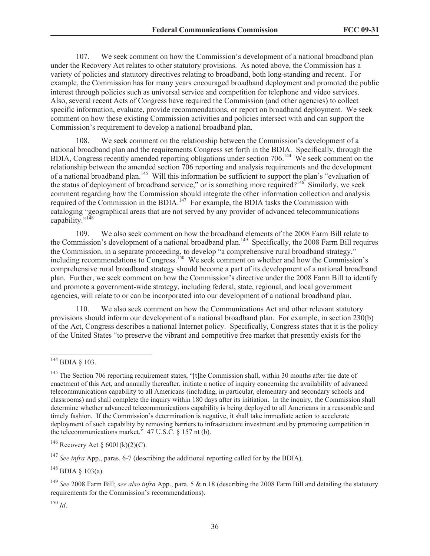107. We seek comment on how the Commission's development of a national broadband plan under the Recovery Act relates to other statutory provisions. As noted above, the Commission has a variety of policies and statutory directives relating to broadband, both long-standing and recent. For example, the Commission has for many years encouraged broadband deployment and promoted the public interest through policies such as universal service and competition for telephone and video services. Also, several recent Acts of Congress have required the Commission (and other agencies) to collect specific information, evaluate, provide recommendations, or report on broadband deployment. We seek comment on how these existing Commission activities and policies intersect with and can support the Commission's requirement to develop a national broadband plan.

108. We seek comment on the relationship between the Commission's development of a national broadband plan and the requirements Congress set forth in the BDIA. Specifically, through the BDIA, Congress recently amended reporting obligations under section 706.<sup>144</sup> We seek comment on the relationship between the amended section 706 reporting and analysis requirements and the development of a national broadband plan.<sup>145</sup> Will this information be sufficient to support the plan's "evaluation of the status of deployment of broadband service," or is something more required?<sup>146</sup> Similarly, we seek comment regarding how the Commission should integrate the other information collection and analysis required of the Commission in the BDIA.<sup>147</sup> For example, the BDIA tasks the Commission with cataloging "geographical areas that are not served by any provider of advanced telecommunications capability."<sup>148</sup>

109. We also seek comment on how the broadband elements of the 2008 Farm Bill relate to the Commission's development of a national broadband plan.<sup>149</sup> Specifically, the 2008 Farm Bill requires the Commission, in a separate proceeding, to develop "a comprehensive rural broadband strategy," including recommendations to Congress.<sup>150</sup> We seek comment on whether and how the Commission's comprehensive rural broadband strategy should become a part of its development of a national broadband plan. Further, we seek comment on how the Commission's directive under the 2008 Farm Bill to identify and promote a government-wide strategy, including federal, state, regional, and local government agencies, will relate to or can be incorporated into our development of a national broadband plan.

110. We also seek comment on how the Communications Act and other relevant statutory provisions should inform our development of a national broadband plan. For example, in section 230(b) of the Act, Congress describes a national Internet policy. Specifically, Congress states that it is the policy of the United States "to preserve the vibrant and competitive free market that presently exists for the

<sup>150</sup> *Id*.

<sup>144</sup> BDIA § 103.

<sup>&</sup>lt;sup>145</sup> The Section 706 reporting requirement states, "[t]he Commission shall, within 30 months after the date of enactment of this Act, and annually thereafter, initiate a notice of inquiry concerning the availability of advanced telecommunications capability to all Americans (including, in particular, elementary and secondary schools and classrooms) and shall complete the inquiry within 180 days after its initiation. In the inquiry, the Commission shall determine whether advanced telecommunications capability is being deployed to all Americans in a reasonable and timely fashion. If the Commission's determination is negative, it shall take immediate action to accelerate deployment of such capability by removing barriers to infrastructure investment and by promoting competition in the telecommunications market." 47 U.S.C. § 157 nt (b).

<sup>&</sup>lt;sup>146</sup> Recovery Act §  $6001(k)(2)(C)$ .

<sup>&</sup>lt;sup>147</sup> *See infra* App., paras. 6-7 (describing the additional reporting called for by the BDIA).

 $^{148}$  BDIA  $\delta$  103(a).

<sup>149</sup> *See* 2008 Farm Bill; *see also infra* App., para. 5 & n.18 (describing the 2008 Farm Bill and detailing the statutory requirements for the Commission's recommendations).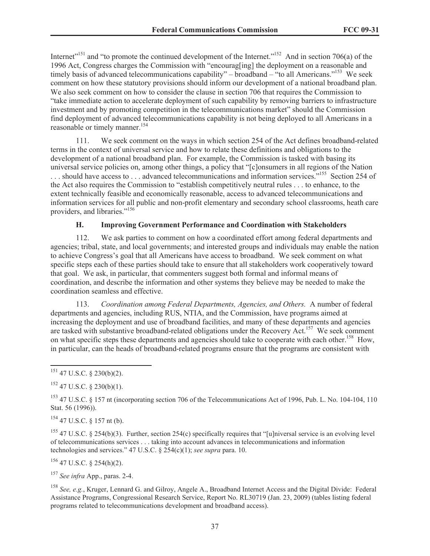Internet<sup> $151$ </sup> and "to promote the continued development of the Internet."<sup>152</sup> And in section 706(a) of the 1996 Act, Congress charges the Commission with "encourag[ing] the deployment on a reasonable and timely basis of advanced telecommunications capability" – broadband – "to all Americans."<sup>153</sup> We seek comment on how these statutory provisions should inform our development of a national broadband plan. We also seek comment on how to consider the clause in section 706 that requires the Commission to "take immediate action to accelerate deployment of such capability by removing barriers to infrastructure investment and by promoting competition in the telecommunications market" should the Commission find deployment of advanced telecommunications capability is not being deployed to all Americans in a reasonable or timely manner.<sup>154</sup>

111. We seek comment on the ways in which section 254 of the Act defines broadband-related terms in the context of universal service and how to relate these definitions and obligations to the development of a national broadband plan. For example, the Commission is tasked with basing its universal service policies on, among other things, a policy that "[c]onsumers in all regions of the Nation ... should have access to ... advanced telecommunications and information services.<sup>"155</sup> Section 254 of the Act also requires the Commission to "establish competitively neutral rules . . . to enhance, to the extent technically feasible and economically reasonable, access to advanced telecommunications and information services for all public and non-profit elementary and secondary school classrooms, heath care providers, and libraries."<sup>156</sup>

# **H. Improving Government Performance and Coordination with Stakeholders**

112. We ask parties to comment on how a coordinated effort among federal departments and agencies; tribal, state, and local governments; and interested groups and individuals may enable the nation to achieve Congress's goal that all Americans have access to broadband. We seek comment on what specific steps each of these parties should take to ensure that all stakeholders work cooperatively toward that goal. We ask, in particular, that commenters suggest both formal and informal means of coordination, and describe the information and other systems they believe may be needed to make the coordination seamless and effective.

113. *Coordination among Federal Departments, Agencies, and Others.* A number of federal departments and agencies, including RUS, NTIA, and the Commission, have programs aimed at increasing the deployment and use of broadband facilities, and many of these departments and agencies are tasked with substantive broadband-related obligations under the Recovery Act.<sup>157</sup> We seek comment on what specific steps these departments and agencies should take to cooperate with each other.<sup>158</sup> How, in particular, can the heads of broadband-related programs ensure that the programs are consistent with

<sup>154</sup> 47 U.S.C. § 157 nt (b).

<sup>155</sup> 47 U.S.C. § 254(b)(3). Further, section 254(c) specifically requires that "[u]niversal service is an evolving level of telecommunications services . . . taking into account advances in telecommunications and information technologies and services." 47 U.S.C. § 254(c)(1); *see supra* para. 10.

 $156$  47 U.S.C. § 254(h)(2).

<sup>157</sup> *See infra* App., paras. 2-4.

<sup>158</sup> *See, e.g.*, Kruger, Lennard G. and Gilroy, Angele A., Broadband Internet Access and the Digital Divide: Federal Assistance Programs, Congressional Research Service, Report No. RL30719 (Jan. 23, 2009) (tables listing federal programs related to telecommunications development and broadband access).

 $151$  47 U.S.C. § 230(b)(2).

 $152$  47 U.S.C. § 230(b)(1).

<sup>153</sup> 47 U.S.C. § 157 nt (incorporating section 706 of the Telecommunications Act of 1996, Pub. L. No. 104-104, 110 Stat. 56 (1996)).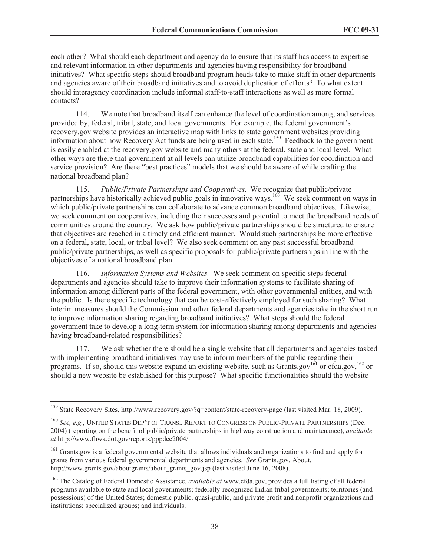each other? What should each department and agency do to ensure that its staff has access to expertise and relevant information in other departments and agencies having responsibility for broadband initiatives? What specific steps should broadband program heads take to make staff in other departments and agencies aware of their broadband initiatives and to avoid duplication of efforts? To what extent should interagency coordination include informal staff-to-staff interactions as well as more formal contacts?

114. We note that broadband itself can enhance the level of coordination among, and services provided by, federal, tribal, state, and local governments. For example, the federal government's recovery.gov website provides an interactive map with links to state government websites providing information about how Recovery Act funds are being used in each state.<sup>159</sup> Feedback to the government is easily enabled at the recovery.gov website and many others at the federal, state and local level. What other ways are there that government at all levels can utilize broadband capabilities for coordination and service provision? Are there "best practices" models that we should be aware of while crafting the national broadband plan?

115. *Public/Private Partnerships and Cooperatives*. We recognize that public/private partnerships have historically achieved public goals in innovative ways.<sup>160</sup> We seek comment on ways in which public/private partnerships can collaborate to advance common broadband objectives. Likewise, we seek comment on cooperatives, including their successes and potential to meet the broadband needs of communities around the country. We ask how public/private partnerships should be structured to ensure that objectives are reached in a timely and efficient manner. Would such partnerships be more effective on a federal, state, local, or tribal level? We also seek comment on any past successful broadband public/private partnerships, as well as specific proposals for public/private partnerships in line with the objectives of a national broadband plan.

116. *Information Systems and Websites.* We seek comment on specific steps federal departments and agencies should take to improve their information systems to facilitate sharing of information among different parts of the federal government, with other governmental entities, and with the public. Is there specific technology that can be cost-effectively employed for such sharing? What interim measures should the Commission and other federal departments and agencies take in the short run to improve information sharing regarding broadband initiatives? What steps should the federal government take to develop a long-term system for information sharing among departments and agencies having broadband-related responsibilities?

117. We ask whether there should be a single website that all departments and agencies tasked with implementing broadband initiatives may use to inform members of the public regarding their programs. If so, should this website expand an existing website, such as Grants.gov<sup>161</sup> or cfda.gov,<sup>162</sup> or should a new website be established for this purpose? What specific functionalities should the website

<sup>159</sup> State Recovery Sites, http://www.recovery.gov/?q=content/state-recovery-page (last visited Mar. 18, 2009).

<sup>160</sup> *See, e.g.,* UNITED STATES DEP'T OF TRANS., REPORT TO CONGRESS ON PUBLIC-PRIVATE PARTNERSHIPS (Dec. 2004) (reporting on the benefit of public/private partnerships in highway construction and maintenance), *available at* http://www.fhwa.dot.gov/reports/pppdec2004/.

<sup>&</sup>lt;sup>161</sup> Grants.gov is a federal governmental website that allows individuals and organizations to find and apply for grants from various federal governmental departments and agencies. *See* Grants.gov, About, http://www.grants.gov/aboutgrants/about\_grants\_gov.jsp (last visited June 16, 2008).

<sup>162</sup> The Catalog of Federal Domestic Assistance, *available at* www.cfda.gov, provides a full listing of all federal programs available to state and local governments; federally-recognized Indian tribal governments; territories (and possessions) of the United States; domestic public, quasi-public, and private profit and nonprofit organizations and institutions; specialized groups; and individuals.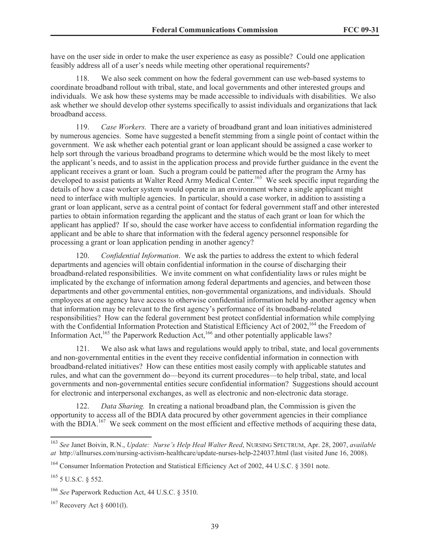have on the user side in order to make the user experience as easy as possible? Could one application feasibly address all of a user's needs while meeting other operational requirements?

118. We also seek comment on how the federal government can use web-based systems to coordinate broadband rollout with tribal, state, and local governments and other interested groups and individuals. We ask how these systems may be made accessible to individuals with disabilities. We also ask whether we should develop other systems specifically to assist individuals and organizations that lack broadband access.

119. *Case Workers.* There are a variety of broadband grant and loan initiatives administered by numerous agencies. Some have suggested a benefit stemming from a single point of contact within the government. We ask whether each potential grant or loan applicant should be assigned a case worker to help sort through the various broadband programs to determine which would be the most likely to meet the applicant's needs, and to assist in the application process and provide further guidance in the event the applicant receives a grant or loan. Such a program could be patterned after the program the Army has developed to assist patients at Walter Reed Army Medical Center.<sup>163</sup> We seek specific input regarding the details of how a case worker system would operate in an environment where a single applicant might need to interface with multiple agencies. In particular, should a case worker, in addition to assisting a grant or loan applicant, serve as a central point of contact for federal government staff and other interested parties to obtain information regarding the applicant and the status of each grant or loan for which the applicant has applied? If so, should the case worker have access to confidential information regarding the applicant and be able to share that information with the federal agency personnel responsible for processing a grant or loan application pending in another agency?

120. *Confidential Information*. We ask the parties to address the extent to which federal departments and agencies will obtain confidential information in the course of discharging their broadband-related responsibilities. We invite comment on what confidentiality laws or rules might be implicated by the exchange of information among federal departments and agencies, and between those departments and other governmental entities, non-governmental organizations, and individuals. Should employees at one agency have access to otherwise confidential information held by another agency when that information may be relevant to the first agency's performance of its broadband-related responsibilities? How can the federal government best protect confidential information while complying with the Confidential Information Protection and Statistical Efficiency Act of 2002,<sup>164</sup> the Freedom of Information Act,  $165$  the Paperwork Reduction Act,  $166$  and other potentially applicable laws?

121. We also ask what laws and regulations would apply to tribal, state, and local governments and non-governmental entities in the event they receive confidential information in connection with broadband-related initiatives? How can these entities most easily comply with applicable statutes and rules, and what can the government do—beyond its current procedures—to help tribal, state, and local governments and non-governmental entities secure confidential information? Suggestions should account for electronic and interpersonal exchanges, as well as electronic and non-electronic data storage.

122. *Data Sharing.* In creating a national broadband plan, the Commission is given the opportunity to access all of the BDIA data procured by other government agencies in their compliance with the BDIA.<sup>167</sup> We seek comment on the most efficient and effective methods of acquiring these data,

<sup>163</sup> *See* Janet Boivin, R.N., *Update: Nurse's Help Heal Walter Reed*, NURSING SPECTRUM, Apr. 28, 2007, *available at* http://allnurses.com/nursing-activism-healthcare/update-nurses-help-224037.html (last visited June 16, 2008).

<sup>&</sup>lt;sup>164</sup> Consumer Information Protection and Statistical Efficiency Act of 2002, 44 U.S.C. § 3501 note.

<sup>165</sup> 5 U.S.C. § 552.

<sup>166</sup> *See* Paperwork Reduction Act, 44 U.S.C. § 3510.

 $167$  Recovery Act § 6001(1).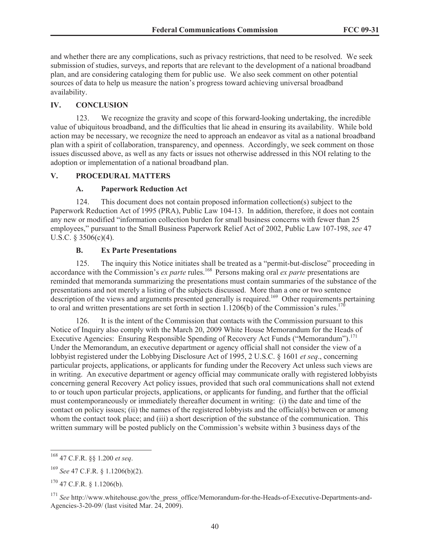and whether there are any complications, such as privacy restrictions, that need to be resolved. We seek submission of studies, surveys, and reports that are relevant to the development of a national broadband plan, and are considering cataloging them for public use. We also seek comment on other potential sources of data to help us measure the nation's progress toward achieving universal broadband availability.

#### **IV. CONCLUSION**

123. We recognize the gravity and scope of this forward-looking undertaking, the incredible value of ubiquitous broadband, and the difficulties that lie ahead in ensuring its availability. While bold action may be necessary, we recognize the need to approach an endeavor as vital as a national broadband plan with a spirit of collaboration, transparency, and openness. Accordingly, we seek comment on those issues discussed above, as well as any facts or issues not otherwise addressed in this NOI relating to the adoption or implementation of a national broadband plan.

### **V. PROCEDURAL MATTERS**

#### **A. Paperwork Reduction Act**

124. This document does not contain proposed information collection(s) subject to the Paperwork Reduction Act of 1995 (PRA), Public Law 104-13. In addition, therefore, it does not contain any new or modified "information collection burden for small business concerns with fewer than 25 employees," pursuant to the Small Business Paperwork Relief Act of 2002, Public Law 107-198, *see* 47 U.S.C. § 3506(c)(4).

### **B. Ex Parte Presentations**

125. The inquiry this Notice initiates shall be treated as a "permit-but-disclose" proceeding in accordance with the Commission's *ex parte* rules.<sup>168</sup> Persons making oral *ex parte* presentations are reminded that memoranda summarizing the presentations must contain summaries of the substance of the presentations and not merely a listing of the subjects discussed. More than a one or two sentence description of the views and arguments presented generally is required.<sup>169</sup> Other requirements pertaining to oral and written presentations are set forth in section 1.1206(b) of the Commission's rules.<sup>170</sup>

126. It is the intent of the Commission that contacts with the Commission pursuant to this Notice of Inquiry also comply with the March 20, 2009 White House Memorandum for the Heads of Executive Agencies: Ensuring Responsible Spending of Recovery Act Funds ("Memorandum").<sup>171</sup> Under the Memorandum, an executive department or agency official shall not consider the view of a lobbyist registered under the Lobbying Disclosure Act of 1995, 2 U.S.C. § 1601 *et seq*., concerning particular projects, applications, or applicants for funding under the Recovery Act unless such views are in writing. An executive department or agency official may communicate orally with registered lobbyists concerning general Recovery Act policy issues, provided that such oral communications shall not extend to or touch upon particular projects, applications, or applicants for funding, and further that the official must contemporaneously or immediately thereafter document in writing: (i) the date and time of the contact on policy issues; (ii) the names of the registered lobbyists and the official(s) between or among whom the contact took place; and (iii) a short description of the substance of the communication. This written summary will be posted publicly on the Commission's website within 3 business days of the

<sup>168</sup> 47 C.F.R. §§ 1.200 *et seq*.

<sup>169</sup> *See* 47 C.F.R. § 1.1206(b)(2).

 $170$  47 C.F.R. § 1.1206(b).

<sup>&</sup>lt;sup>171</sup> See http://www.whitehouse.gov/the\_press\_office/Memorandum-for-the-Heads-of-Executive-Departments-and-Agencies-3-20-09/ (last visited Mar. 24, 2009).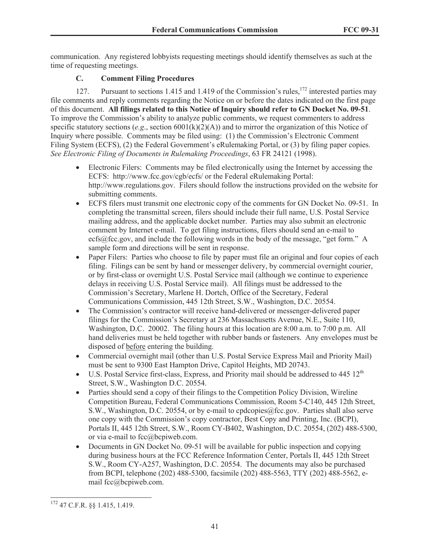communication. Any registered lobbyists requesting meetings should identify themselves as such at the time of requesting meetings.

# **C. Comment Filing Procedures**

127. Pursuant to sections 1.415 and 1.419 of the Commission's rules,<sup>172</sup> interested parties may file comments and reply comments regarding the Notice on or before the dates indicated on the first page of this document. **All filings related to this Notice of Inquiry should refer to GN Docket No. 09-51**. To improve the Commission's ability to analyze public comments, we request commenters to address specific statutory sections (*e.g*., section 6001(k)(2)(A)) and to mirror the organization of this Notice of Inquiry where possible. Comments may be filed using: (1) the Commission's Electronic Comment Filing System (ECFS), (2) the Federal Government's eRulemaking Portal, or (3) by filing paper copies. *See Electronic Filing of Documents in Rulemaking Proceedings*, 63 FR 24121 (1998).

- Electronic Filers: Comments may be filed electronically using the Internet by accessing the ECFS: http://www.fcc.gov/cgb/ecfs/ or the Federal eRulemaking Portal: http://www.regulations.gov. Filers should follow the instructions provided on the website for submitting comments.
- · ECFS filers must transmit one electronic copy of the comments for GN Docket No. 09-51. In completing the transmittal screen, filers should include their full name, U.S. Postal Service mailing address, and the applicable docket number. Parties may also submit an electronic comment by Internet e-mail. To get filing instructions, filers should send an e-mail to ecfs@fcc.gov, and include the following words in the body of the message, "get form." A sample form and directions will be sent in response.
- Paper Filers: Parties who choose to file by paper must file an original and four copies of each filing. Filings can be sent by hand or messenger delivery, by commercial overnight courier, or by first-class or overnight U.S. Postal Service mail (although we continue to experience delays in receiving U.S. Postal Service mail). All filings must be addressed to the Commission's Secretary, Marlene H. Dortch, Office of the Secretary, Federal Communications Commission, 445 12th Street, S.W., Washington, D.C. 20554.
- · The Commission's contractor will receive hand-delivered or messenger-delivered paper filings for the Commission's Secretary at 236 Massachusetts Avenue, N.E., Suite 110, Washington, D.C. 20002. The filing hours at this location are 8:00 a.m. to 7:00 p.m. All hand deliveries must be held together with rubber bands or fasteners. Any envelopes must be disposed of before entering the building.
- · Commercial overnight mail (other than U.S. Postal Service Express Mail and Priority Mail) must be sent to 9300 East Hampton Drive, Capitol Heights, MD 20743.
- U.S. Postal Service first-class, Express, and Priority mail should be addressed to  $445 \frac{12^{th}}{125}$ Street, S.W., Washington D.C. 20554.
- · Parties should send a copy of their filings to the Competition Policy Division, Wireline Competition Bureau, Federal Communications Commission, Room 5-C140, 445 12th Street, S.W., Washington, D.C. 20554, or by e-mail to cpdcopies@fcc.gov. Parties shall also serve one copy with the Commission's copy contractor, Best Copy and Printing, Inc. (BCPI), Portals II, 445 12th Street, S.W., Room CY-B402, Washington, D.C. 20554, (202) 488-5300, or via e-mail to fcc@bcpiweb.com.
- Documents in GN Docket No. 09-51 will be available for public inspection and copying during business hours at the FCC Reference Information Center, Portals II, 445 12th Street S.W., Room CY-A257, Washington, D.C. 20554. The documents may also be purchased from BCPI, telephone (202) 488-5300, facsimile (202) 488-5563, TTY (202) 488-5562, email fcc@bcpiweb.com.

<sup>172</sup> 47 C.F.R. §§ 1.415, 1.419.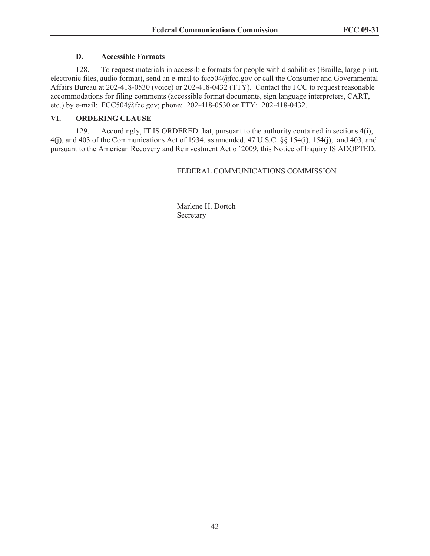## **D. Accessible Formats**

128. To request materials in accessible formats for people with disabilities (Braille, large print, electronic files, audio format), send an e-mail to fcc504@fcc.gov or call the Consumer and Governmental Affairs Bureau at 202-418-0530 (voice) or 202-418-0432 (TTY). Contact the FCC to request reasonable accommodations for filing comments (accessible format documents, sign language interpreters, CART, etc.) by e-mail: FCC504@fcc.gov; phone: 202-418-0530 or TTY: 202-418-0432.

# **VI. ORDERING CLAUSE**

129. Accordingly, IT IS ORDERED that, pursuant to the authority contained in sections 4(i), 4(j), and 403 of the Communications Act of 1934, as amended, 47 U.S.C. §§ 154(i), 154(j), and 403, and pursuant to the American Recovery and Reinvestment Act of 2009, this Notice of Inquiry IS ADOPTED.

# FEDERAL COMMUNICATIONS COMMISSION

Marlene H. Dortch Secretary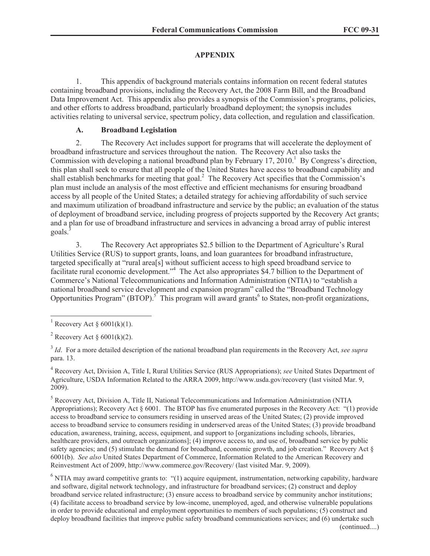# **APPENDIX**

1. This appendix of background materials contains information on recent federal statutes containing broadband provisions, including the Recovery Act, the 2008 Farm Bill, and the Broadband Data Improvement Act. This appendix also provides a synopsis of the Commission's programs, policies, and other efforts to address broadband, particularly broadband deployment; the synopsis includes activities relating to universal service, spectrum policy, data collection, and regulation and classification.

## **A. Broadband Legislation**

2. The Recovery Act includes support for programs that will accelerate the deployment of broadband infrastructure and services throughout the nation. The Recovery Act also tasks the Commission with developing a national broadband plan by February  $17, 2010$ .<sup>1</sup> By Congress's direction, this plan shall seek to ensure that all people of the United States have access to broadband capability and shall establish benchmarks for meeting that goal.<sup>2</sup> The Recovery Act specifies that the Commission's plan must include an analysis of the most effective and efficient mechanisms for ensuring broadband access by all people of the United States; a detailed strategy for achieving affordability of such service and maximum utilization of broadband infrastructure and service by the public; an evaluation of the status of deployment of broadband service, including progress of projects supported by the Recovery Act grants; and a plan for use of broadband infrastructure and services in advancing a broad array of public interest goals.<sup>3</sup>

3. The Recovery Act appropriates \$2.5 billion to the Department of Agriculture's Rural Utilities Service (RUS) to support grants, loans, and loan guarantees for broadband infrastructure, targeted specifically at "rural area[s] without sufficient access to high speed broadband service to facilitate rural economic development.<sup>34</sup> The Act also appropriates \$4.7 billion to the Department of Commerce's National Telecommunications and Information Administration (NTIA) to "establish a national broadband service development and expansion program" called the "Broadband Technology Opportunities Program" (BTOP).<sup>5</sup> This program will award grants<sup>6</sup> to States, non-profit organizations,

4 Recovery Act, Division A, Title I, Rural Utilities Service (RUS Appropriations); *see* United States Department of Agriculture, USDA Information Related to the ARRA 2009, http://www.usda.gov/recovery (last visited Mar. 9, 2009).

<sup>5</sup> Recovery Act, Division A, Title II, National Telecommunications and Information Administration (NTIA Appropriations); Recovery Act § 6001. The BTOP has five enumerated purposes in the Recovery Act: "(1) provide access to broadband service to consumers residing in unserved areas of the United States; (2) provide improved access to broadband service to consumers residing in underserved areas of the United States; (3) provide broadband education, awareness, training, access, equipment, and support to [organizations including schools, libraries, healthcare providers, and outreach organizations]; (4) improve access to, and use of, broadband service by public safety agencies; and (5) stimulate the demand for broadband, economic growth, and job creation." Recovery Act § 6001(b). *See also* United States Department of Commerce, Information Related to the American Recovery and Reinvestment Act of 2009, http://www.commerce.gov/Recovery/ (last visited Mar. 9, 2009).

 $6$  NTIA may award competitive grants to:  $\degree$ (1) acquire equipment, instrumentation, networking capability, hardware and software, digital network technology, and infrastructure for broadband services; (2) construct and deploy broadband service related infrastructure; (3) ensure access to broadband service by community anchor institutions; (4) facilitate access to broadband service by low-income, unemployed, aged, and otherwise vulnerable populations in order to provide educational and employment opportunities to members of such populations; (5) construct and deploy broadband facilities that improve public safety broadband communications services; and (6) undertake such

<sup>&</sup>lt;sup>1</sup> Recovery Act § 6001(k)(1).

<sup>&</sup>lt;sup>2</sup> Recovery Act § 6001(k)(2).

<sup>3</sup> *Id*. For a more detailed description of the national broadband plan requirements in the Recovery Act, *see supra* para. 13.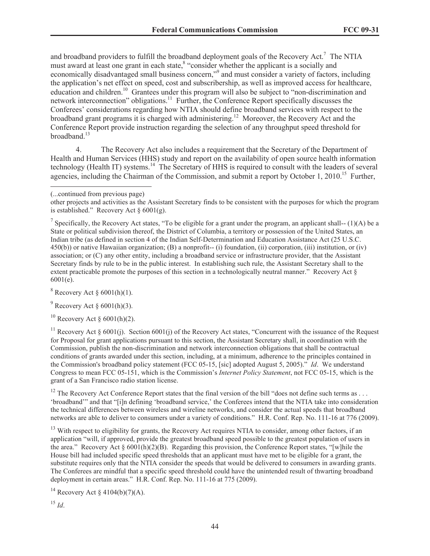and broadband providers to fulfill the broadband deployment goals of the Recovery Act.<sup>7</sup> The NTIA must award at least one grant in each state,<sup>8</sup> "consider whether the applicant is a socially and economically disadvantaged small business concern,"<sup>9</sup> and must consider a variety of factors, including the application's net effect on speed, cost and subscribership, as well as improved access for healthcare, education and children.<sup>10</sup> Grantees under this program will also be subject to "non-discrimination and network interconnection" obligations.<sup>11</sup> Further, the Conference Report specifically discusses the Conferees' considerations regarding how NTIA should define broadband services with respect to the broadband grant programs it is charged with administering.<sup>12</sup> Moreover, the Recovery Act and the Conference Report provide instruction regarding the selection of any throughput speed threshold for broadband. $13$ 

4. The Recovery Act also includes a requirement that the Secretary of the Department of Health and Human Services (HHS) study and report on the availability of open source health information technology (Health IT) systems.<sup>14</sup> The Secretary of HHS is required to consult with the leaders of several agencies, including the Chairman of the Commission, and submit a report by October 1, 2010.<sup>15</sup> Further,

other projects and activities as the Assistant Secretary finds to be consistent with the purposes for which the program is established." Recovery Act  $\S 6001(g)$ .

<sup>7</sup> Specifically, the Recovery Act states, "To be eligible for a grant under the program, an applicant shall--  $(1)(A)$  be a State or political subdivision thereof, the District of Columbia, a territory or possession of the United States, an Indian tribe (as defined in section 4 of the Indian Self-Determination and Education Assistance Act (25 U.S.C. 450(b)) or native Hawaiian organization; (B) a nonprofit-- (i) foundation, (ii) corporation, (iii) institution, or (iv) association; or (C) any other entity, including a broadband service or infrastructure provider, that the Assistant Secretary finds by rule to be in the public interest. In establishing such rule, the Assistant Secretary shall to the extent practicable promote the purposes of this section in a technologically neutral manner." Recovery Act § 6001(e).

 $8$  Recovery Act  $§$  6001(h)(1).

 $9^9$  Recovery Act § 6001(h)(3).

 $10$  Recovery Act § 6001(h)(2).

<sup>11</sup> Recovery Act § 6001(j). Section 6001(j) of the Recovery Act states, "Concurrent with the issuance of the Request for Proposal for grant applications pursuant to this section, the Assistant Secretary shall, in coordination with the Commission, publish the non-discrimination and network interconnection obligations that shall be contractual conditions of grants awarded under this section, including, at a minimum, adherence to the principles contained in the Commission's broadband policy statement (FCC 05-15, [sic] adopted August 5, 2005)." *Id*. We understand Congress to mean FCC 05-151, which is the Commission's *Internet Policy Statement*, not FCC 05-15, which is the grant of a San Francisco radio station license.

<sup>12</sup> The Recovery Act Conference Report states that the final version of the bill "does not define such terms as . . . 'broadband'" and that "[i]n defining 'broadband service,' the Conferees intend that the NTIA take into consideration the technical differences between wireless and wireline networks, and consider the actual speeds that broadband networks are able to deliver to consumers under a variety of conditions." H.R. Conf. Rep. No. 111-16 at 776 (2009).

<sup>13</sup> With respect to eligibility for grants, the Recovery Act requires NTIA to consider, among other factors, if an application "will, if approved, provide the greatest broadband speed possible to the greatest population of users in the area." Recovery Act  $\S$  6001(h)(2)(B). Regarding this provision, the Conference Report states, "[w]hile the House bill had included specific speed thresholds that an applicant must have met to be eligible for a grant, the substitute requires only that the NTIA consider the speeds that would be delivered to consumers in awarding grants. The Conferees are mindful that a specific speed threshold could have the unintended result of thwarting broadband deployment in certain areas." H.R. Conf. Rep. No. 111-16 at 775 (2009).

<sup>14</sup> Recovery Act § 4104(b)(7)(A).

<sup>(...</sup>continued from previous page)

 $^{15}$  *Id*.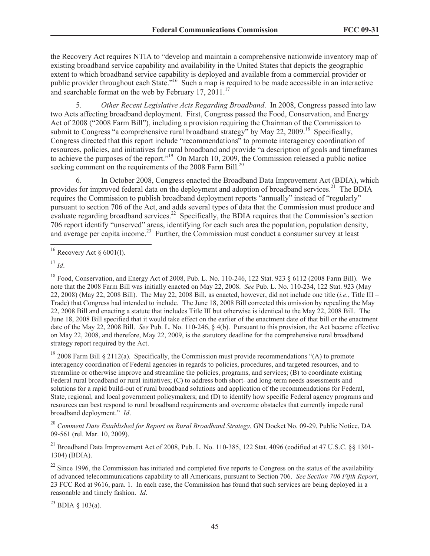the Recovery Act requires NTIA to "develop and maintain a comprehensive nationwide inventory map of existing broadband service capability and availability in the United States that depicts the geographic extent to which broadband service capability is deployed and available from a commercial provider or public provider throughout each State."<sup>16</sup> Such a map is required to be made accessible in an interactive and searchable format on the web by February 17, 2011.<sup>17</sup>

5. *Other Recent Legislative Acts Regarding Broadband*. In 2008, Congress passed into law two Acts affecting broadband deployment. First, Congress passed the Food, Conservation, and Energy Act of 2008 ("2008 Farm Bill"), including a provision requiring the Chairman of the Commission to submit to Congress "a comprehensive rural broadband strategy" by May 22, 2009.<sup>18</sup> Specifically, Congress directed that this report include "recommendations" to promote interagency coordination of resources, policies, and initiatives for rural broadband and provide "a description of goals and timeframes to achieve the purposes of the report."<sup>19</sup> On March 10, 2009, the Commission released a public notice seeking comment on the requirements of the 2008 Farm Bill.<sup>20</sup>

6. In October 2008, Congress enacted the Broadband Data Improvement Act (BDIA), which provides for improved federal data on the deployment and adoption of broadband services.<sup>21</sup> The BDIA requires the Commission to publish broadband deployment reports "annually" instead of "regularly" pursuant to section 706 of the Act, and adds several types of data that the Commission must produce and evaluate regarding broadband services.<sup>22</sup> Specifically, the BDIA requires that the Commission's section 706 report identify "unserved" areas, identifying for each such area the population, population density, and average per capita income.<sup>23</sup> Further, the Commission must conduct a consumer survey at least

 $19$  2008 Farm Bill § 2112(a). Specifically, the Commission must provide recommendations "(A) to promote interagency coordination of Federal agencies in regards to policies, procedures, and targeted resources, and to streamline or otherwise improve and streamline the policies, programs, and services; (B) to coordinate existing Federal rural broadband or rural initiatives; (C) to address both short- and long-term needs assessments and solutions for a rapid build-out of rural broadband solutions and application of the recommendations for Federal, State, regional, and local government policymakers; and (D) to identify how specific Federal agency programs and resources can best respond to rural broadband requirements and overcome obstacles that currently impede rural broadband deployment." *Id*.

<sup>20</sup> *Comment Date Established for Report on Rural Broadband Strategy*, GN Docket No. 09-29, Public Notice, DA 09-561 (rel. Mar. 10, 2009).

<sup>21</sup> Broadband Data Improvement Act of 2008, Pub. L. No. 110-385, 122 Stat. 4096 (codified at 47 U.S.C.  $\frac{8}{1301}$ -1304) (BDIA).

 $22$  Since 1996, the Commission has initiated and completed five reports to Congress on the status of the availability of advanced telecommunications capability to all Americans, pursuant to Section 706. *See Section 706 Fifth Report*, 23 FCC Rcd at 9616, para. 1. In each case, the Commission has found that such services are being deployed in a reasonable and timely fashion. *Id*.

<sup>23</sup> BDIA  $\S$  103(a).

 $16$  Recovery Act § 6001(l).

 $17 \,$ *Id*.

 $^{18}$  Food, Conservation, and Energy Act of 2008, Pub. L. No. 110-246, 122 Stat. 923  $\frac{6}{12}$  (2008 Farm Bill). We note that the 2008 Farm Bill was initially enacted on May 22, 2008. *See* Pub. L. No. 110-234, 122 Stat. 923 (May 22, 2008) (May 22, 2008 Bill). The May 22, 2008 Bill, as enacted, however, did not include one title (*i.e.*, Title III – Trade) that Congress had intended to include. The June 18, 2008 Bill corrected this omission by repealing the May 22, 2008 Bill and enacting a statute that includes Title III but otherwise is identical to the May 22, 2008 Bill. The June 18, 2008 Bill specified that it would take effect on the earlier of the enactment date of that bill or the enactment date of the May 22, 2008 Bill. *See* Pub. L. No. 110-246, § 4(b). Pursuant to this provision, the Act became effective on May 22, 2008, and therefore, May 22, 2009, is the statutory deadline for the comprehensive rural broadband strategy report required by the Act.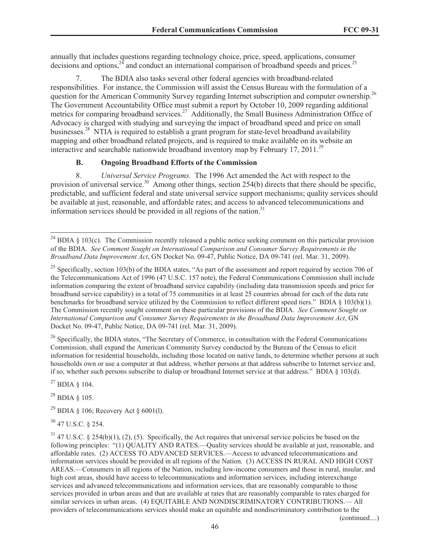annually that includes questions regarding technology choice, price, speed, applications, consumer decisions and options, $2<sup>4</sup>$  and conduct an international comparison of broadband speeds and prices.<sup>25</sup>

7. The BDIA also tasks several other federal agencies with broadband-related responsibilities. For instance, the Commission will assist the Census Bureau with the formulation of a question for the American Community Survey regarding Internet subscription and computer ownership.<sup>26</sup> The Government Accountability Office must submit a report by October 10, 2009 regarding additional metrics for comparing broadband services.<sup>27</sup> Additionally, the Small Business Administration Office of Advocacy is charged with studying and surveying the impact of broadband speed and price on small businesses.<sup>28</sup> NTIA is required to establish a grant program for state-level broadband availability mapping and other broadband related projects, and is required to make available on its website an interactive and searchable nationwide broadband inventory map by February 17, 2011.<sup>29</sup>

# **B. Ongoing Broadband Efforts of the Commission**

8. *Universal Service Programs.* The 1996 Act amended the Act with respect to the provision of universal service.<sup>30</sup> Among other things, section 254(b) directs that there should be specific, predictable, and sufficient federal and state universal service support mechanisms; quality services should be available at just, reasonable, and affordable rates; and access to advanced telecommunications and information services should be provided in all regions of the nation.<sup>31</sup>

<sup>26</sup> Specifically, the BDIA states, "The Secretary of Commerce, in consultation with the Federal Communications Commission, shall expand the American Community Survey conducted by the Bureau of the Census to elicit information for residential households, including those located on native lands, to determine whether persons at such households own or use a computer at that address, whether persons at that address subscribe to Internet service and, if so, whether such persons subscribe to dialup or broadband Internet service at that address." BDIA § 103(d).

 $^{27}$  BDIA § 104.

<sup>28</sup> BDIA § 105.

<sup>29</sup> BDIA § 106; Recovery Act § 6001(1).

<sup>30</sup> 47 U.S.C. § 254.

 $24$  BDIA § 103(c). The Commission recently released a public notice seeking comment on this particular provision of the BDIA. *See Comment Sought on International Comparison and Consumer Survey Requirements in the Broadband Data Improvement Act*, GN Docket No. 09-47, Public Notice, DA 09-741 (rel. Mar. 31, 2009).

<sup>&</sup>lt;sup>25</sup> Specifically, section 103(b) of the BDIA states, "As part of the assessment and report required by section 706 of the Telecommunications Act of 1996 (47 U.S.C. 157 note), the Federal Communications Commission shall include information comparing the extent of broadband service capability (including data transmission speeds and price for broadband service capability) in a total of 75 communities in at least 25 countries abroad for each of the data rate benchmarks for broadband service utilized by the Commission to reflect different speed tiers." BDIA § 103(b)(1). The Commission recently sought comment on these particular provisions of the BDIA. *See Comment Sought on International Comparison and Consumer Survey Requirements in the Broadband Data Improvement Act*, GN Docket No. 09-47, Public Notice, DA 09-741 (rel. Mar. 31, 2009).

 $31$  47 U.S.C. § 254(b)(1), (2), (5). Specifically, the Act requires that universal service policies be based on the following principles: "(1) QUALITY AND RATES.—Quality services should be available at just, reasonable, and affordable rates. (2) ACCESS TO ADVANCED SERVICES.—Access to advanced telecommunications and information services should be provided in all regions of the Nation. (3) ACCESS IN RURAL AND HIGH COST AREAS.—Consumers in all regions of the Nation, including low-income consumers and those in rural, insular, and high cost areas, should have access to telecommunications and information services, including interexchange services and advanced telecommunications and information services, that are reasonably comparable to those services provided in urban areas and that are available at rates that are reasonably comparable to rates charged for similar services in urban areas. (4) EQUITABLE AND NONDISCRIMINATORY CONTRIBUTIONS.— All providers of telecommunications services should make an equitable and nondiscriminatory contribution to the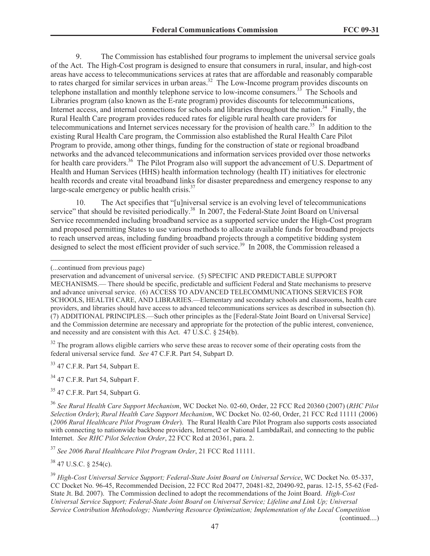9. The Commission has established four programs to implement the universal service goals of the Act. The High-Cost program is designed to ensure that consumers in rural, insular, and high-cost areas have access to telecommunications services at rates that are affordable and reasonably comparable to rates charged for similar services in urban areas.<sup>32</sup> The Low-Income program provides discounts on telephone installation and monthly telephone service to low-income consumers.<sup>33</sup> The Schools and Libraries program (also known as the E-rate program) provides discounts for telecommunications, Internet access, and internal connections for schools and libraries throughout the nation.<sup>34</sup> Finally, the Rural Health Care program provides reduced rates for eligible rural health care providers for telecommunications and Internet services necessary for the provision of health care.<sup>35</sup> In addition to the existing Rural Health Care program, the Commission also established the Rural Health Care Pilot Program to provide, among other things, funding for the construction of state or regional broadband networks and the advanced telecommunications and information services provided over those networks for health care providers.<sup>36</sup> The Pilot Program also will support the advancement of U.S. Department of Health and Human Services (HHS) health information technology (health IT) initiatives for electronic health records and create vital broadband links for disaster preparedness and emergency response to any large-scale emergency or public health crisis. $^{37}$ 

10. The Act specifies that "[u]niversal service is an evolving level of telecommunications service" that should be revisited periodically.<sup>38</sup> In 2007, the Federal-State Joint Board on Universal Service recommended including broadband service as a supported service under the High-Cost program and proposed permitting States to use various methods to allocate available funds for broadband projects to reach unserved areas, including funding broadband projects through a competitive bidding system designed to select the most efficient provider of such service.<sup>39</sup> In 2008, the Commission released a

<sup>32</sup> The program allows eligible carriers who serve these areas to recover some of their operating costs from the federal universal service fund. *See* 47 C.F.R. Part 54, Subpart D.

 $33$  47 C.F.R. Part 54, Subpart E.

 $34$  47 C.F.R. Part 54, Subpart F.

 $35$  47 C.F.R. Part 54, Subpart G.

<sup>37</sup> *See 2006 Rural Healthcare Pilot Program Order*, 21 FCC Rcd 11111.

 $38$  47 U.S.C. § 254(c).

<sup>(...</sup>continued from previous page)

preservation and advancement of universal service. (5) SPECIFIC AND PREDICTABLE SUPPORT MECHANISMS.— There should be specific, predictable and sufficient Federal and State mechanisms to preserve and advance universal service. (6) ACCESS TO ADVANCED TELECOMMUNICATIONS SERVICES FOR SCHOOLS, HEALTH CARE, AND LIBRARIES.—Elementary and secondary schools and classrooms, health care providers, and libraries should have access to advanced telecommunications services as described in subsection (h). (7) ADDITIONAL PRINCIPLES.—Such other principles as the [Federal-State Joint Board on Universal Service] and the Commission determine are necessary and appropriate for the protection of the public interest, convenience, and necessity and are consistent with this Act. 47 U.S.C. § 254(b).

<sup>36</sup> *See Rural Health Care Support Mechanism*, WC Docket No. 02-60, Order, 22 FCC Rcd 20360 (2007) (*RHC Pilot Selection Order*); *Rural Health Care Support Mechanism*, WC Docket No. 02-60, Order, 21 FCC Rcd 11111 (2006) (*2006 Rural Healthcare Pilot Program Order*). The Rural Health Care Pilot Program also supports costs associated with connecting to nationwide backbone providers, Internet2 or National LambdaRail, and connecting to the public Internet. *See RHC Pilot Selection Order*, 22 FCC Rcd at 20361, para. 2.

<sup>39</sup> *High-Cost Universal Service Support; Federal-State Joint Board on Universal Service*, WC Docket No. 05-337, CC Docket No. 96-45, Recommended Decision, 22 FCC Rcd 20477, 20481-82, 20490-92, paras. 12-15, 55-62 (Fed-State Jt. Bd. 2007). The Commission declined to adopt the recommendations of the Joint Board. *High-Cost Universal Service Support; Federal-State Joint Board on Universal Service; Lifeline and Link Up; Universal Service Contribution Methodology; Numbering Resource Optimization; Implementation of the Local Competition*  (continued....)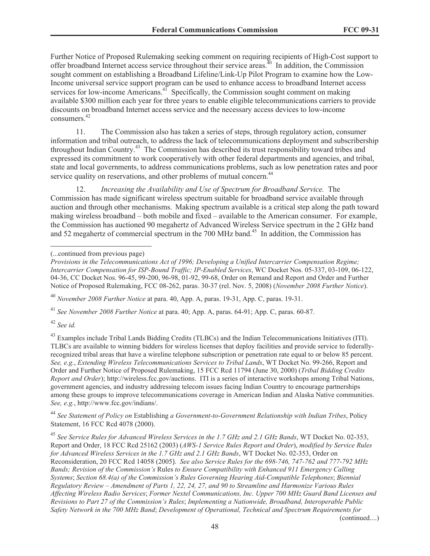Further Notice of Proposed Rulemaking seeking comment on requiring recipients of High-Cost support to offer broadband Internet access service throughout their service areas.<sup>40</sup> In addition, the Commission sought comment on establishing a Broadband Lifeline/Link-Up Pilot Program to examine how the Low-Income universal service support program can be used to enhance access to broadband Internet access services for low-income Americans.<sup>41</sup> Specifically, the Commission sought comment on making available \$300 million each year for three years to enable eligible telecommunications carriers to provide discounts on broadband Internet access service and the necessary access devices to low-income consumers.<sup>42</sup>

11. The Commission also has taken a series of steps, through regulatory action, consumer information and tribal outreach, to address the lack of telecommunications deployment and subscribership throughout Indian Country.<sup>43</sup> The Commission has described its trust responsibility toward tribes and expressed its commitment to work cooperatively with other federal departments and agencies, and tribal, state and local governments, to address communications problems, such as low penetration rates and poor service quality on reservations, and other problems of mutual concern.<sup>44</sup>

12. *Increasing the Availability and Use of Spectrum for Broadband Service.* The Commission has made significant wireless spectrum suitable for broadband service available through auction and through other mechanisms. Making spectrum available is a critical step along the path toward making wireless broadband – both mobile and fixed – available to the American consumer. For example, the Commission has auctioned 90 megahertz of Advanced Wireless Service spectrum in the 2 GHz band and 52 megahertz of commercial spectrum in the 700 MHz band.<sup>45</sup> In addition, the Commission has

<sup>40</sup> *November 2008 Further Notice* at para. 40, App. A, paras. 19-31, App. C, paras. 19-31.

<sup>41</sup> *See November 2008 Further Notice* at para. 40; App. A, paras. 64-91; App. C, paras. 60-87.

<sup>42</sup> *See id.*

<sup>43</sup> Examples include Tribal Lands Bidding Credits (TLBCs) and the Indian Telecommunications Initiatives (ITI). TLBCs are available to winning bidders for wireless licenses that deploy facilities and provide service to federallyrecognized tribal areas that have a wireline telephone subscription or penetration rate equal to or below 85 percent. *See, e.g.*, *Extending Wireless Telecommunications Services to Tribal Lands*, WT Docket No. 99-266, Report and Order and Further Notice of Proposed Rulemaking, 15 FCC Rcd 11794 (June 30, 2000) (*Tribal Bidding Credits Report and Order*); http://wireless.fcc.gov/auctions. ITI is a series of interactive workshops among Tribal Nations, government agencies, and industry addressing telecom issues facing Indian Country to encourage partnerships among these groups to improve telecommunications coverage in American Indian and Alaska Native communities. *See, e.g.*, http://www.fcc.gov/indians/.

<sup>44</sup> *See Statement of Policy on* Establishing *a Government-to-Government Relationship with Indian Tribes*, Policy Statement, 16 FCC Rcd 4078 (2000).

<sup>45</sup> *See Service Rules for Advanced Wireless Services in the 1.7 GHz and 2.1 GHz Bands*, WT Docket No. 02-353, Report and Order, 18 FCC Rcd 25162 (2003) (*AWS-1 Service Rules Report and Order*), *modified by Service Rules for Advanced Wireless Services in the 1.7 GHz and 2.1 GHz Bands*, WT Docket No. 02-353, Order on Reconsideration, 20 FCC Rcd 14058 (2005). *See also Service Rules for the 698-746, 747-762 and 777-792 MHz Bands; Revision of the Commission's* Rules *to Ensure Compatibility with Enhanced 911 Emergency Calling Systems*; *Section 68.4(a) of the Commission's Rules Governing Hearing Aid-Compatible Telephones*; *Biennial Regulatory Review – Amendment of Parts 1, 22, 24, 27, and 90 to Streamline and Harmonize Various Rules Affecting Wireless Radio Services*; *Former Nextel Communications, Inc. Upper 700 MHz Guard Band Licenses and Revisions to Part 27 of the Commission's Rules*; *Implementing a Nationwide, Broadband, Interoperable Public Safety Network in the 700 MHz Band*; *Development of Operational, Technical and Spectrum Requirements for* 

(continued....)

<sup>(...</sup>continued from previous page)

*Provisions in the Telecommunications Act of 1996; Developing a Unified Intercarrier Compensation Regime; Intercarrier Compensation for ISP-Bound Traffic; IP-Enabled Services*, WC Docket Nos. 05-337, 03-109, 06-122, 04-36, CC Docket Nos. 96-45, 99-200, 96-98, 01-92, 99-68, Order on Remand and Report and Order and Further Notice of Proposed Rulemaking, FCC 08-262, paras. 30-37 (rel. Nov. 5, 2008) (*November 2008 Further Notice*).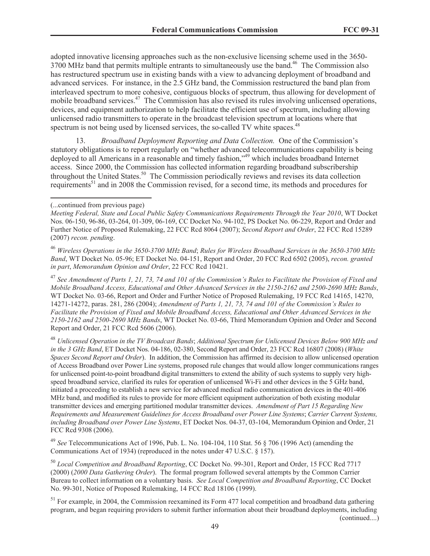adopted innovative licensing approaches such as the non-exclusive licensing scheme used in the 3650- 3700 MHz band that permits multiple entrants to simultaneously use the band.<sup>46</sup> The Commission also has restructured spectrum use in existing bands with a view to advancing deployment of broadband and advanced services. For instance, in the 2.5 GHz band, the Commission restructured the band plan from interleaved spectrum to more cohesive, contiguous blocks of spectrum, thus allowing for development of mobile broadband services.<sup>47</sup> The Commission has also revised its rules involving unlicensed operations, devices, and equipment authorization to help facilitate the efficient use of spectrum, including allowing unlicensed radio transmitters to operate in the broadcast television spectrum at locations where that spectrum is not being used by licensed services, the so-called TV white spaces.<sup>48</sup>

13. *Broadband Deployment Reporting and Data Collection.* One of the Commission's statutory obligations is to report regularly on "whether advanced telecommunications capability is being deployed to all Americans in a reasonable and timely fashion,"<sup>49</sup> which includes broadband Internet access. Since 2000, the Commission has collected information regarding broadband subscribership throughout the United States.<sup>50</sup> The Commission periodically reviews and revises its data collection requirements<sup>51</sup> and in 2008 the Commission revised, for a second time, its methods and procedures for

<sup>47</sup> *See Amendment of Parts 1, 21, 73, 74 and 101 of the Commission's Rules to Facilitate the Provision of Fixed and Mobile Broadband Access, Educational and Other Advanced Services in the 2150-2162 and 2500-2690 MHz Bands*, WT Docket No. 03-66, Report and Order and Further Notice of Proposed Rulemaking, 19 FCC Rcd 14165, 14270, 14271-14272, paras. 281, 286 (2004); *Amendment of Parts 1, 21, 73, 74 and 101 of the Commission's Rules to Facilitate the Provision of Fixed and Mobile Broadband Access, Educational and Other Advanced Services in the 2150-2162 and 2500-2690 MHz Bands*, WT Docket No. 03-66, Third Memorandum Opinion and Order and Second Report and Order, 21 FCC Rcd 5606 (2006).

<sup>48</sup> *Unlicensed Operation in the TV Broadcast Bands*; *Additional Spectrum for Unlicensed Devices Below 900 MHz and in the 3 GHz Band*, ET Docket Nos. 04-186, 02-380, Second Report and Order, 23 FCC Rcd 16807 (2008) (*White Spaces Second Report and Order*). In addition, the Commission has affirmed its decision to allow unlicensed operation of Access Broadband over Power Line systems, proposed rule changes that would allow longer communications ranges for unlicensed point-to-point broadband digital transmitters to extend the ability of such systems to supply very highspeed broadband service, clarified its rules for operation of unlicensed Wi-Fi and other devices in the 5 GHz band, initiated a proceeding to establish a new service for advanced medical radio communication devices in the 401-406 MHz band, and modified its rules to provide for more efficient equipment authorization of both existing modular transmitter devices and emerging partitioned modular transmitter devices. *Amendment of Part 15 Regarding New Requirements and Measurement Guidelines for Access Broadband over Power Line Systems*; *Carrier Current Systems, including Broadband over Power Line Systems*, ET Docket Nos. 04-37, 03-104, Memorandum Opinion and Order, 21 FCC Rcd 9308 (2006).

<sup>49</sup> *See* Telecommunications Act of 1996, Pub. L. No. 104-104, 110 Stat. 56 § 706 (1996 Act) (amending the Communications Act of 1934) (reproduced in the notes under 47 U.S.C. § 157).

<sup>50</sup> *Local Competition and Broadband Reporting*, CC Docket No. 99-301, Report and Order, 15 FCC Rcd 7717 (2000) (*2000 Data Gathering Order*). The formal program followed several attempts by the Common Carrier Bureau to collect information on a voluntary basis. *See Local Competition and Broadband Reporting*, CC Docket No. 99-301, Notice of Proposed Rulemaking, 14 FCC Rcd 18106 (1999).

<sup>51</sup> For example, in 2004, the Commission reexamined its Form 477 local competition and broadband data gathering program, and began requiring providers to submit further information about their broadband deployments, including (continued....)

<sup>(...</sup>continued from previous page)

*Meeting Federal, State and Local Public Safety Communications Requirements Through the Year 2010*, WT Docket Nos. 06-150, 96-86, 03-264, 01-309, 06-169, CC Docket No. 94-102, PS Docket No. 06-229, Report and Order and Further Notice of Proposed Rulemaking, 22 FCC Rcd 8064 (2007); *Second Report and Order*, 22 FCC Rcd 15289 (2007) *recon. pending*.

<sup>46</sup> *Wireless Operations in the 3650-3700 MHz Band*; *Rules for Wireless Broadband Services in the 3650-3700 MHz Band*, WT Docket No. 05-96; ET Docket No. 04-151, Report and Order, 20 FCC Rcd 6502 (2005), *recon. granted in part*, *Memorandum Opinion and Order*, 22 FCC Rcd 10421.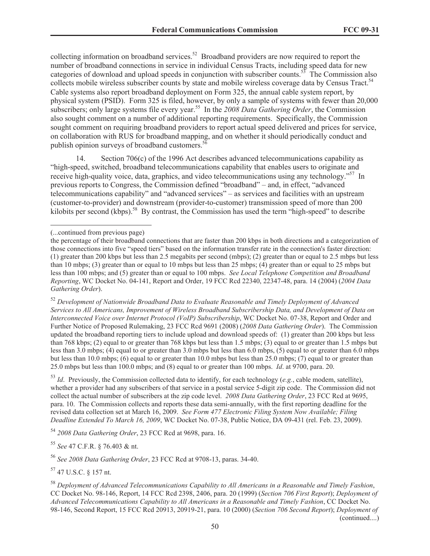collecting information on broadband services.<sup>52</sup> Broadband providers are now required to report the number of broadband connections in service in individual Census Tracts, including speed data for new categories of download and upload speeds in conjunction with subscriber counts.<sup>53</sup> The Commission also collects mobile wireless subscriber counts by state and mobile wireless coverage data by Census Tract.<sup>54</sup> Cable systems also report broadband deployment on Form 325, the annual cable system report, by physical system (PSID). Form 325 is filed, however, by only a sample of systems with fewer than 20,000 subscribers; only large systems file every year.<sup>55</sup> In the 2008 Data Gathering Order, the Commission also sought comment on a number of additional reporting requirements. Specifically, the Commission sought comment on requiring broadband providers to report actual speed delivered and prices for service, on collaboration with RUS for broadband mapping, and on whether it should periodically conduct and publish opinion surveys of broadband customers.<sup>5</sup>

14. Section 706(c) of the 1996 Act describes advanced telecommunications capability as "high-speed, switched, broadband telecommunications capability that enables users to originate and receive high-quality voice, data, graphics, and video telecommunications using any technology."<sup>57</sup> In previous reports to Congress, the Commission defined "broadband" – and, in effect, "advanced telecommunications capability" and "advanced services" – as services and facilities with an upstream (customer-to-provider) and downstream (provider-to-customer) transmission speed of more than 200 kilobits per second (kbps).<sup>58</sup> By contrast, the Commission has used the term "high-speed" to describe

<sup>53</sup> *Id*. Previously, the Commission collected data to identify, for each technology (*e.g.*, cable modem, satellite), whether a provider had any subscribers of that service in a postal service 5-digit zip code. The Commission did not collect the actual number of subscribers at the zip code level. *2008 Data Gathering Order*, 23 FCC Rcd at 9695, para. 10. The Commission collects and reports these data semi-annually, with the first reporting deadline for the revised data collection set at March 16, 2009. *See Form 477 Electronic Filing System Now Available; Filing Deadline Extended To March 16, 2009*, WC Docket No. 07-38, Public Notice, DA 09-431 (rel. Feb. 23, 2009).

<sup>54</sup> *2008 Data Gathering Order*, 23 FCC Rcd at 9698, para. 16.

<sup>55</sup> *See* 47 C.F.R. § 76.403 & nt.

<sup>56</sup> *See 2008 Data Gathering Order*, 23 FCC Rcd at 9708-13, paras. 34-40.

<sup>57</sup> 47 U.S.C. § 157 nt.

<sup>(...</sup>continued from previous page)

the percentage of their broadband connections that are faster than 200 kbps in both directions and a categorization of those connections into five "speed tiers" based on the information transfer rate in the connection's faster direction: (1) greater than 200 kbps but less than 2.5 megabits per second (mbps); (2) greater than or equal to 2.5 mbps but less than 10 mbps; (3) greater than or equal to 10 mbps but less than 25 mbps; (4) greater than or equal to 25 mbps but less than 100 mbps; and (5) greater than or equal to 100 mbps. *See Local Telephone Competition and Broadband Reporting*, WC Docket No. 04-141, Report and Order, 19 FCC Rcd 22340, 22347-48, para. 14 (2004) (*2004 Data Gathering Order*).

<sup>52</sup> *Development of Nationwide Broadband Data to Evaluate Reasonable and Timely Deployment of Advanced Services to All Americans, Improvement of Wireless Broadband Subscribership Data, and Development of Data on Interconnected Voice over Internet Protocol (VoIP) Subscribership*, WC Docket No. 07-38, Report and Order and Further Notice of Proposed Rulemaking, 23 FCC Rcd 9691 (2008) (*2008 Data Gathering Order*). The Commission updated the broadband reporting tiers to include upload and download speeds of: (1) greater than 200 kbps but less than 768 kbps; (2) equal to or greater than 768 kbps but less than 1.5 mbps; (3) equal to or greater than 1.5 mbps but less than 3.0 mbps; (4) equal to or greater than 3.0 mbps but less than 6.0 mbps, (5) equal to or greater than 6.0 mbps but less than 10.0 mbps; (6) equal to or greater than 10.0 mbps but less than 25.0 mbps; (7) equal to or greater than 25.0 mbps but less than 100.0 mbps; and (8) equal to or greater than 100 mbps. *Id*. at 9700, para. 20.

<sup>58</sup> *Deployment of Advanced Telecommunications Capability to All Americans in a Reasonable and Timely Fashion*, CC Docket No. 98-146, Report, 14 FCC Rcd 2398, 2406, para. 20 (1999) (*Section 706 First Report*); *Deployment of Advanced Telecommunications Capability to All Americans in a Reasonable and Timely Fashion*, CC Docket No. 98-146, Second Report, 15 FCC Rcd 20913, 20919-21, para. 10 (2000) (*Section 706 Second Report*); *Deployment of*  (continued....)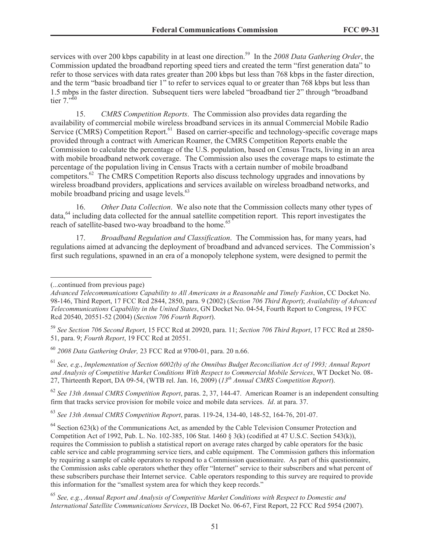services with over 200 kbps capability in at least one direction.<sup>59</sup> In the 2008 Data Gathering Order, the Commission updated the broadband reporting speed tiers and created the term "first generation data" to refer to those services with data rates greater than 200 kbps but less than 768 kbps in the faster direction, and the term "basic broadband tier 1" to refer to services equal to or greater than 768 kbps but less than 1.5 mbps in the faster direction. Subsequent tiers were labeled "broadband tier 2" through "broadband tier  $7^{5,60}$ 

15. *CMRS Competition Reports*. The Commission also provides data regarding the availability of commercial mobile wireless broadband services in its annual Commercial Mobile Radio Service (CMRS) Competition Report.<sup>61</sup> Based on carrier-specific and technology-specific coverage maps provided through a contract with American Roamer, the CMRS Competition Reports enable the Commission to calculate the percentage of the U.S. population, based on Census Tracts, living in an area with mobile broadband network coverage. The Commission also uses the coverage maps to estimate the percentage of the population living in Census Tracts with a certain number of mobile broadband competitors.<sup>62</sup> The CMRS Competition Reports also discuss technology upgrades and innovations by wireless broadband providers, applications and services available on wireless broadband networks, and mobile broadband pricing and usage levels.<sup>63</sup>

16. *Other Data Collection*. We also note that the Commission collects many other types of data,<sup>64</sup> including data collected for the annual satellite competition report. This report investigates the reach of satellite-based two-way broadband to the home.<sup>65</sup>

17. *Broadband Regulation and Classification*. The Commission has, for many years, had regulations aimed at advancing the deployment of broadband and advanced services. The Commission's first such regulations, spawned in an era of a monopoly telephone system, were designed to permit the

<sup>62</sup> *See 13th Annual CMRS Competition Report*, paras. 2, 37, 144-47. American Roamer is an independent consulting firm that tracks service provision for mobile voice and mobile data services. *Id*. at para. 37.

<sup>63</sup> *See 13th Annual CMRS Competition Report*, paras. 119-24, 134-40, 148-52, 164-76, 201-07.

 $64$  Section 623(k) of the Communications Act, as amended by the Cable Television Consumer Protection and Competition Act of 1992, Pub. L. No. 102-385, 106 Stat. 1460 § 3(k) (codified at 47 U.S.C. Section 543(k)), requires the Commission to publish a statistical report on average rates charged by cable operators for the basic cable service and cable programming service tiers, and cable equipment. The Commission gathers this information by requiring a sample of cable operators to respond to a Commission questionnaire. As part of this questionnaire, the Commission asks cable operators whether they offer "Internet" service to their subscribers and what percent of these subscribers purchase their Internet service. Cable operators responding to this survey are required to provide this information for the "smallest system area for which they keep records."

<sup>65</sup> *See, e.g.*, *Annual Report and Analysis of Competitive Market Conditions with Respect to Domestic and International Satellite Communications Services*, IB Docket No. 06-67, First Report, 22 FCC Rcd 5954 (2007).

<sup>(...</sup>continued from previous page)

*Advanced Telecommunications Capability to All Americans in a Reasonable and Timely Fashion*, CC Docket No. 98-146, Third Report, 17 FCC Rcd 2844, 2850, para. 9 (2002) (*Section 706 Third Report*); *Availability of Advanced Telecommunications Capability in the United States*, GN Docket No. 04-54, Fourth Report to Congress, 19 FCC Rcd 20540, 20551-52 (2004) (*Section 706 Fourth Report*).

<sup>59</sup> *See Section 706 Second Report*, 15 FCC Rcd at 20920, para. 11; *Section 706 Third Report*, 17 FCC Rcd at 2850- 51, para. 9; *Fourth Report*, 19 FCC Rcd at 20551.

<sup>60</sup> *2008 Data Gathering Order,* 23 FCC Rcd at 9700-01, para. 20 n.66.

<sup>61</sup> *See, e.g*., *Implementation of Section 6002(b) of the Omnibus Budget Reconciliation Act of 1993; Annual Report and Analysis of Competitive Market Conditions With Respect to Commercial Mobile Services*, WT Docket No. 08- 27, Thirteenth Report, DA 09-54, (WTB rel. Jan. 16, 2009) (*13th Annual CMRS Competition Report*).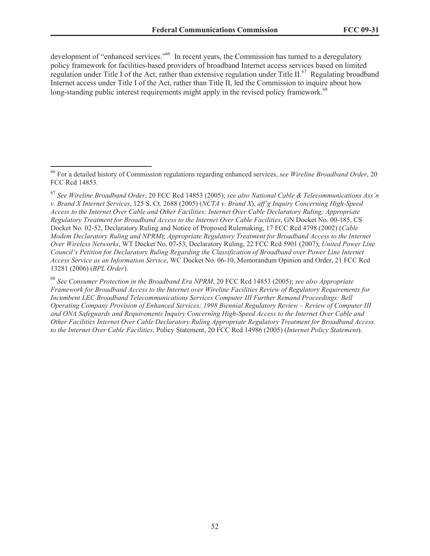development of "enhanced services."<sup>66</sup> In recent years, the Commission has turned to a deregulatory policy framework for facilities-based providers of broadband Internet access services based on limited regulation under Title I of the Act, rather than extensive regulation under Title II.<sup>67</sup> Regulating broadband Internet access under Title I of the Act, rather than Title II, led the Commission to inquire about how long-standing public interest requirements might apply in the revised policy framework.<sup>68</sup>

<sup>68</sup> *See Consumer Protection in the Broadband Era NPRM*, 20 FCC Rcd 14853 (2005); *see also Appropriate Framework for Broadband Access to the Internet over Wireline Facilities Review of Regulatory Requirements for Incumbent LEC Broadband Telecommunications Services Computer III Further Remand Proceedings: Bell Operating Company Provision of Enhanced Services; 1998 Biennial Regulatory Review – Review of Computer III and ONA Safeguards and Requirements Inquiry Concerning High-Speed Access to the Internet Over Cable and Other Facilities Internet Over Cable Declaratory Ruling Appropriate Regulatory Treatment for Broadband Access to the Internet Over Cable Facilities*, Policy Statement, 20 FCC Rcd 14986 (2005) (*Internet Policy Statement*).

<sup>66</sup> For a detailed history of Commission regulations regarding enhanced services, *see Wireline Broadband Order*, 20 FCC Rcd 14853.

<sup>67</sup> *See Wireline Broadband Order*, 20 FCC Rcd 14853 (2005); *see also National Cable & Telecommunications Ass'n v. Brand X Internet Services*, 125 S. Ct. 2688 (2005) (*NCTA v. Brand X*), *aff'g Inquiry Concerning High-Speed Access to the Internet Over Cable and Other Facilities; Internet Over Cable Declaratory Ruling; Appropriate Regulatory Treatment for Broadband Access to the Internet Over Cable Facilities*, GN Docket No. 00-185, CS Docket No. 02-52, Declaratory Ruling and Notice of Proposed Rulemaking, 17 FCC Rcd 4798 (2002) (*Cable Modem Declaratory Ruling and NPRM*); *Appropriate Regulatory Treatment for Broadband Access to the Internet Over Wireless Networks*, WT Docket No. 07-53, Declaratory Ruling, 22 FCC Rcd 5901 (2007); *United Power Line Council's Petition for Declaratory Ruling Regarding the Classification of Broadband over Power Line Internet Access Service as an Information Service*, WC Docket No. 06-10, Memorandum Opinion and Order, 21 FCC Rcd 13281 (2006) (*BPL Order*).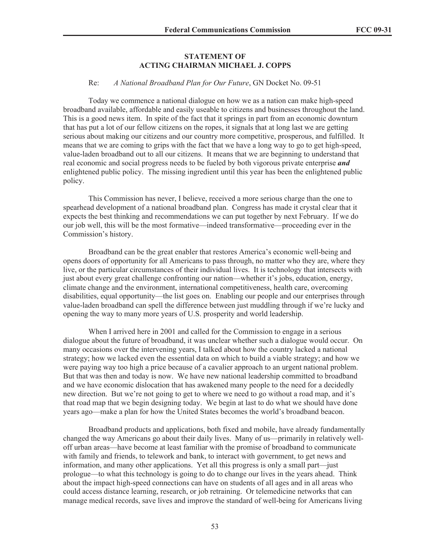#### **STATEMENT OF ACTING CHAIRMAN MICHAEL J. COPPS**

#### Re: *A National Broadband Plan for Our Future*, GN Docket No. 09-51

Today we commence a national dialogue on how we as a nation can make high-speed broadband available, affordable and easily useable to citizens and businesses throughout the land. This is a good news item. In spite of the fact that it springs in part from an economic downturn that has put a lot of our fellow citizens on the ropes, it signals that at long last we are getting serious about making our citizens and our country more competitive, prosperous, and fulfilled. It means that we are coming to grips with the fact that we have a long way to go to get high-speed, value-laden broadband out to all our citizens. It means that we are beginning to understand that real economic and social progress needs to be fueled by both vigorous private enterprise *and* enlightened public policy. The missing ingredient until this year has been the enlightened public policy.

This Commission has never, I believe, received a more serious charge than the one to spearhead development of a national broadband plan. Congress has made it crystal clear that it expects the best thinking and recommendations we can put together by next February. If we do our job well, this will be the most formative—indeed transformative—proceeding ever in the Commission's history.

Broadband can be the great enabler that restores America's economic well-being and opens doors of opportunity for all Americans to pass through, no matter who they are, where they live, or the particular circumstances of their individual lives. It is technology that intersects with just about every great challenge confronting our nation—whether it's jobs, education, energy, climate change and the environment, international competitiveness, health care, overcoming disabilities, equal opportunity—the list goes on. Enabling our people and our enterprises through value-laden broadband can spell the difference between just muddling through if we're lucky and opening the way to many more years of U.S. prosperity and world leadership.

When I arrived here in 2001 and called for the Commission to engage in a serious dialogue about the future of broadband, it was unclear whether such a dialogue would occur. On many occasions over the intervening years, I talked about how the country lacked a national strategy; how we lacked even the essential data on which to build a viable strategy; and how we were paying way too high a price because of a cavalier approach to an urgent national problem. But that was then and today is now. We have new national leadership committed to broadband and we have economic dislocation that has awakened many people to the need for a decidedly new direction. But we're not going to get to where we need to go without a road map, and it's that road map that we begin designing today. We begin at last to do what we should have done years ago—make a plan for how the United States becomes the world's broadband beacon.

Broadband products and applications, both fixed and mobile, have already fundamentally changed the way Americans go about their daily lives. Many of us—primarily in relatively welloff urban areas—have become at least familiar with the promise of broadband to communicate with family and friends, to telework and bank, to interact with government, to get news and information, and many other applications. Yet all this progress is only a small part—just prologue—to what this technology is going to do to change our lives in the years ahead. Think about the impact high-speed connections can have on students of all ages and in all areas who could access distance learning, research, or job retraining. Or telemedicine networks that can manage medical records, save lives and improve the standard of well-being for Americans living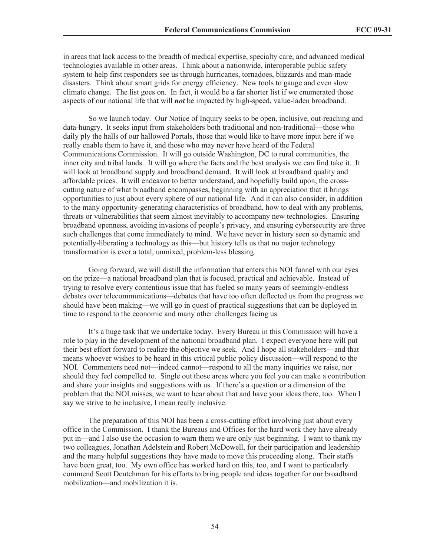in areas that lack access to the breadth of medical expertise, specialty care, and advanced medical technologies available in other areas. Think about a nationwide, interoperable public safety system to help first responders see us through hurricanes, tornadoes, blizzards and man-made disasters. Think about smart grids for energy efficiency. New tools to gauge and even slow climate change. The list goes on. In fact, it would be a far shorter list if we enumerated those aspects of our national life that will *not* be impacted by high-speed, value-laden broadband.

So we launch today. Our Notice of Inquiry seeks to be open, inclusive, out-reaching and data-hungry. It seeks input from stakeholders both traditional and non-traditional—those who daily ply the halls of our hallowed Portals, those that would like to have more input here if we really enable them to have it, and those who may never have heard of the Federal Communications Commission. It will go outside Washington, DC to rural communities, the inner city and tribal lands. It will go where the facts and the best analysis we can find take it. It will look at broadband supply and broadband demand. It will look at broadband quality and affordable prices. It will endeavor to better understand, and hopefully build upon, the crosscutting nature of what broadband encompasses, beginning with an appreciation that it brings opportunities to just about every sphere of our national life. And it can also consider, in addition to the many opportunity-generating characteristics of broadband, how to deal with any problems, threats or vulnerabilities that seem almost inevitably to accompany new technologies. Ensuring broadband openness, avoiding invasions of people's privacy, and ensuring cybersecurity are three such challenges that come immediately to mind. We have never in history seen so dynamic and potentially-liberating a technology as this—but history tells us that no major technology transformation is ever a total, unmixed, problem-less blessing.

Going forward, we will distill the information that enters this NOI funnel with our eyes on the prize—a national broadband plan that is focused, practical and achievable. Instead of trying to resolve every contentious issue that has fueled so many years of seemingly-endless debates over telecommunications—debates that have too often deflected us from the progress we should have been making—we will go in quest of practical suggestions that can be deployed in time to respond to the economic and many other challenges facing us.

It's a huge task that we undertake today. Every Bureau in this Commission will have a role to play in the development of the national broadband plan. I expect everyone here will put their best effort forward to realize the objective we seek. And I hope all stakeholders—and that means whoever wishes to be heard in this critical public policy discussion—will respond to the NOI. Commenters need not—indeed cannot—respond to all the many inquiries we raise, nor should they feel compelled to. Single out those areas where you feel you can make a contribution and share your insights and suggestions with us. If there's a question or a dimension of the problem that the NOI misses, we want to hear about that and have your ideas there, too. When I say we strive to be inclusive, I mean really inclusive.

The preparation of this NOI has been a cross-cutting effort involving just about every office in the Commission. I thank the Bureaus and Offices for the hard work they have already put in—and I also use the occasion to warn them we are only just beginning. I want to thank my two colleagues, Jonathan Adelstein and Robert McDowell, for their participation and leadership and the many helpful suggestions they have made to move this proceeding along. Their staffs have been great, too. My own office has worked hard on this, too, and I want to particularly commend Scott Deutchman for his efforts to bring people and ideas together for our broadband mobilization—and mobilization it is.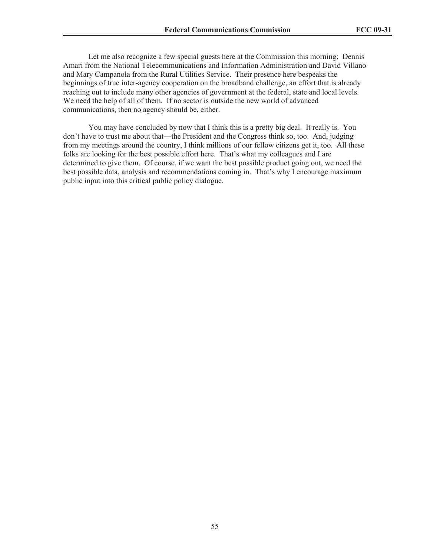Let me also recognize a few special guests here at the Commission this morning: Dennis Amari from the National Telecommunications and Information Administration and David Villano and Mary Campanola from the Rural Utilities Service. Their presence here bespeaks the beginnings of true inter-agency cooperation on the broadband challenge, an effort that is already reaching out to include many other agencies of government at the federal, state and local levels. We need the help of all of them. If no sector is outside the new world of advanced communications, then no agency should be, either.

You may have concluded by now that I think this is a pretty big deal. It really is. You don't have to trust me about that—the President and the Congress think so, too. And, judging from my meetings around the country, I think millions of our fellow citizens get it, too. All these folks are looking for the best possible effort here. That's what my colleagues and I are determined to give them. Of course, if we want the best possible product going out, we need the best possible data, analysis and recommendations coming in. That's why I encourage maximum public input into this critical public policy dialogue.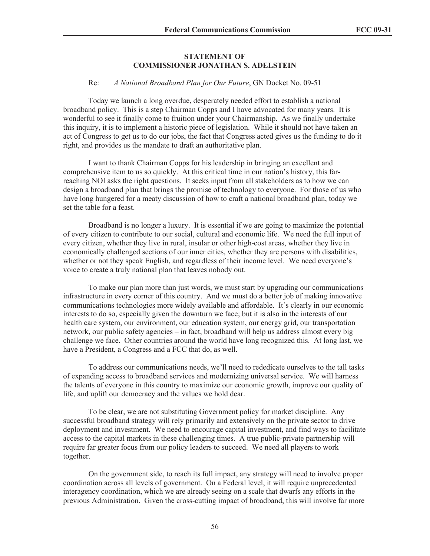#### **STATEMENT OF COMMISSIONER JONATHAN S. ADELSTEIN**

#### Re: *A National Broadband Plan for Our Future*, GN Docket No. 09-51

Today we launch a long overdue, desperately needed effort to establish a national broadband policy. This is a step Chairman Copps and I have advocated for many years. It is wonderful to see it finally come to fruition under your Chairmanship. As we finally undertake this inquiry, it is to implement a historic piece of legislation. While it should not have taken an act of Congress to get us to do our jobs, the fact that Congress acted gives us the funding to do it right, and provides us the mandate to draft an authoritative plan.

I want to thank Chairman Copps for his leadership in bringing an excellent and comprehensive item to us so quickly. At this critical time in our nation's history, this farreaching NOI asks the right questions. It seeks input from all stakeholders as to how we can design a broadband plan that brings the promise of technology to everyone. For those of us who have long hungered for a meaty discussion of how to craft a national broadband plan, today we set the table for a feast.

Broadband is no longer a luxury. It is essential if we are going to maximize the potential of every citizen to contribute to our social, cultural and economic life. We need the full input of every citizen, whether they live in rural, insular or other high-cost areas, whether they live in economically challenged sections of our inner cities, whether they are persons with disabilities, whether or not they speak English, and regardless of their income level. We need everyone's voice to create a truly national plan that leaves nobody out.

To make our plan more than just words, we must start by upgrading our communications infrastructure in every corner of this country. And we must do a better job of making innovative communications technologies more widely available and affordable. It's clearly in our economic interests to do so, especially given the downturn we face; but it is also in the interests of our health care system, our environment, our education system, our energy grid, our transportation network, our public safety agencies – in fact, broadband will help us address almost every big challenge we face. Other countries around the world have long recognized this. At long last, we have a President, a Congress and a FCC that do, as well.

To address our communications needs, we'll need to rededicate ourselves to the tall tasks of expanding access to broadband services and modernizing universal service. We will harness the talents of everyone in this country to maximize our economic growth, improve our quality of life, and uplift our democracy and the values we hold dear.

To be clear, we are not substituting Government policy for market discipline. Any successful broadband strategy will rely primarily and extensively on the private sector to drive deployment and investment. We need to encourage capital investment, and find ways to facilitate access to the capital markets in these challenging times. A true public-private partnership will require far greater focus from our policy leaders to succeed. We need all players to work together.

On the government side, to reach its full impact, any strategy will need to involve proper coordination across all levels of government. On a Federal level, it will require unprecedented interagency coordination, which we are already seeing on a scale that dwarfs any efforts in the previous Administration. Given the cross-cutting impact of broadband, this will involve far more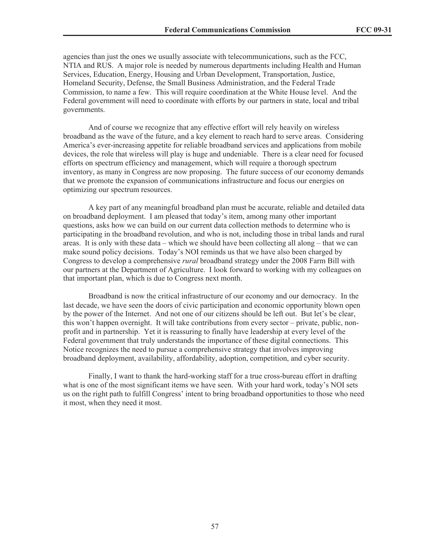agencies than just the ones we usually associate with telecommunications, such as the FCC, NTIA and RUS. A major role is needed by numerous departments including Health and Human Services, Education, Energy, Housing and Urban Development, Transportation, Justice, Homeland Security, Defense, the Small Business Administration, and the Federal Trade Commission, to name a few. This will require coordination at the White House level. And the Federal government will need to coordinate with efforts by our partners in state, local and tribal governments.

And of course we recognize that any effective effort will rely heavily on wireless broadband as the wave of the future, and a key element to reach hard to serve areas. Considering America's ever-increasing appetite for reliable broadband services and applications from mobile devices, the role that wireless will play is huge and undeniable. There is a clear need for focused efforts on spectrum efficiency and management, which will require a thorough spectrum inventory, as many in Congress are now proposing. The future success of our economy demands that we promote the expansion of communications infrastructure and focus our energies on optimizing our spectrum resources.

A key part of any meaningful broadband plan must be accurate, reliable and detailed data on broadband deployment. I am pleased that today's item, among many other important questions, asks how we can build on our current data collection methods to determine who is participating in the broadband revolution, and who is not, including those in tribal lands and rural areas. It is only with these data – which we should have been collecting all along – that we can make sound policy decisions. Today's NOI reminds us that we have also been charged by Congress to develop a comprehensive *rural* broadband strategy under the 2008 Farm Bill with our partners at the Department of Agriculture. I look forward to working with my colleagues on that important plan, which is due to Congress next month.

Broadband is now the critical infrastructure of our economy and our democracy. In the last decade, we have seen the doors of civic participation and economic opportunity blown open by the power of the Internet. And not one of our citizens should be left out. But let's be clear, this won't happen overnight. It will take contributions from every sector – private, public, nonprofit and in partnership. Yet it is reassuring to finally have leadership at every level of the Federal government that truly understands the importance of these digital connections. This Notice recognizes the need to pursue a comprehensive strategy that involves improving broadband deployment, availability, affordability, adoption, competition, and cyber security.

Finally, I want to thank the hard-working staff for a true cross-bureau effort in drafting what is one of the most significant items we have seen. With your hard work, today's NOI sets us on the right path to fulfill Congress' intent to bring broadband opportunities to those who need it most, when they need it most.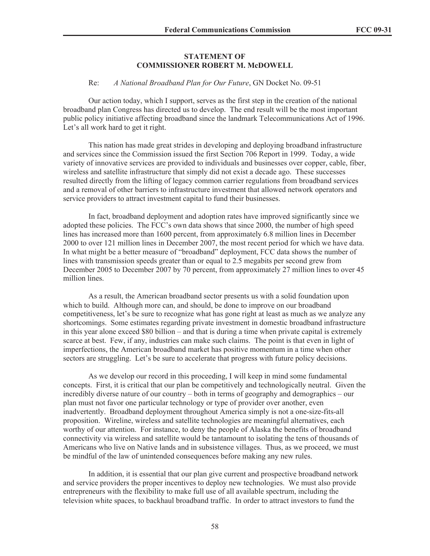#### **STATEMENT OF COMMISSIONER ROBERT M. McDOWELL**

#### Re: *A National Broadband Plan for Our Future*, GN Docket No. 09-51

Our action today, which I support, serves as the first step in the creation of the national broadband plan Congress has directed us to develop. The end result will be the most important public policy initiative affecting broadband since the landmark Telecommunications Act of 1996. Let's all work hard to get it right.

This nation has made great strides in developing and deploying broadband infrastructure and services since the Commission issued the first Section 706 Report in 1999. Today, a wide variety of innovative services are provided to individuals and businesses over copper, cable, fiber, wireless and satellite infrastructure that simply did not exist a decade ago. These successes resulted directly from the lifting of legacy common carrier regulations from broadband services and a removal of other barriers to infrastructure investment that allowed network operators and service providers to attract investment capital to fund their businesses.

In fact, broadband deployment and adoption rates have improved significantly since we adopted these policies. The FCC's own data shows that since 2000, the number of high speed lines has increased more than 1600 percent, from approximately 6.8 million lines in December 2000 to over 121 million lines in December 2007, the most recent period for which we have data. In what might be a better measure of "broadband" deployment, FCC data shows the number of lines with transmission speeds greater than or equal to 2.5 megabits per second grew from December 2005 to December 2007 by 70 percent, from approximately 27 million lines to over 45 million lines.

As a result, the American broadband sector presents us with a solid foundation upon which to build. Although more can, and should, be done to improve on our broadband competitiveness, let's be sure to recognize what has gone right at least as much as we analyze any shortcomings. Some estimates regarding private investment in domestic broadband infrastructure in this year alone exceed \$80 billion – and that is during a time when private capital is extremely scarce at best. Few, if any, industries can make such claims. The point is that even in light of imperfections, the American broadband market has positive momentum in a time when other sectors are struggling. Let's be sure to accelerate that progress with future policy decisions.

As we develop our record in this proceeding, I will keep in mind some fundamental concepts. First, it is critical that our plan be competitively and technologically neutral. Given the incredibly diverse nature of our country – both in terms of geography and demographics – our plan must not favor one particular technology or type of provider over another, even inadvertently. Broadband deployment throughout America simply is not a one-size-fits-all proposition. Wireline, wireless and satellite technologies are meaningful alternatives, each worthy of our attention. For instance, to deny the people of Alaska the benefits of broadband connectivity via wireless and satellite would be tantamount to isolating the tens of thousands of Americans who live on Native lands and in subsistence villages. Thus, as we proceed, we must be mindful of the law of unintended consequences before making any new rules.

In addition, it is essential that our plan give current and prospective broadband network and service providers the proper incentives to deploy new technologies. We must also provide entrepreneurs with the flexibility to make full use of all available spectrum, including the television white spaces, to backhaul broadband traffic. In order to attract investors to fund the